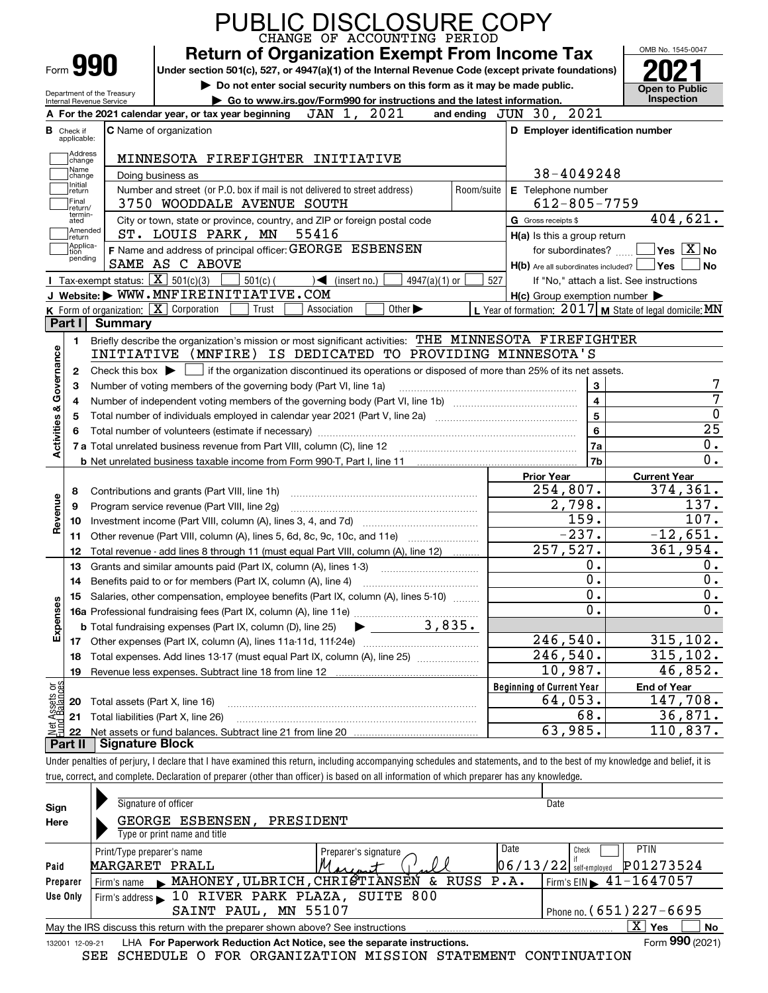|                                                                                                                                                                                      | Form 990                                               | <b>Return of Organization Exempt From Income Tax</b><br>Under section 501(c), 527, or 4947(a)(1) of the Internal Revenue Code (except private foundations)<br>Do not enter social security numbers on this form as it may be made public. |                                                           |                                                         |  |  |  |  |
|--------------------------------------------------------------------------------------------------------------------------------------------------------------------------------------|--------------------------------------------------------|-------------------------------------------------------------------------------------------------------------------------------------------------------------------------------------------------------------------------------------------|-----------------------------------------------------------|---------------------------------------------------------|--|--|--|--|
|                                                                                                                                                                                      | Department of the Treasury<br>Internal Revenue Service | Go to www.irs.gov/Form990 for instructions and the latest information.                                                                                                                                                                    |                                                           | <b>Open to Public</b><br><b>Inspection</b>              |  |  |  |  |
|                                                                                                                                                                                      |                                                        | 2021<br>JAN 1,<br>A For the 2021 calendar year, or tax year beginning                                                                                                                                                                     | and ending JUN 30, 2021                                   |                                                         |  |  |  |  |
|                                                                                                                                                                                      | <b>B</b> Check if                                      | <b>C</b> Name of organization                                                                                                                                                                                                             | D Employer identification number                          |                                                         |  |  |  |  |
|                                                                                                                                                                                      | applicable:                                            |                                                                                                                                                                                                                                           |                                                           |                                                         |  |  |  |  |
|                                                                                                                                                                                      | Address<br>change                                      | MINNESOTA FIREFIGHTER INITIATIVE                                                                                                                                                                                                          |                                                           |                                                         |  |  |  |  |
|                                                                                                                                                                                      | Name<br>change                                         | Doing business as                                                                                                                                                                                                                         | 38-4049248                                                |                                                         |  |  |  |  |
|                                                                                                                                                                                      | Initial<br>return                                      | Number and street (or P.O. box if mail is not delivered to street address)<br>Room/suite                                                                                                                                                  | E Telephone number                                        |                                                         |  |  |  |  |
|                                                                                                                                                                                      | Final<br>return/                                       | 3750 WOODDALE AVENUE SOUTH                                                                                                                                                                                                                | $612 - 805 - 7759$                                        |                                                         |  |  |  |  |
|                                                                                                                                                                                      | termin-<br>ated                                        | City or town, state or province, country, and ZIP or foreign postal code                                                                                                                                                                  | G Gross receipts \$                                       | 404,621.                                                |  |  |  |  |
|                                                                                                                                                                                      | Amended<br>return]                                     | ST. LOUIS PARK, MN 55416                                                                                                                                                                                                                  | H(a) Is this a group return                               |                                                         |  |  |  |  |
|                                                                                                                                                                                      | Applica-<br>tion                                       | F Name and address of principal officer: GEORGE ESBENSEN                                                                                                                                                                                  | for subordinates?                                         | $\overline{\mathsf{Yes}}$ $\overline{\mathsf{X}}$ No    |  |  |  |  |
|                                                                                                                                                                                      | pending                                                | SAME AS C ABOVE                                                                                                                                                                                                                           | $H(b)$ Are all subordinates included? $\Box$ Yes          | No                                                      |  |  |  |  |
|                                                                                                                                                                                      |                                                        | Tax-exempt status: $\overline{X}$ 501(c)(3)<br>$501(c)$ (<br>$\mathcal{A}$ (insert no.)<br>$4947(a)(1)$ or                                                                                                                                | 527<br>If "No," attach a list. See instructions           |                                                         |  |  |  |  |
|                                                                                                                                                                                      |                                                        | J Website: WWW.MNFIREINITIATIVE.COM                                                                                                                                                                                                       | $H(c)$ Group exemption number $\blacktriangleright$       |                                                         |  |  |  |  |
|                                                                                                                                                                                      |                                                        | K Form of organization: $\boxed{\mathbf{X}}$ Corporation<br>Other $\blacktriangleright$<br>Trust<br>Association                                                                                                                           | L Year of formation: $2017$ M State of legal domicile: MN |                                                         |  |  |  |  |
|                                                                                                                                                                                      | Part I                                                 | Summary                                                                                                                                                                                                                                   |                                                           |                                                         |  |  |  |  |
|                                                                                                                                                                                      | 1.                                                     | Briefly describe the organization's mission or most significant activities: THE MINNESOTA FIREFIGHTER                                                                                                                                     |                                                           |                                                         |  |  |  |  |
|                                                                                                                                                                                      |                                                        | INITIATIVE (MNFIRE) IS DEDICATED TO PROVIDING MINNESOTA'S                                                                                                                                                                                 |                                                           |                                                         |  |  |  |  |
| Activities & Governance<br>Check this box $\blacktriangleright \Box$ if the organization discontinued its operations or disposed of more than 25% of its net assets.<br>$\mathbf{2}$ |                                                        |                                                                                                                                                                                                                                           |                                                           |                                                         |  |  |  |  |
|                                                                                                                                                                                      | З                                                      | Number of voting members of the governing body (Part VI, line 1a)                                                                                                                                                                         | 3                                                         |                                                         |  |  |  |  |
|                                                                                                                                                                                      | 4                                                      |                                                                                                                                                                                                                                           | $\overline{\mathbf{4}}$                                   |                                                         |  |  |  |  |
|                                                                                                                                                                                      | 5                                                      |                                                                                                                                                                                                                                           | $\overline{\mathbf{5}}$                                   | $\overline{0}$                                          |  |  |  |  |
|                                                                                                                                                                                      |                                                        |                                                                                                                                                                                                                                           | 6                                                         | $\overline{25}$                                         |  |  |  |  |
|                                                                                                                                                                                      |                                                        |                                                                                                                                                                                                                                           | 7a                                                        | $0$ .                                                   |  |  |  |  |
|                                                                                                                                                                                      |                                                        |                                                                                                                                                                                                                                           | 7b                                                        | 0.                                                      |  |  |  |  |
|                                                                                                                                                                                      |                                                        |                                                                                                                                                                                                                                           | <b>Prior Year</b>                                         | <b>Current Year</b>                                     |  |  |  |  |
|                                                                                                                                                                                      | 8                                                      | Contributions and grants (Part VIII, line 1h)                                                                                                                                                                                             | 254,807.                                                  | 374,361.                                                |  |  |  |  |
| Revenue                                                                                                                                                                              | 9                                                      | Program service revenue (Part VIII, line 2g)                                                                                                                                                                                              | 2,798.                                                    | 137.                                                    |  |  |  |  |
|                                                                                                                                                                                      | 10                                                     |                                                                                                                                                                                                                                           | 159.                                                      | 107.                                                    |  |  |  |  |
|                                                                                                                                                                                      | 11                                                     | Other revenue (Part VIII, column (A), lines 5, 6d, 8c, 9c, 10c, and 11e)                                                                                                                                                                  | $-237.$                                                   | $-12,651.$                                              |  |  |  |  |
|                                                                                                                                                                                      | 12                                                     | Total revenue - add lines 8 through 11 (must equal Part VIII, column (A), line 12)                                                                                                                                                        | 257,527.                                                  | 361,954.                                                |  |  |  |  |
|                                                                                                                                                                                      |                                                        | 13 Grants and similar amounts paid (Part IX, column (A), lines 1-3)                                                                                                                                                                       | 0.                                                        | 0.                                                      |  |  |  |  |
|                                                                                                                                                                                      | 14                                                     | Benefits paid to or for members (Part IX, column (A), line 4)                                                                                                                                                                             | 0.                                                        | 0.                                                      |  |  |  |  |
|                                                                                                                                                                                      | 15                                                     | Salaries, other compensation, employee benefits (Part IX, column (A), lines 5-10)                                                                                                                                                         | 0.                                                        | $\mathbf 0$ .                                           |  |  |  |  |
|                                                                                                                                                                                      |                                                        |                                                                                                                                                                                                                                           | 0.                                                        | $0$ .                                                   |  |  |  |  |
|                                                                                                                                                                                      |                                                        |                                                                                                                                                                                                                                           |                                                           |                                                         |  |  |  |  |
|                                                                                                                                                                                      |                                                        | $\blacktriangleright$ 3,835.<br><b>b</b> Total fundraising expenses (Part IX, column (D), line 25)                                                                                                                                        |                                                           |                                                         |  |  |  |  |
|                                                                                                                                                                                      | 17                                                     |                                                                                                                                                                                                                                           | 246,540.                                                  |                                                         |  |  |  |  |
|                                                                                                                                                                                      | 18                                                     | Total expenses. Add lines 13-17 (must equal Part IX, column (A), line 25) [                                                                                                                                                               | 246,540.                                                  |                                                         |  |  |  |  |
|                                                                                                                                                                                      | 19                                                     |                                                                                                                                                                                                                                           | 10,987.                                                   |                                                         |  |  |  |  |
| Expenses                                                                                                                                                                             |                                                        |                                                                                                                                                                                                                                           | <b>Beginning of Current Year</b>                          | 315, 102.<br>315, 102.<br>46,852.<br><b>End of Year</b> |  |  |  |  |
|                                                                                                                                                                                      | 20                                                     | Total assets (Part X, line 16)                                                                                                                                                                                                            | 64,053.                                                   | 147,708.                                                |  |  |  |  |
| t Assets or<br>d Balances<br>$rac{1}{200}$                                                                                                                                           | 21                                                     | Total liabilities (Part X, line 26)                                                                                                                                                                                                       | 68.<br>63,985.                                            | 36,871.<br>110,837.                                     |  |  |  |  |

| Sign<br>Here       | Signature of officer<br>GEORGE ESBENSEN,<br>PRESIDENT<br>Type or print name and title           | Date                                                          |
|--------------------|-------------------------------------------------------------------------------------------------|---------------------------------------------------------------|
| Paid               | Date<br>Print/Type preparer's name<br>Preparer's signature<br>MARGARET<br>PRALL                 | <b>PTIN</b><br>Check<br>P01273524<br>$06/13/22$ self-employed |
| Preparer           | <u>مدرسد</u><br>Firm's name $\blacktriangleright$ MAHONEY, ULBRICH, CHRISTIANSEN<br>& RUSS P.A. | $I$ Firm's EIN $\triangleright$ 41-1647057                    |
| Use Only           | Firm's address 10 RIVER PARK PLAZA, SUITE 800                                                   |                                                               |
|                    | SAINT PAUL, MN 55107                                                                            | Phone no. (651) 227-6695                                      |
|                    | May the IRS discuss this return with the preparer shown above? See instructions                 | $\mathbf{X}$<br>Yes<br>No                                     |
| 12-09-21<br>132001 | LHA For Paperwork Reduction Act Notice, see the separate instructions.                          | Form 990 (2021)                                               |
|                    | SCHEDULE O FOR ORGANIZATION MISSION STATEMENT<br>SEE                                            | CONTINUATION                                                  |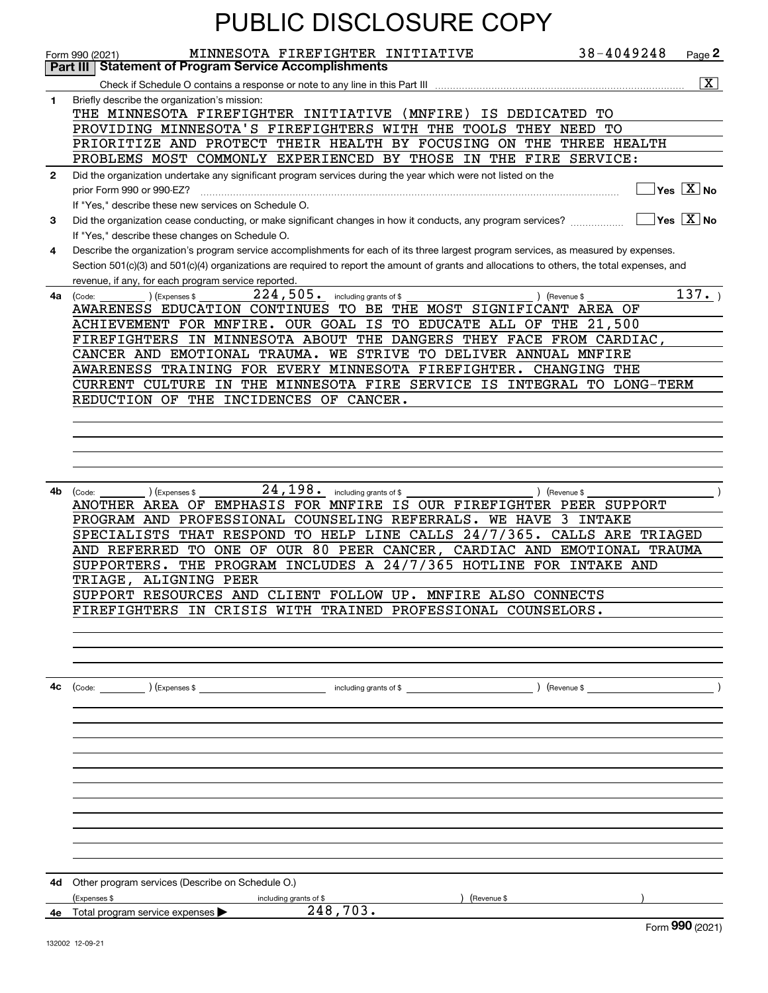|              | <b>PUBLIC DISCLOSURE COPY</b>                                                                                                                                                                                                                                                                                                               |                                         |                             |
|--------------|---------------------------------------------------------------------------------------------------------------------------------------------------------------------------------------------------------------------------------------------------------------------------------------------------------------------------------------------|-----------------------------------------|-----------------------------|
|              | MINNESOTA FIREFIGHTER INITIATIVE<br>Form 990 (2021)                                                                                                                                                                                                                                                                                         | 38-4049248                              | Page 2                      |
|              | <b>Statement of Program Service Accomplishments</b><br>Part III                                                                                                                                                                                                                                                                             |                                         |                             |
|              |                                                                                                                                                                                                                                                                                                                                             |                                         | $\overline{\mathbf{x}}$     |
| 1            | Briefly describe the organization's mission:<br>THE MINNESOTA FIREFIGHTER INITIATIVE<br>(MNFIRE)<br>IS DEDICATED                                                                                                                                                                                                                            | TО                                      |                             |
|              | PROVIDING MINNESOTA'S FIREFIGHTERS WITH THE TOOLS THEY NEED                                                                                                                                                                                                                                                                                 | TО                                      |                             |
|              | PRIORITIZE AND PROTECT THEIR HEALTH BY FOCUSING ON THE THREE HEALTH                                                                                                                                                                                                                                                                         |                                         |                             |
|              | PROBLEMS MOST COMMONLY EXPERIENCED BY THOSE IN THE FIRE SERVICE:                                                                                                                                                                                                                                                                            |                                         |                             |
| $\mathbf{2}$ | Did the organization undertake any significant program services during the year which were not listed on the<br>prior Form 990 or 990-EZ?<br>If "Yes," describe these new services on Schedule O.                                                                                                                                           |                                         | $Yes$ $X$ No                |
| 3            | Did the organization cease conducting, or make significant changes in how it conducts, any program services?<br>If "Yes," describe these changes on Schedule O.                                                                                                                                                                             |                                         | $ Yes  \times  No $         |
| 4            | Describe the organization's program service accomplishments for each of its three largest program services, as measured by expenses.<br>Section 501(c)(3) and 501(c)(4) organizations are required to report the amount of grants and allocations to others, the total expenses, and<br>revenue, if any, for each program service reported. |                                         |                             |
| 4a           | 224,505.<br>including grants of \$<br>) (Revenue \$<br>(Expenses \$<br>(Code:<br>AWARENESS EDUCATION CONTINUES TO BE THE MOST SIGNIFICANT AREA OF<br>ACHIEVEMENT FOR MNFIRE. OUR GOAL IS TO EDUCATE ALL OF THE 21,500                                                                                                                       |                                         | 137.                        |
|              | FIREFIGHTERS IN MINNESOTA ABOUT THE DANGERS THEY FACE FROM CARDIAC,                                                                                                                                                                                                                                                                         |                                         |                             |
|              | CANCER AND EMOTIONAL TRAUMA. WE STRIVE TO DELIVER ANNUAL MNFIRE                                                                                                                                                                                                                                                                             |                                         |                             |
|              | AWARENESS TRAINING FOR EVERY MINNESOTA FIREFIGHTER. CHANGING THE                                                                                                                                                                                                                                                                            |                                         |                             |
|              | IN THE MINNESOTA FIRE SERVICE IS INTEGRAL TO LONG-TERM<br>CURRENT CULTURE                                                                                                                                                                                                                                                                   |                                         |                             |
|              | REDUCTION OF THE INCIDENCES OF CANCER.                                                                                                                                                                                                                                                                                                      |                                         |                             |
|              |                                                                                                                                                                                                                                                                                                                                             |                                         |                             |
|              |                                                                                                                                                                                                                                                                                                                                             |                                         |                             |
|              |                                                                                                                                                                                                                                                                                                                                             |                                         |                             |
|              |                                                                                                                                                                                                                                                                                                                                             |                                         |                             |
| 4b           | 24,198.<br>(Expenses \$<br>including grants of \$<br>) (Revenue \$<br>(Code:                                                                                                                                                                                                                                                                |                                         |                             |
|              | ANOTHER AREA OF EMPHASIS FOR MNFIRE IS OUR FIREFIGHTER PEER SUPPORT                                                                                                                                                                                                                                                                         |                                         |                             |
|              | PROGRAM AND PROFESSIONAL COUNSELING REFERRALS.<br><b>WE HAVE</b><br>THAT RESPOND TO HELP LINE CALLS 24/7/365.                                                                                                                                                                                                                               | 3 INTAKE<br>CALLS ARE                   |                             |
|              | SPECIALISTS<br>AND REFERRED TO ONE OF OUR 80 PEER CANCER,                                                                                                                                                                                                                                                                                   | TRIAGED<br>CARDIAC AND EMOTIONAL TRAUMA |                             |
|              | THE PROGRAM INCLUDES A 24/7/365 HOTLINE FOR INTAKE AND<br>SUPPORTERS.                                                                                                                                                                                                                                                                       |                                         |                             |
|              | TRIAGE, ALIGNING PEER                                                                                                                                                                                                                                                                                                                       |                                         |                             |
|              | SUPPORT RESOURCES AND CLIENT FOLLOW UP. MNFIRE ALSO CONNECTS                                                                                                                                                                                                                                                                                |                                         |                             |
|              | FIREFIGHTERS IN CRISIS WITH TRAINED PROFESSIONAL COUNSELORS.                                                                                                                                                                                                                                                                                |                                         |                             |
|              |                                                                                                                                                                                                                                                                                                                                             |                                         |                             |
|              |                                                                                                                                                                                                                                                                                                                                             |                                         |                             |
|              |                                                                                                                                                                                                                                                                                                                                             |                                         |                             |
| 4с           |                                                                                                                                                                                                                                                                                                                                             |                                         |                             |
|              |                                                                                                                                                                                                                                                                                                                                             |                                         |                             |
|              |                                                                                                                                                                                                                                                                                                                                             |                                         |                             |
|              |                                                                                                                                                                                                                                                                                                                                             |                                         |                             |
|              |                                                                                                                                                                                                                                                                                                                                             |                                         |                             |
|              |                                                                                                                                                                                                                                                                                                                                             |                                         |                             |
|              |                                                                                                                                                                                                                                                                                                                                             |                                         |                             |
|              |                                                                                                                                                                                                                                                                                                                                             |                                         |                             |
|              |                                                                                                                                                                                                                                                                                                                                             |                                         |                             |
|              |                                                                                                                                                                                                                                                                                                                                             |                                         |                             |
|              |                                                                                                                                                                                                                                                                                                                                             |                                         |                             |
|              |                                                                                                                                                                                                                                                                                                                                             |                                         |                             |
|              | <b>4d</b> Other program services (Describe on Schedule O.)                                                                                                                                                                                                                                                                                  |                                         |                             |
|              | (Expenses \$<br>including grants of \$<br>) (Revenue \$<br>248, 703.                                                                                                                                                                                                                                                                        |                                         |                             |
|              | 4e Total program service expenses                                                                                                                                                                                                                                                                                                           |                                         | $F_{\text{OCD}}$ 990 (2021) |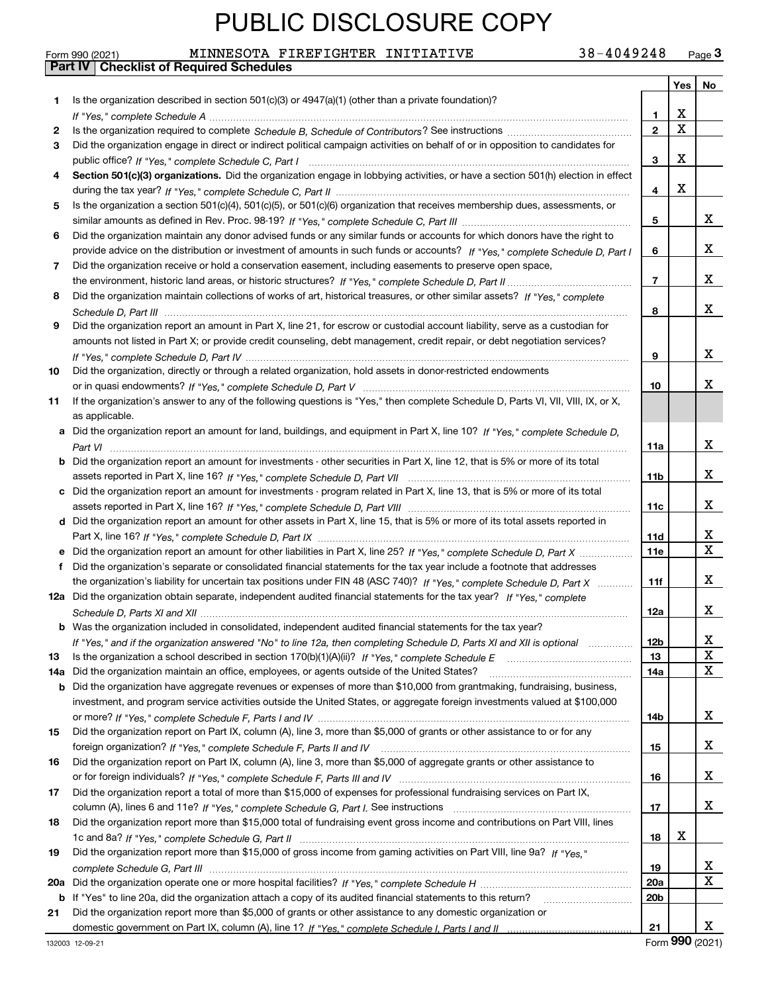Form 990 (2021) MINNESOTA FIREFIGHTER INITIATIVE 38-4049248 <sub>Page</sub> 3<br>**Part IV | Checklist of Required Schedules** 

|     |                                                                                                                                                                                                                         |                       | Yes | No     |
|-----|-------------------------------------------------------------------------------------------------------------------------------------------------------------------------------------------------------------------------|-----------------------|-----|--------|
| 1   | Is the organization described in section 501(c)(3) or 4947(a)(1) (other than a private foundation)?                                                                                                                     |                       |     |        |
|     |                                                                                                                                                                                                                         | 1                     | х   |        |
| 2   |                                                                                                                                                                                                                         | $\mathbf{2}$          | X   |        |
| 3   | Did the organization engage in direct or indirect political campaign activities on behalf of or in opposition to candidates for                                                                                         |                       |     |        |
|     |                                                                                                                                                                                                                         | 3                     | x   |        |
| 4   | Section 501(c)(3) organizations. Did the organization engage in lobbying activities, or have a section 501(h) election in effect                                                                                        |                       |     |        |
|     |                                                                                                                                                                                                                         | 4                     | х   |        |
| 5   | Is the organization a section 501(c)(4), 501(c)(5), or 501(c)(6) organization that receives membership dues, assessments, or                                                                                            |                       |     |        |
|     |                                                                                                                                                                                                                         | 5                     |     | X.     |
| 6   | Did the organization maintain any donor advised funds or any similar funds or accounts for which donors have the right to                                                                                               |                       |     |        |
|     | provide advice on the distribution or investment of amounts in such funds or accounts? If "Yes," complete Schedule D, Part I                                                                                            | 6                     |     | x      |
| 7   | Did the organization receive or hold a conservation easement, including easements to preserve open space,                                                                                                               |                       |     |        |
|     |                                                                                                                                                                                                                         | 7                     |     | x      |
| 8   | Did the organization maintain collections of works of art, historical treasures, or other similar assets? If "Yes," complete                                                                                            |                       |     |        |
|     |                                                                                                                                                                                                                         | 8                     |     | x      |
| 9   | Did the organization report an amount in Part X, line 21, for escrow or custodial account liability, serve as a custodian for                                                                                           |                       |     |        |
|     | amounts not listed in Part X; or provide credit counseling, debt management, credit repair, or debt negotiation services?                                                                                               |                       |     |        |
|     |                                                                                                                                                                                                                         | 9                     |     | X.     |
| 10  | Did the organization, directly or through a related organization, hold assets in donor-restricted endowments                                                                                                            |                       |     |        |
|     |                                                                                                                                                                                                                         | 10                    |     | x.     |
| 11  | If the organization's answer to any of the following questions is "Yes," then complete Schedule D, Parts VI, VII, VIII, IX, or X,                                                                                       |                       |     |        |
|     | as applicable.                                                                                                                                                                                                          |                       |     |        |
|     | a Did the organization report an amount for land, buildings, and equipment in Part X, line 10? If "Yes," complete Schedule D,                                                                                           |                       |     |        |
|     |                                                                                                                                                                                                                         | 11a                   |     | x      |
|     | <b>b</b> Did the organization report an amount for investments - other securities in Part X, line 12, that is 5% or more of its total                                                                                   |                       |     |        |
|     |                                                                                                                                                                                                                         | 11b                   |     | X.     |
|     | c Did the organization report an amount for investments - program related in Part X, line 13, that is 5% or more of its total                                                                                           |                       |     |        |
|     |                                                                                                                                                                                                                         | 11c                   |     | X.     |
|     | d Did the organization report an amount for other assets in Part X, line 15, that is 5% or more of its total assets reported in                                                                                         |                       |     |        |
|     |                                                                                                                                                                                                                         | 11d                   |     | x<br>X |
| е   |                                                                                                                                                                                                                         | <b>11e</b>            |     |        |
| f   | Did the organization's separate or consolidated financial statements for the tax year include a footnote that addresses                                                                                                 |                       |     | x      |
|     | the organization's liability for uncertain tax positions under FIN 48 (ASC 740)? If "Yes," complete Schedule D, Part X                                                                                                  | 11f                   |     |        |
|     | 12a Did the organization obtain separate, independent audited financial statements for the tax year? If "Yes," complete                                                                                                 |                       |     | X.     |
|     |                                                                                                                                                                                                                         | 12a                   |     |        |
|     | <b>b</b> Was the organization included in consolidated, independent audited financial statements for the tax year?                                                                                                      |                       |     | X      |
|     | "Yes," and if the organization answered "No" to line 12a, then completing Schedule D, Parts XI and XII is optional<br>Is the organization a school described in section 170(b)(1)(A)(ii)? If "Yes," complete Schedule E | 12 <sub>b</sub><br>13 |     | X      |
| 13  | Did the organization maintain an office, employees, or agents outside of the United States?                                                                                                                             | 14a                   |     | x      |
| 14a | b Did the organization have aggregate revenues or expenses of more than \$10,000 from grantmaking, fundraising, business,                                                                                               |                       |     |        |
|     | investment, and program service activities outside the United States, or aggregate foreign investments valued at \$100,000                                                                                              |                       |     |        |
|     |                                                                                                                                                                                                                         | 14b                   |     | X.     |
| 15  | Did the organization report on Part IX, column (A), line 3, more than \$5,000 of grants or other assistance to or for any                                                                                               |                       |     |        |
|     |                                                                                                                                                                                                                         | 15                    |     | X.     |
| 16  | Did the organization report on Part IX, column (A), line 3, more than \$5,000 of aggregate grants or other assistance to                                                                                                |                       |     |        |
|     |                                                                                                                                                                                                                         | 16                    |     | X.     |
| 17  | Did the organization report a total of more than \$15,000 of expenses for professional fundraising services on Part IX,                                                                                                 |                       |     |        |
|     |                                                                                                                                                                                                                         | 17                    |     | X.     |
| 18  | Did the organization report more than \$15,000 total of fundraising event gross income and contributions on Part VIII, lines                                                                                            |                       |     |        |
|     |                                                                                                                                                                                                                         | 18                    | x   |        |
| 19  | Did the organization report more than \$15,000 of gross income from gaming activities on Part VIII, line 9a? If "Yes."                                                                                                  |                       |     |        |
|     |                                                                                                                                                                                                                         | 19                    |     | X.     |
|     |                                                                                                                                                                                                                         | 20a                   |     | X      |
|     | b If "Yes" to line 20a, did the organization attach a copy of its audited financial statements to this return?                                                                                                          | 20b                   |     |        |
| 21  | Did the organization report more than \$5,000 of grants or other assistance to any domestic organization or                                                                                                             |                       |     |        |
|     |                                                                                                                                                                                                                         | 21                    |     | X.     |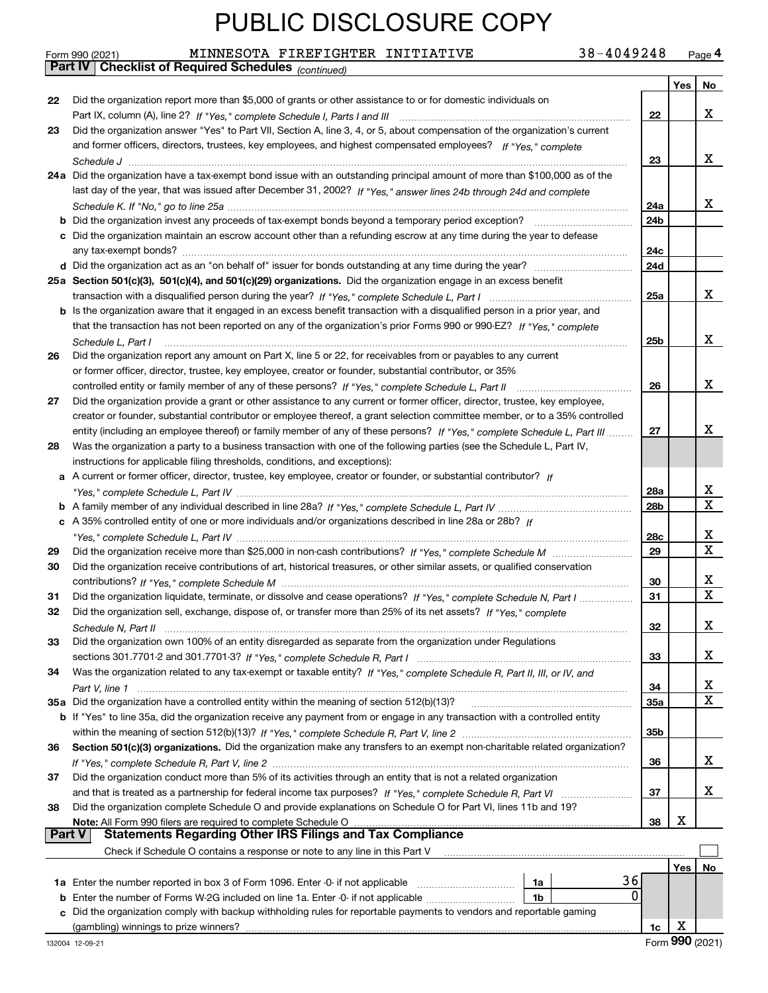|        | MINNESOTA FIREFIGHTER INITIATIVE<br>38-4049248<br>Form 990 (2021)                                                            |                 |     | Page 4      |
|--------|------------------------------------------------------------------------------------------------------------------------------|-----------------|-----|-------------|
|        | <b>Part IV</b> Checklist of Required Schedules (continued)                                                                   |                 |     |             |
|        |                                                                                                                              |                 | Yes | No          |
| 22     | Did the organization report more than \$5,000 of grants or other assistance to or for domestic individuals on                |                 |     |             |
|        |                                                                                                                              | 22              |     | x           |
| 23     | Did the organization answer "Yes" to Part VII, Section A, line 3, 4, or 5, about compensation of the organization's current  |                 |     |             |
|        | and former officers, directors, trustees, key employees, and highest compensated employees? If "Yes," complete               |                 |     |             |
|        |                                                                                                                              | 23              |     | x           |
|        | 24a Did the organization have a tax-exempt bond issue with an outstanding principal amount of more than \$100,000 as of the  |                 |     |             |
|        | last day of the year, that was issued after December 31, 2002? If "Yes," answer lines 24b through 24d and complete           |                 |     |             |
|        |                                                                                                                              | 24a             |     | x           |
|        |                                                                                                                              | 24b             |     |             |
|        |                                                                                                                              |                 |     |             |
|        | c Did the organization maintain an escrow account other than a refunding escrow at any time during the year to defease       |                 |     |             |
|        |                                                                                                                              | 24c             |     |             |
|        |                                                                                                                              | 24d             |     |             |
|        | 25a Section 501(c)(3), 501(c)(4), and 501(c)(29) organizations. Did the organization engage in an excess benefit             |                 |     |             |
|        |                                                                                                                              | 25a             |     | x           |
|        | b Is the organization aware that it engaged in an excess benefit transaction with a disqualified person in a prior year, and |                 |     |             |
|        | that the transaction has not been reported on any of the organization's prior Forms 990 or 990-EZ? If "Yes," complete        |                 |     |             |
|        | Schedule L, Part I                                                                                                           | 25b             |     | x           |
| 26     | Did the organization report any amount on Part X, line 5 or 22, for receivables from or payables to any current              |                 |     |             |
|        | or former officer, director, trustee, key employee, creator or founder, substantial contributor, or 35%                      |                 |     |             |
|        | controlled entity or family member of any of these persons? If "Yes," complete Schedule L, Part II                           | 26              |     | x           |
| 27     | Did the organization provide a grant or other assistance to any current or former officer, director, trustee, key employee,  |                 |     |             |
|        | creator or founder, substantial contributor or employee thereof, a grant selection committee member, or to a 35% controlled  |                 |     |             |
|        | entity (including an employee thereof) or family member of any of these persons? If "Yes," complete Schedule L, Part III     | 27              |     | х           |
| 28     | Was the organization a party to a business transaction with one of the following parties (see the Schedule L, Part IV,       |                 |     |             |
|        | instructions for applicable filing thresholds, conditions, and exceptions):                                                  |                 |     |             |
|        | a A current or former officer, director, trustee, key employee, creator or founder, or substantial contributor? If           |                 |     |             |
|        |                                                                                                                              |                 |     | х           |
|        |                                                                                                                              | 28a             |     | X           |
|        |                                                                                                                              | 28 <sub>b</sub> |     |             |
|        | c A 35% controlled entity of one or more individuals and/or organizations described in line 28a or 28b? If                   |                 |     |             |
|        |                                                                                                                              | 28c             |     | x           |
| 29     |                                                                                                                              | 29              |     | $\mathbf X$ |
| 30     | Did the organization receive contributions of art, historical treasures, or other similar assets, or qualified conservation  |                 |     |             |
|        |                                                                                                                              | 30              |     | х           |
| 31     | Did the organization liquidate, terminate, or dissolve and cease operations? If "Yes," complete Schedule N, Part I           | 31              |     | X           |
| 32     | Did the organization sell, exchange, dispose of, or transfer more than 25% of its net assets? If "Yes," complete             |                 |     |             |
|        |                                                                                                                              | 32              |     | x           |
| 33     | Did the organization own 100% of an entity disregarded as separate from the organization under Regulations                   |                 |     |             |
|        |                                                                                                                              | 33              |     | х           |
| 34     | Was the organization related to any tax-exempt or taxable entity? If "Yes," complete Schedule R, Part II, III, or IV, and    |                 |     |             |
|        |                                                                                                                              | 34              |     | X           |
|        | 35a Did the organization have a controlled entity within the meaning of section 512(b)(13)?                                  | <b>35a</b>      |     | $\mathbf X$ |
|        | b If "Yes" to line 35a, did the organization receive any payment from or engage in any transaction with a controlled entity  |                 |     |             |
|        |                                                                                                                              | 35b             |     |             |
| 36     | Section 501(c)(3) organizations. Did the organization make any transfers to an exempt non-charitable related organization?   |                 |     |             |
|        |                                                                                                                              | 36              |     | х           |
|        |                                                                                                                              |                 |     |             |
| 37     | Did the organization conduct more than 5% of its activities through an entity that is not a related organization             |                 |     | х           |
|        |                                                                                                                              | 37              |     |             |
| 38     | Did the organization complete Schedule O and provide explanations on Schedule O for Part VI, lines 11b and 19?               |                 |     |             |
|        | Note: All Form 990 filers are required to complete Schedule O                                                                | 38              | х   |             |
| Part V | <b>Statements Regarding Other IRS Filings and Tax Compliance</b>                                                             |                 |     |             |
|        | Check if Schedule O contains a response or note to any line in this Part V                                                   |                 |     |             |
|        |                                                                                                                              |                 | Yes | No          |
|        | 36<br>1a Enter the number reported in box 3 of Form 1096. Enter -0- if not applicable<br>1a                                  |                 |     |             |
| b      | 0<br>Enter the number of Forms W-2G included on line 1a. Enter -0- if not applicable<br>1b                                   |                 |     |             |
|        | Did the organization comply with backup withholding rules for reportable payments to vendors and reportable gaming           |                 |     |             |
|        |                                                                                                                              | 1c              | х   |             |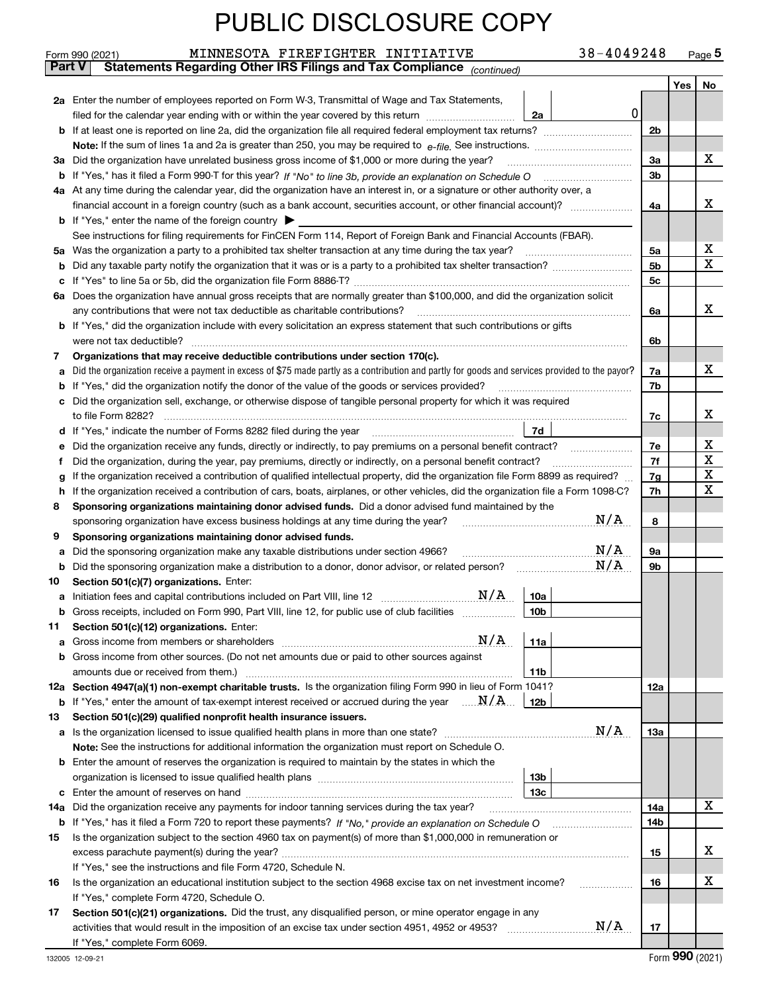| 38-4049248 | Page $5$ |
|------------|----------|
|------------|----------|

|               | 38-4049248<br>MINNESOTA FIREFIGHTER INITIATIVE<br>Form 990 (2021)                                                                               |                               |     | $_{\text{Page}}$ 5 |  |  |  |
|---------------|-------------------------------------------------------------------------------------------------------------------------------------------------|-------------------------------|-----|--------------------|--|--|--|
| <b>Part V</b> | Statements Regarding Other IRS Filings and Tax Compliance (continued)                                                                           |                               |     |                    |  |  |  |
|               |                                                                                                                                                 |                               | Yes | No                 |  |  |  |
|               | 2a Enter the number of employees reported on Form W-3, Transmittal of Wage and Tax Statements,                                                  |                               |     |                    |  |  |  |
|               | $\mathbf 0$<br>filed for the calendar year ending with or within the year covered by this return<br>2a                                          |                               |     |                    |  |  |  |
|               |                                                                                                                                                 | 2 <sub>b</sub>                |     |                    |  |  |  |
|               |                                                                                                                                                 |                               |     |                    |  |  |  |
| За            | Did the organization have unrelated business gross income of \$1,000 or more during the year?                                                   | 3a                            |     | x                  |  |  |  |
| b             |                                                                                                                                                 | 3 <sub>b</sub>                |     |                    |  |  |  |
|               |                                                                                                                                                 |                               |     |                    |  |  |  |
|               | 4a At any time during the calendar year, did the organization have an interest in, or a signature or other authority over, a                    |                               |     | x                  |  |  |  |
|               |                                                                                                                                                 | 4a                            |     |                    |  |  |  |
|               | <b>b</b> If "Yes," enter the name of the foreign country $\blacktriangleright$                                                                  |                               |     |                    |  |  |  |
|               | See instructions for filing requirements for FinCEN Form 114, Report of Foreign Bank and Financial Accounts (FBAR).                             |                               |     |                    |  |  |  |
| 5a            | Was the organization a party to a prohibited tax shelter transaction at any time during the tax year?                                           | 5a                            |     | х                  |  |  |  |
| b             |                                                                                                                                                 | 5 <sub>b</sub>                |     | x                  |  |  |  |
| с             |                                                                                                                                                 | 5c                            |     |                    |  |  |  |
|               | 6a Does the organization have annual gross receipts that are normally greater than \$100,000, and did the organization solicit                  |                               |     |                    |  |  |  |
|               | any contributions that were not tax deductible as charitable contributions?                                                                     | 6a                            |     | x                  |  |  |  |
|               | <b>b</b> If "Yes," did the organization include with every solicitation an express statement that such contributions or gifts                   |                               |     |                    |  |  |  |
|               | were not tax deductible?                                                                                                                        | 6b                            |     |                    |  |  |  |
| 7             | Organizations that may receive deductible contributions under section 170(c).                                                                   |                               |     |                    |  |  |  |
| а             | Did the organization receive a payment in excess of \$75 made partly as a contribution and partly for goods and services provided to the payor? | 7a                            |     | x                  |  |  |  |
| b             | If "Yes," did the organization notify the donor of the value of the goods or services provided?                                                 | 7b                            |     |                    |  |  |  |
|               | Did the organization sell, exchange, or otherwise dispose of tangible personal property for which it was required                               |                               |     |                    |  |  |  |
|               |                                                                                                                                                 | 7c                            |     | x                  |  |  |  |
| d             | 7d                                                                                                                                              |                               |     |                    |  |  |  |
| е             | Did the organization receive any funds, directly or indirectly, to pay premiums on a personal benefit contract?                                 | 7e                            |     | х                  |  |  |  |
| f             | Did the organization, during the year, pay premiums, directly or indirectly, on a personal benefit contract?                                    | 7f                            |     | X                  |  |  |  |
| g             | If the organization received a contribution of qualified intellectual property, did the organization file Form 8899 as required?                | 7g                            |     | X                  |  |  |  |
| h             | If the organization received a contribution of cars, boats, airplanes, or other vehicles, did the organization file a Form 1098-C?              | 7h                            |     | x                  |  |  |  |
| 8             | Sponsoring organizations maintaining donor advised funds. Did a donor advised fund maintained by the                                            |                               |     |                    |  |  |  |
|               | N/A<br>sponsoring organization have excess business holdings at any time during the year?                                                       | 8                             |     |                    |  |  |  |
| 9             | Sponsoring organizations maintaining donor advised funds.                                                                                       |                               |     |                    |  |  |  |
|               | N/A<br>Did the sponsoring organization make any taxable distributions under section 4966?                                                       | 9а                            |     |                    |  |  |  |
| а             | N/A<br>Did the sponsoring organization make a distribution to a donor, donor advisor, or related person?                                        | 9b                            |     |                    |  |  |  |
| b             |                                                                                                                                                 |                               |     |                    |  |  |  |
| 10            | Section 501(c)(7) organizations. Enter:                                                                                                         |                               |     |                    |  |  |  |
| а             | 10a                                                                                                                                             |                               |     |                    |  |  |  |
|               | 10 <sub>b</sub><br>Gross receipts, included on Form 990, Part VIII, line 12, for public use of club facilities                                  |                               |     |                    |  |  |  |
| 11            | Section 501(c)(12) organizations. Enter:                                                                                                        |                               |     |                    |  |  |  |
| а             | N/A<br>11a<br>Gross income from members or shareholders                                                                                         |                               |     |                    |  |  |  |
| b             | Gross income from other sources. (Do not net amounts due or paid to other sources against                                                       |                               |     |                    |  |  |  |
|               | 11b<br>amounts due or received from them.)                                                                                                      |                               |     |                    |  |  |  |
|               | 12a Section 4947(a)(1) non-exempt charitable trusts. Is the organization filing Form 990 in lieu of Form 1041?                                  | 12a                           |     |                    |  |  |  |
|               | <b>b</b> If "Yes," enter the amount of tax-exempt interest received or accrued during the year $\ldots \mathbf{N}/\mathbf{A}$<br><b>12b</b>     |                               |     |                    |  |  |  |
| 13            | Section 501(c)(29) qualified nonprofit health insurance issuers.                                                                                |                               |     |                    |  |  |  |
| a             | N/A<br>Is the organization licensed to issue qualified health plans in more than one state?                                                     | 13a                           |     |                    |  |  |  |
|               | Note: See the instructions for additional information the organization must report on Schedule O.                                               |                               |     |                    |  |  |  |
| b             | Enter the amount of reserves the organization is required to maintain by the states in which the                                                |                               |     |                    |  |  |  |
|               | 13 <sub>b</sub>                                                                                                                                 |                               |     |                    |  |  |  |
| с             | 13 <sub>c</sub>                                                                                                                                 |                               |     |                    |  |  |  |
| 14a           | Did the organization receive any payments for indoor tanning services during the tax year?                                                      | 14a                           |     | X                  |  |  |  |
|               | <b>b</b> If "Yes," has it filed a Form 720 to report these payments? If "No," provide an explanation on Schedule O                              | 14b                           |     |                    |  |  |  |
| 15            | Is the organization subject to the section 4960 tax on payment(s) of more than \$1,000,000 in remuneration or                                   |                               |     |                    |  |  |  |
|               |                                                                                                                                                 | 15                            |     | x                  |  |  |  |
|               | If "Yes," see the instructions and file Form 4720, Schedule N.                                                                                  |                               |     |                    |  |  |  |
| 16            | Is the organization an educational institution subject to the section 4968 excise tax on net investment income?                                 | 16                            |     | х                  |  |  |  |
|               | If "Yes," complete Form 4720, Schedule O.                                                                                                       |                               |     |                    |  |  |  |
|               |                                                                                                                                                 |                               |     |                    |  |  |  |
| 17            | Section 501(c)(21) organizations. Did the trust, any disqualified person, or mine operator engage in any<br>N/A                                 |                               |     |                    |  |  |  |
|               |                                                                                                                                                 | 17                            |     |                    |  |  |  |
|               |                                                                                                                                                 | If "Yes," complete Form 6069. |     |                    |  |  |  |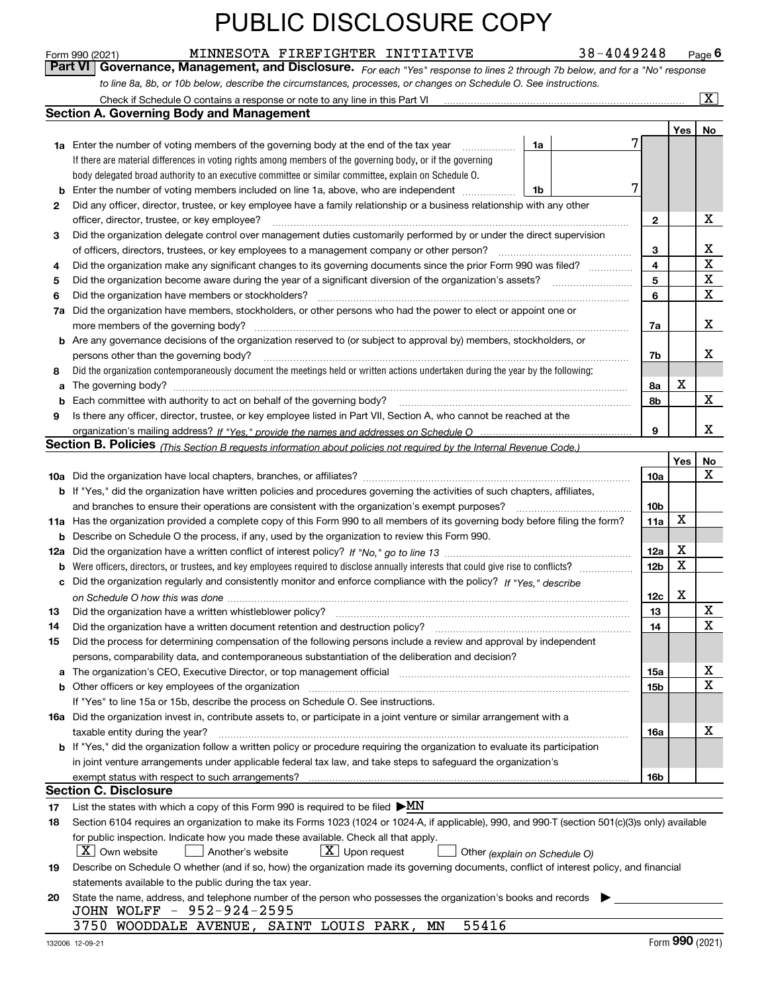MINNESOTA FIREFIGHTER INITIATIVE 38-4049248

*For each "Yes" response to lines 2 through 7b below, and for a "No" response to line 8a, 8b, or 10b below, describe the circumstances, processes, or changes on Schedule O. See instructions.* Form 990 (2021) **1990 (2021)** MINNESOTA FIREFIGHTER INITIATIVE 38-4049248 Page 6<br>**Part VI** | Governance, Management, and Disclosure. *For each "Yes" response to lines 2 through 7b below, and for a "No" response* 

|     | Check if Schedule O contains a response or note to any line in this Part VI                                                                                           |    |  |  |                         |     | $\overline{\mathbf{x}}$ |  |  |  |  |
|-----|-----------------------------------------------------------------------------------------------------------------------------------------------------------------------|----|--|--|-------------------------|-----|-------------------------|--|--|--|--|
|     | <b>Section A. Governing Body and Management</b>                                                                                                                       |    |  |  |                         |     |                         |  |  |  |  |
|     |                                                                                                                                                                       |    |  |  |                         | Yes | No                      |  |  |  |  |
|     | <b>1a</b> Enter the number of voting members of the governing body at the end of the tax year                                                                         | 1a |  |  |                         |     |                         |  |  |  |  |
|     | If there are material differences in voting rights among members of the governing body, or if the governing                                                           |    |  |  |                         |     |                         |  |  |  |  |
|     | body delegated broad authority to an executive committee or similar committee, explain on Schedule O.                                                                 |    |  |  |                         |     |                         |  |  |  |  |
| b   | Enter the number of voting members included on line 1a, above, who are independent<br>1b                                                                              |    |  |  |                         |     |                         |  |  |  |  |
| 2   | Did any officer, director, trustee, or key employee have a family relationship or a business relationship with any other                                              |    |  |  |                         |     |                         |  |  |  |  |
|     | officer, director, trustee, or key employee?                                                                                                                          |    |  |  | 2                       |     | X                       |  |  |  |  |
| 3   | Did the organization delegate control over management duties customarily performed by or under the direct supervision                                                 |    |  |  |                         |     |                         |  |  |  |  |
|     | of officers, directors, trustees, or key employees to a management company or other person?                                                                           |    |  |  | 3                       |     | х                       |  |  |  |  |
| 4   | Did the organization make any significant changes to its governing documents since the prior Form 990 was filed?                                                      |    |  |  | $\overline{4}$          |     | $\mathbf X$             |  |  |  |  |
| 5   |                                                                                                                                                                       |    |  |  | $\overline{\mathbf{5}}$ |     | X                       |  |  |  |  |
| 6   | Did the organization have members or stockholders?                                                                                                                    |    |  |  | 6                       |     | X                       |  |  |  |  |
| 7a  | Did the organization have members, stockholders, or other persons who had the power to elect or appoint one or                                                        |    |  |  |                         |     |                         |  |  |  |  |
|     | more members of the governing body?                                                                                                                                   |    |  |  | 7a                      |     | x                       |  |  |  |  |
|     | <b>b</b> Are any governance decisions of the organization reserved to (or subject to approval by) members, stockholders, or                                           |    |  |  |                         |     |                         |  |  |  |  |
|     | persons other than the governing body?                                                                                                                                |    |  |  | 7b                      |     | x                       |  |  |  |  |
| 8   | Did the organization contemporaneously document the meetings held or written actions undertaken during the year by the following:                                     |    |  |  |                         |     |                         |  |  |  |  |
| a   | The governing body?                                                                                                                                                   |    |  |  | 8a                      | х   |                         |  |  |  |  |
| b   |                                                                                                                                                                       |    |  |  | 8b                      |     | x                       |  |  |  |  |
| 9   | Is there any officer, director, trustee, or key employee listed in Part VII, Section A, who cannot be reached at the                                                  |    |  |  |                         |     |                         |  |  |  |  |
|     |                                                                                                                                                                       |    |  |  | 9                       |     | x                       |  |  |  |  |
|     | <b>Section B. Policies</b> (This Section B requests information about policies not required by the Internal Revenue Code.)                                            |    |  |  |                         |     |                         |  |  |  |  |
|     |                                                                                                                                                                       |    |  |  |                         | Yes | No                      |  |  |  |  |
|     |                                                                                                                                                                       |    |  |  | 10a                     |     | x                       |  |  |  |  |
|     | <b>b</b> If "Yes," did the organization have written policies and procedures governing the activities of such chapters, affiliates,                                   |    |  |  |                         |     |                         |  |  |  |  |
|     | and branches to ensure their operations are consistent with the organization's exempt purposes?                                                                       |    |  |  | 10 <sub>b</sub>         |     |                         |  |  |  |  |
|     | 11a Has the organization provided a complete copy of this Form 990 to all members of its governing body before filing the form?                                       |    |  |  |                         |     |                         |  |  |  |  |
| b   | Describe on Schedule O the process, if any, used by the organization to review this Form 990.                                                                         |    |  |  |                         |     |                         |  |  |  |  |
| 12a |                                                                                                                                                                       |    |  |  | 12a                     | X   |                         |  |  |  |  |
| b   | Were officers, directors, or trustees, and key employees required to disclose annually interests that could give rise to conflicts?                                   |    |  |  | 12 <sub>b</sub>         | X   |                         |  |  |  |  |
| с   | Did the organization regularly and consistently monitor and enforce compliance with the policy? If "Yes." describe                                                    |    |  |  |                         |     |                         |  |  |  |  |
|     |                                                                                                                                                                       |    |  |  | 12c                     | X   |                         |  |  |  |  |
| 13  | Did the organization have a written whistleblower policy?                                                                                                             |    |  |  | 13                      |     | X                       |  |  |  |  |
| 14  | Did the organization have a written document retention and destruction policy?                                                                                        |    |  |  | 14                      |     | X                       |  |  |  |  |
| 15  | Did the process for determining compensation of the following persons include a review and approval by independent                                                    |    |  |  |                         |     |                         |  |  |  |  |
|     | persons, comparability data, and contemporaneous substantiation of the deliberation and decision?                                                                     |    |  |  |                         |     |                         |  |  |  |  |
| a   | The organization's CEO, Executive Director, or top management official manufactured content of the organization's CEO, Executive Director, or top management official |    |  |  | 15a                     |     | х                       |  |  |  |  |
|     |                                                                                                                                                                       |    |  |  | 15b                     |     | X                       |  |  |  |  |
|     | If "Yes" to line 15a or 15b, describe the process on Schedule O. See instructions.                                                                                    |    |  |  |                         |     |                         |  |  |  |  |
|     | 16a Did the organization invest in, contribute assets to, or participate in a joint venture or similar arrangement with a                                             |    |  |  |                         |     |                         |  |  |  |  |
|     | taxable entity during the year?                                                                                                                                       |    |  |  | 16a                     |     | X                       |  |  |  |  |
|     | b If "Yes," did the organization follow a written policy or procedure requiring the organization to evaluate its participation                                        |    |  |  |                         |     |                         |  |  |  |  |
|     | in joint venture arrangements under applicable federal tax law, and take steps to safeguard the organization's                                                        |    |  |  |                         |     |                         |  |  |  |  |
|     | exempt status with respect to such arrangements?                                                                                                                      |    |  |  | 16b                     |     |                         |  |  |  |  |
|     | Section C. Disclosure                                                                                                                                                 |    |  |  |                         |     |                         |  |  |  |  |
| 17  | List the states with which a copy of this Form 990 is required to be filed $\triangleright$ MN                                                                        |    |  |  |                         |     |                         |  |  |  |  |
| 18  | Section 6104 requires an organization to make its Forms 1023 (1024 or 1024-A, if applicable), 990, and 990-T (section 501(c)(3)s only) available                      |    |  |  |                         |     |                         |  |  |  |  |
|     | for public inspection. Indicate how you made these available. Check all that apply.                                                                                   |    |  |  |                         |     |                         |  |  |  |  |
|     | $X$ Own website<br>$X$ Upon request<br>Another's website<br>Other (explain on Schedule O)                                                                             |    |  |  |                         |     |                         |  |  |  |  |
| 19  | Describe on Schedule O whether (and if so, how) the organization made its governing documents, conflict of interest policy, and financial                             |    |  |  |                         |     |                         |  |  |  |  |
|     | statements available to the public during the tax year.                                                                                                               |    |  |  |                         |     |                         |  |  |  |  |
| 20  | State the name, address, and telephone number of the person who possesses the organization's books and records                                                        |    |  |  |                         |     |                         |  |  |  |  |
|     | JOHN WOLFF - 952-924-2595                                                                                                                                             |    |  |  |                         |     |                         |  |  |  |  |
|     | 3750 WOODDALE AVENUE, SAINT LOUIS PARK,<br>55416<br>ΜN                                                                                                                |    |  |  |                         |     |                         |  |  |  |  |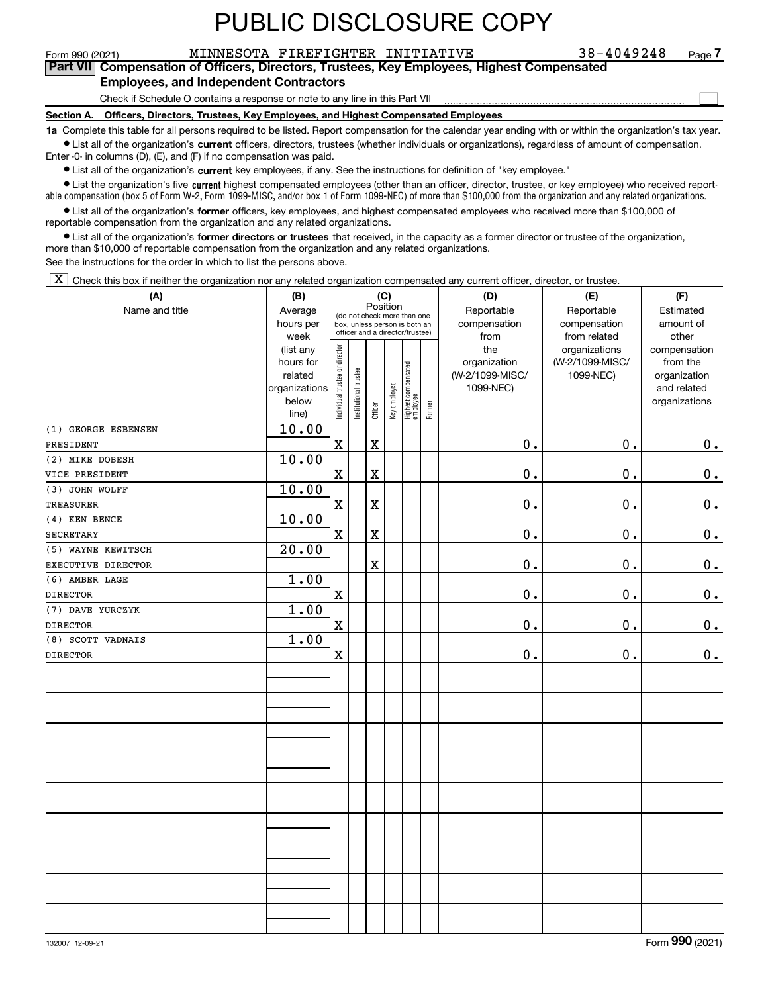$\mathcal{L}^{\text{max}}$ 

#### Form 990 (2021) MINNESOTA FIREFIGHTER INITIATIVE 38-4049248 Page **7Part VII Compensation of Officers, Directors, Trustees, Key Employees, Highest Compensated**

#### **Employees, and Independent Contractors**

Check if Schedule O contains a response or note to any line in this Part VII

**Section A. Officers, Directors, Trustees, Key Employees, and Highest Compensated Employees**

**1a**  Complete this table for all persons required to be listed. Report compensation for the calendar year ending with or within the organization's tax year. **•** List all of the organization's current officers, directors, trustees (whether individuals or organizations), regardless of amount of compensation.

Enter -0- in columns (D), (E), and (F) if no compensation was paid.

 $\bullet$  List all of the organization's  $\sf current$  key employees, if any. See the instructions for definition of "key employee."

• List the organization's five current highest compensated employees (other than an officer, director, trustee, or key employee) who received report-■ List the organization's five current highest compensated employees (other than an officer, director, trustee, or key employee) who received report-<br>able compensation (box 5 of Form W-2, Form 1099-MISC, and/or box 1 of F

**•** List all of the organization's former officers, key employees, and highest compensated employees who received more than \$100,000 of reportable compensation from the organization and any related organizations.

**former directors or trustees**  ¥ List all of the organization's that received, in the capacity as a former director or trustee of the organization, more than \$10,000 of reportable compensation from the organization and any related organizations.

See the instructions for the order in which to list the persons above.

 $\boxed{\textbf{X}}$  Check this box if neither the organization nor any related organization compensated any current officer, director, or trustee.

| (A)                 | (B)           | (C)                            |                       |             |              |                                 |        | (D)             | (E)             |               |  |  |  |
|---------------------|---------------|--------------------------------|-----------------------|-------------|--------------|---------------------------------|--------|-----------------|-----------------|---------------|--|--|--|
| Name and title      | Average       |                                |                       | Position    |              | (do not check more than one     |        | Reportable      | Reportable      | Estimated     |  |  |  |
|                     | hours per     |                                |                       |             |              | box, unless person is both an   |        | compensation    | compensation    | amount of     |  |  |  |
|                     | week          |                                |                       |             |              | officer and a director/trustee) |        | from            | from related    | other         |  |  |  |
|                     | (list any     |                                |                       |             |              |                                 |        | the             | organizations   | compensation  |  |  |  |
|                     | hours for     |                                |                       |             |              |                                 |        | organization    | (W-2/1099-MISC/ | from the      |  |  |  |
|                     | related       |                                |                       |             |              |                                 |        | (W-2/1099-MISC/ | 1099-NEC)       | organization  |  |  |  |
|                     | organizations |                                |                       |             |              |                                 |        | 1099-NEC)       |                 | and related   |  |  |  |
|                     | below         | Individual trustee or director | Institutional trustee | Officer     | Key employee | Highest compensated<br>employee | Former |                 |                 | organizations |  |  |  |
|                     | line)         |                                |                       |             |              |                                 |        |                 |                 |               |  |  |  |
| (1) GEORGE ESBENSEN | 10.00         |                                |                       |             |              |                                 |        |                 |                 |               |  |  |  |
| PRESIDENT           |               | $\mathbf X$                    |                       | $\mathbf x$ |              |                                 |        | 0.              | 0.              | $0_{\cdot}$   |  |  |  |
| (2) MIKE DOBESH     | 10.00         |                                |                       |             |              |                                 |        |                 |                 |               |  |  |  |
| VICE PRESIDENT      |               | $\mathbf X$                    |                       | $\mathbf X$ |              |                                 |        | $0$ .           | 0.              | $\mathbf 0$ . |  |  |  |
| (3) JOHN WOLFF      | 10.00         |                                |                       |             |              |                                 |        |                 |                 |               |  |  |  |
| <b>TREASURER</b>    |               | $\mathbf X$                    |                       | $\mathbf X$ |              |                                 |        | 0.              | $\mathbf 0$ .   | 0.            |  |  |  |
| $(4)$ KEN BENCE     | 10.00         |                                |                       |             |              |                                 |        |                 |                 |               |  |  |  |
| <b>SECRETARY</b>    |               | $\mathbf X$                    |                       | $\mathbf X$ |              |                                 |        | $\mathbf 0$ .   | 0.              | $0_{.}$       |  |  |  |
| (5) WAYNE KEWITSCH  | 20.00         |                                |                       |             |              |                                 |        |                 |                 |               |  |  |  |
| EXECUTIVE DIRECTOR  |               |                                |                       | $\mathbf X$ |              |                                 |        | 0.              | $\mathbf 0$ .   | $0_{.}$       |  |  |  |
| (6) AMBER LAGE      | 1.00          |                                |                       |             |              |                                 |        |                 |                 |               |  |  |  |
| <b>DIRECTOR</b>     |               | $\mathbf x$                    |                       |             |              |                                 |        | 0.              | 0.              | $\mathbf 0$ . |  |  |  |
| (7) DAVE YURCZYK    | 1.00          |                                |                       |             |              |                                 |        |                 |                 |               |  |  |  |
| <b>DIRECTOR</b>     |               | $\mathbf X$                    |                       |             |              |                                 |        | 0.              | 0.              | $\mathbf 0$ . |  |  |  |
| (8) SCOTT VADNAIS   | 1.00          |                                |                       |             |              |                                 |        |                 |                 |               |  |  |  |
| <b>DIRECTOR</b>     |               | $\mathbf X$                    |                       |             |              |                                 |        | $\mathbf 0$ .   | $\mathbf 0$ .   | $0_{.}$       |  |  |  |
|                     |               |                                |                       |             |              |                                 |        |                 |                 |               |  |  |  |
|                     |               |                                |                       |             |              |                                 |        |                 |                 |               |  |  |  |
|                     |               |                                |                       |             |              |                                 |        |                 |                 |               |  |  |  |
|                     |               |                                |                       |             |              |                                 |        |                 |                 |               |  |  |  |
|                     |               |                                |                       |             |              |                                 |        |                 |                 |               |  |  |  |
|                     |               |                                |                       |             |              |                                 |        |                 |                 |               |  |  |  |
|                     |               |                                |                       |             |              |                                 |        |                 |                 |               |  |  |  |
|                     |               |                                |                       |             |              |                                 |        |                 |                 |               |  |  |  |
|                     |               |                                |                       |             |              |                                 |        |                 |                 |               |  |  |  |
|                     |               |                                |                       |             |              |                                 |        |                 |                 |               |  |  |  |
|                     |               |                                |                       |             |              |                                 |        |                 |                 |               |  |  |  |
|                     |               |                                |                       |             |              |                                 |        |                 |                 |               |  |  |  |
|                     |               |                                |                       |             |              |                                 |        |                 |                 |               |  |  |  |
|                     |               |                                |                       |             |              |                                 |        |                 |                 |               |  |  |  |
|                     |               |                                |                       |             |              |                                 |        |                 |                 |               |  |  |  |
|                     |               |                                |                       |             |              |                                 |        |                 |                 |               |  |  |  |
|                     |               |                                |                       |             |              |                                 |        |                 |                 |               |  |  |  |
|                     |               |                                |                       |             |              |                                 |        |                 |                 |               |  |  |  |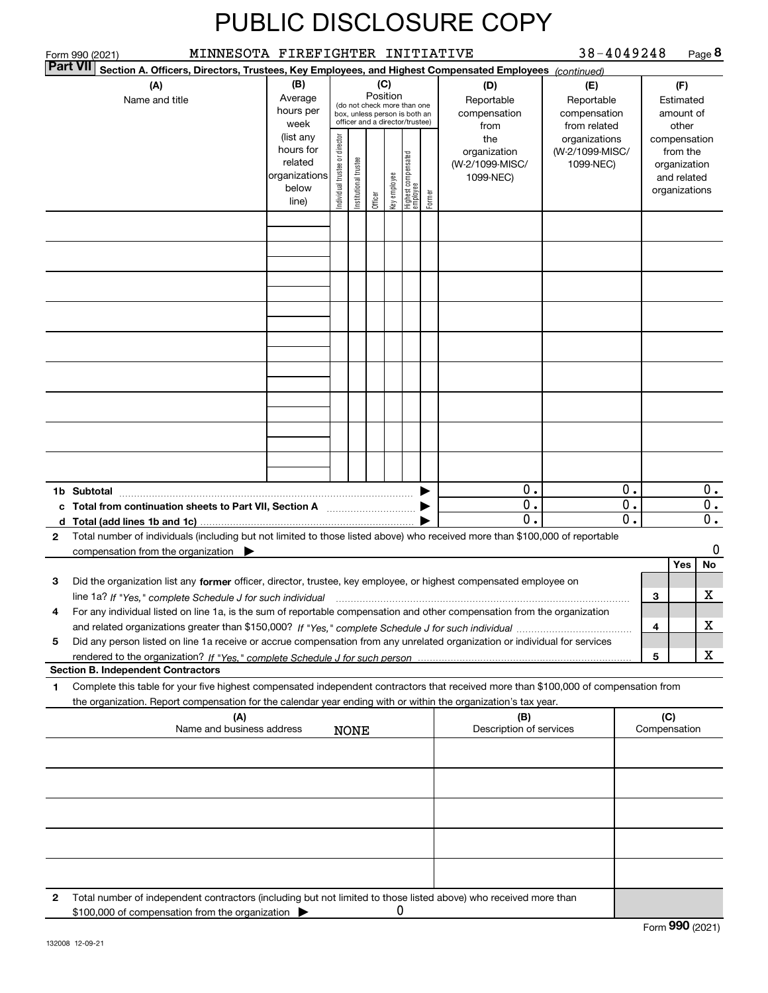| Form 990 (2021)                                | MINNESOTA FIREFIGHTER INITIATIVE                                                                       |  |  |                                                                                                                                                                                                                                                       |         |              |                                  |        |                                                                                                                                                                                                                                                             | 38-4049248                                        |                |                     | Page 8                                                                   |
|------------------------------------------------|--------------------------------------------------------------------------------------------------------|--|--|-------------------------------------------------------------------------------------------------------------------------------------------------------------------------------------------------------------------------------------------------------|---------|--------------|----------------------------------|--------|-------------------------------------------------------------------------------------------------------------------------------------------------------------------------------------------------------------------------------------------------------------|---------------------------------------------------|----------------|---------------------|--------------------------------------------------------------------------|
| <b>Part VII</b>                                | Section A. Officers, Directors, Trustees, Key Employees, and Highest Compensated Employees (continued) |  |  |                                                                                                                                                                                                                                                       |         |              |                                  |        |                                                                                                                                                                                                                                                             |                                                   |                |                     |                                                                          |
|                                                | (A)<br>Name and title                                                                                  |  |  | (B)<br>(C)<br>(D)<br>Position<br>Average<br>Reportable<br>(do not check more than one<br>hours per<br>compensation<br>box, unless person is both an<br>officer and a director/trustee)<br>week<br>from<br>(list any<br>Individual trustee or director |         |              |                                  |        |                                                                                                                                                                                                                                                             | (E)<br>Reportable<br>compensation<br>from related |                |                     | (F)<br>Estimated<br>amount of<br>other                                   |
|                                                |                                                                                                        |  |  |                                                                                                                                                                                                                                                       | Officer | Key employee | Highest compensated<br> employee | Former | the<br>organization<br>(W-2/1099-MISC/<br>1099-NEC)                                                                                                                                                                                                         | organizations<br>(W-2/1099-MISC/<br>1099-NEC)     |                |                     | compensation<br>from the<br>organization<br>and related<br>organizations |
|                                                |                                                                                                        |  |  |                                                                                                                                                                                                                                                       |         |              |                                  |        |                                                                                                                                                                                                                                                             |                                                   |                |                     |                                                                          |
|                                                |                                                                                                        |  |  |                                                                                                                                                                                                                                                       |         |              |                                  |        |                                                                                                                                                                                                                                                             |                                                   |                |                     |                                                                          |
|                                                |                                                                                                        |  |  |                                                                                                                                                                                                                                                       |         |              |                                  |        |                                                                                                                                                                                                                                                             |                                                   |                |                     |                                                                          |
|                                                |                                                                                                        |  |  |                                                                                                                                                                                                                                                       |         |              |                                  |        |                                                                                                                                                                                                                                                             |                                                   |                |                     |                                                                          |
|                                                |                                                                                                        |  |  |                                                                                                                                                                                                                                                       |         |              |                                  |        |                                                                                                                                                                                                                                                             |                                                   |                |                     |                                                                          |
|                                                |                                                                                                        |  |  |                                                                                                                                                                                                                                                       |         |              |                                  |        |                                                                                                                                                                                                                                                             |                                                   |                |                     |                                                                          |
|                                                |                                                                                                        |  |  |                                                                                                                                                                                                                                                       |         |              |                                  |        |                                                                                                                                                                                                                                                             |                                                   |                |                     |                                                                          |
| Subtotal<br>1b.                                | $\blacksquare$                                                                                         |  |  |                                                                                                                                                                                                                                                       |         |              |                                  |        | 0.<br>0.<br>$\mathbf 0$                                                                                                                                                                                                                                     |                                                   | 0.<br>0.<br>0. |                     | 0.<br>0.<br>0.                                                           |
| 2                                              | compensation from the organization $\blacktriangleright$                                               |  |  |                                                                                                                                                                                                                                                       |         |              |                                  |        | Total number of individuals (including but not limited to those listed above) who received more than \$100,000 of reportable                                                                                                                                |                                                   |                |                     | 0                                                                        |
| 3                                              |                                                                                                        |  |  |                                                                                                                                                                                                                                                       |         |              |                                  |        | Did the organization list any former officer, director, trustee, key employee, or highest compensated employee on<br>line 1a? If "Yes," complete Schedule J for such individual manufactured contains and the Yes," complete Schedule J for such individual |                                                   |                | 3                   | Yes<br>No<br>х                                                           |
| 4                                              |                                                                                                        |  |  |                                                                                                                                                                                                                                                       |         |              |                                  |        | For any individual listed on line 1a, is the sum of reportable compensation and other compensation from the organization                                                                                                                                    |                                                   |                | 4                   | х                                                                        |
| 5<br><b>Section B. Independent Contractors</b> |                                                                                                        |  |  |                                                                                                                                                                                                                                                       |         |              |                                  |        | Did any person listed on line 1a receive or accrue compensation from any unrelated organization or individual for services                                                                                                                                  |                                                   |                | 5                   | x                                                                        |
| 1                                              |                                                                                                        |  |  |                                                                                                                                                                                                                                                       |         |              |                                  |        | Complete this table for your five highest compensated independent contractors that received more than \$100,000 of compensation from<br>the organization. Report compensation for the calendar year ending with or within the organization's tax year.      |                                                   |                |                     |                                                                          |
|                                                | (A)<br>Name and business address                                                                       |  |  | <b>NONE</b>                                                                                                                                                                                                                                           |         |              |                                  |        | (B)<br>Description of services                                                                                                                                                                                                                              |                                                   |                | (C)<br>Compensation |                                                                          |
|                                                |                                                                                                        |  |  |                                                                                                                                                                                                                                                       |         |              |                                  |        |                                                                                                                                                                                                                                                             |                                                   |                |                     |                                                                          |
|                                                |                                                                                                        |  |  |                                                                                                                                                                                                                                                       |         |              |                                  |        |                                                                                                                                                                                                                                                             |                                                   |                |                     |                                                                          |
|                                                |                                                                                                        |  |  |                                                                                                                                                                                                                                                       |         |              |                                  |        |                                                                                                                                                                                                                                                             |                                                   |                |                     |                                                                          |
|                                                |                                                                                                        |  |  |                                                                                                                                                                                                                                                       |         |              |                                  |        |                                                                                                                                                                                                                                                             |                                                   |                |                     |                                                                          |
| 2                                              | \$100,000 of compensation from the organization                                                        |  |  |                                                                                                                                                                                                                                                       |         | Ü            |                                  |        | Total number of independent contractors (including but not limited to those listed above) who received more than                                                                                                                                            |                                                   |                |                     |                                                                          |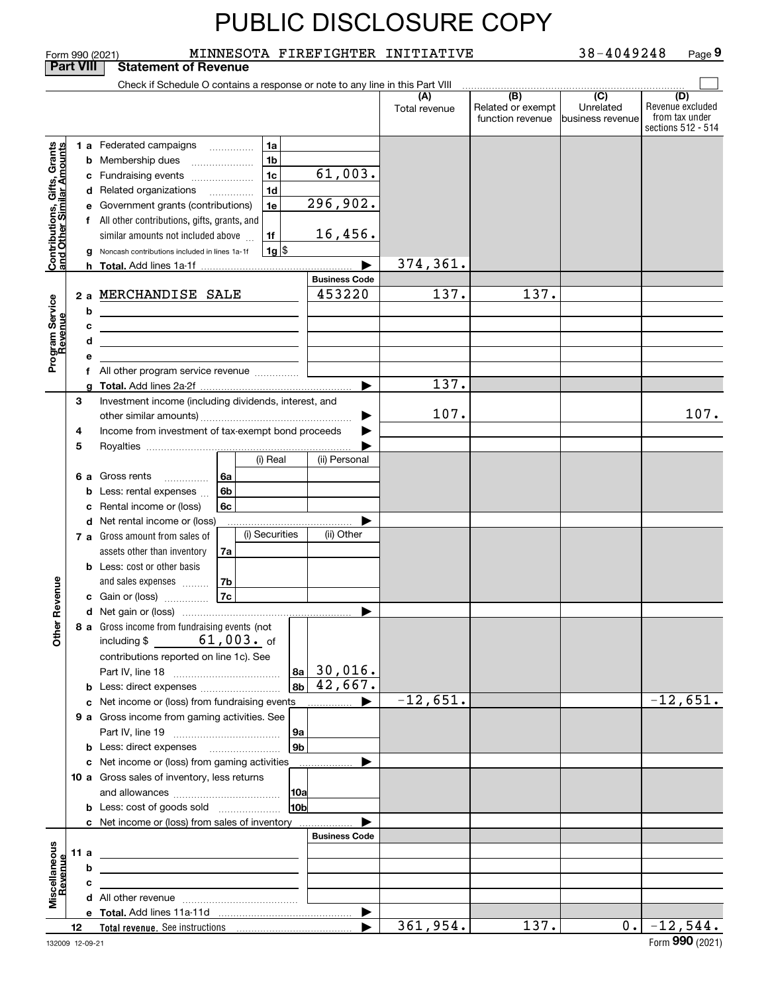|                                                           |    |        | MINNESOTA FIREFIGHTER INITIATIVE<br>Form 990 (2021)                             |                             |                      |                                              | 38-4049248                                         | Page 9                                                          |  |  |
|-----------------------------------------------------------|----|--------|---------------------------------------------------------------------------------|-----------------------------|----------------------|----------------------------------------------|----------------------------------------------------|-----------------------------------------------------------------|--|--|
| <b>Part VIII</b><br><b>Statement of Revenue</b>           |    |        |                                                                                 |                             |                      |                                              |                                                    |                                                                 |  |  |
|                                                           |    |        | Check if Schedule O contains a response or note to any line in this Part VIII   |                             |                      |                                              |                                                    |                                                                 |  |  |
|                                                           |    |        |                                                                                 |                             | (A)<br>Total revenue | (B)<br>Related or exempt<br>function revenue | $\overline{(C)}$<br>Unrelated<br>lbusiness revenue | (D)<br>Revenue excluded<br>from tax under<br>sections 512 - 514 |  |  |
|                                                           |    |        | <b>1 a</b> Federated campaigns<br>1a                                            |                             |                      |                                              |                                                    |                                                                 |  |  |
| Contributions, Gifts, Grants<br>and Other Similar Amounts |    |        | $\cdots$<br>1 <sub>b</sub><br><b>b</b> Membership dues                          |                             |                      |                                              |                                                    |                                                                 |  |  |
|                                                           |    |        | $\overline{\phantom{a}}$<br>1 <sub>c</sub><br>c Fundraising events              | 61,003.                     |                      |                                              |                                                    |                                                                 |  |  |
|                                                           |    |        | 1 <sub>d</sub><br>d Related organizations                                       |                             |                      |                                              |                                                    |                                                                 |  |  |
|                                                           |    |        | .<br>1e<br>e Government grants (contributions)                                  | 296,902.                    |                      |                                              |                                                    |                                                                 |  |  |
|                                                           |    |        | f All other contributions, gifts, grants, and                                   |                             |                      |                                              |                                                    |                                                                 |  |  |
|                                                           |    |        | 1f<br>similar amounts not included above                                        | 16,456.                     |                      |                                              |                                                    |                                                                 |  |  |
|                                                           |    |        | $1g$ \$<br>Noncash contributions included in lines 1a-1f                        |                             |                      |                                              |                                                    |                                                                 |  |  |
|                                                           |    |        |                                                                                 | ▶                           | 374,361.             |                                              |                                                    |                                                                 |  |  |
|                                                           |    |        |                                                                                 | <b>Business Code</b>        |                      |                                              |                                                    |                                                                 |  |  |
|                                                           |    |        | 2 a MERCHANDISE SALE                                                            | 453220                      | 137.                 | 137.                                         |                                                    |                                                                 |  |  |
| Program Service<br>Revenue                                |    | b      |                                                                                 |                             |                      |                                              |                                                    |                                                                 |  |  |
|                                                           |    |        | <u> 1989 - Johann Barn, fransk politik (f. 1989)</u>                            |                             |                      |                                              |                                                    |                                                                 |  |  |
|                                                           |    | с<br>d | the contract of the contract of the contract of the contract of the contract of |                             |                      |                                              |                                                    |                                                                 |  |  |
|                                                           |    |        | the control of the control of the control of the control of the control of      |                             |                      |                                              |                                                    |                                                                 |  |  |
|                                                           |    | е      | f All other program service revenue                                             |                             |                      |                                              |                                                    |                                                                 |  |  |
|                                                           |    |        |                                                                                 | ▶                           | 137.                 |                                              |                                                    |                                                                 |  |  |
|                                                           | 3  |        | Investment income (including dividends, interest, and                           |                             |                      |                                              |                                                    |                                                                 |  |  |
|                                                           |    |        |                                                                                 | ▶                           | 107.                 |                                              |                                                    | 107.                                                            |  |  |
|                                                           | 4  |        | Income from investment of tax-exempt bond proceeds                              |                             |                      |                                              |                                                    |                                                                 |  |  |
|                                                           | 5  |        |                                                                                 |                             |                      |                                              |                                                    |                                                                 |  |  |
|                                                           |    |        | (i) Real                                                                        | (ii) Personal               |                      |                                              |                                                    |                                                                 |  |  |
|                                                           |    |        | 6 a Gross rents<br>6a<br>.                                                      |                             |                      |                                              |                                                    |                                                                 |  |  |
|                                                           |    | b      | Less: rental expenses<br>6b                                                     |                             |                      |                                              |                                                    |                                                                 |  |  |
|                                                           |    | с      | 6c<br>Rental income or (loss)                                                   |                             |                      |                                              |                                                    |                                                                 |  |  |
|                                                           |    |        | d Net rental income or (loss)                                                   |                             |                      |                                              |                                                    |                                                                 |  |  |
|                                                           |    |        | (i) Securities<br>7 a Gross amount from sales of                                | (ii) Other                  |                      |                                              |                                                    |                                                                 |  |  |
|                                                           |    |        | assets other than inventory<br>7a                                               |                             |                      |                                              |                                                    |                                                                 |  |  |
|                                                           |    |        | <b>b</b> Less: cost or other basis                                              |                             |                      |                                              |                                                    |                                                                 |  |  |
|                                                           |    |        | 7b<br>and sales expenses                                                        |                             |                      |                                              |                                                    |                                                                 |  |  |
| evenue                                                    |    |        | 7c<br>c Gain or (loss)                                                          |                             |                      |                                              |                                                    |                                                                 |  |  |
|                                                           |    |        |                                                                                 |                             |                      |                                              |                                                    |                                                                 |  |  |
| œ                                                         |    |        | 8 a Gross income from fundraising events (not                                   |                             |                      |                                              |                                                    |                                                                 |  |  |
| Other                                                     |    |        | including $$61,003.$ of                                                         |                             |                      |                                              |                                                    |                                                                 |  |  |
|                                                           |    |        | contributions reported on line 1c). See                                         |                             |                      |                                              |                                                    |                                                                 |  |  |
|                                                           |    |        |                                                                                 | $ a_1 $ 30,016.             |                      |                                              |                                                    |                                                                 |  |  |
|                                                           |    |        | <b>b</b> Less: direct expenses                                                  | $ 8b $ 42,667.              |                      |                                              |                                                    |                                                                 |  |  |
|                                                           |    |        | c Net income or (loss) from fundraising events                                  | ▶<br>$\ldots \ldots \ldots$ | $-12,651.$           |                                              |                                                    | $-12,651.$                                                      |  |  |
|                                                           |    |        | 9 a Gross income from gaming activities. See                                    |                             |                      |                                              |                                                    |                                                                 |  |  |
|                                                           |    |        | 9a                                                                              |                             |                      |                                              |                                                    |                                                                 |  |  |
|                                                           |    |        | 9 <sub>b</sub><br><b>b</b> Less: direct expenses <b>manually</b>                |                             |                      |                                              |                                                    |                                                                 |  |  |
|                                                           |    |        | c Net income or (loss) from gaming activities                                   | ▶                           |                      |                                              |                                                    |                                                                 |  |  |
|                                                           |    |        | 10 a Gross sales of inventory, less returns                                     |                             |                      |                                              |                                                    |                                                                 |  |  |
|                                                           |    |        | 10a                                                                             |                             |                      |                                              |                                                    |                                                                 |  |  |
|                                                           |    |        | 10b<br><b>b</b> Less: cost of goods sold                                        |                             |                      |                                              |                                                    |                                                                 |  |  |
|                                                           |    |        | c Net income or (loss) from sales of inventory                                  |                             |                      |                                              |                                                    |                                                                 |  |  |
|                                                           |    |        |                                                                                 | <b>Business Code</b>        |                      |                                              |                                                    |                                                                 |  |  |
| Miscellaneous<br>Revenue                                  |    | 11 a   | the contract of the contract of the contract of the contract of the             |                             |                      |                                              |                                                    |                                                                 |  |  |
|                                                           |    | b      |                                                                                 |                             |                      |                                              |                                                    |                                                                 |  |  |
|                                                           |    | c      | <u> 1989 - Johann Barbara, martxa alemaniar a</u>                               |                             |                      |                                              |                                                    |                                                                 |  |  |
|                                                           |    |        |                                                                                 |                             |                      |                                              |                                                    |                                                                 |  |  |
|                                                           |    |        |                                                                                 | $\blacktriangleright$       |                      |                                              |                                                    |                                                                 |  |  |
|                                                           | 12 |        |                                                                                 |                             | 361,954.             | 137.                                         | 0.                                                 | $-12,544.$                                                      |  |  |
| 132009 12-09-21                                           |    |        |                                                                                 |                             |                      |                                              |                                                    | Form 990 (2021)                                                 |  |  |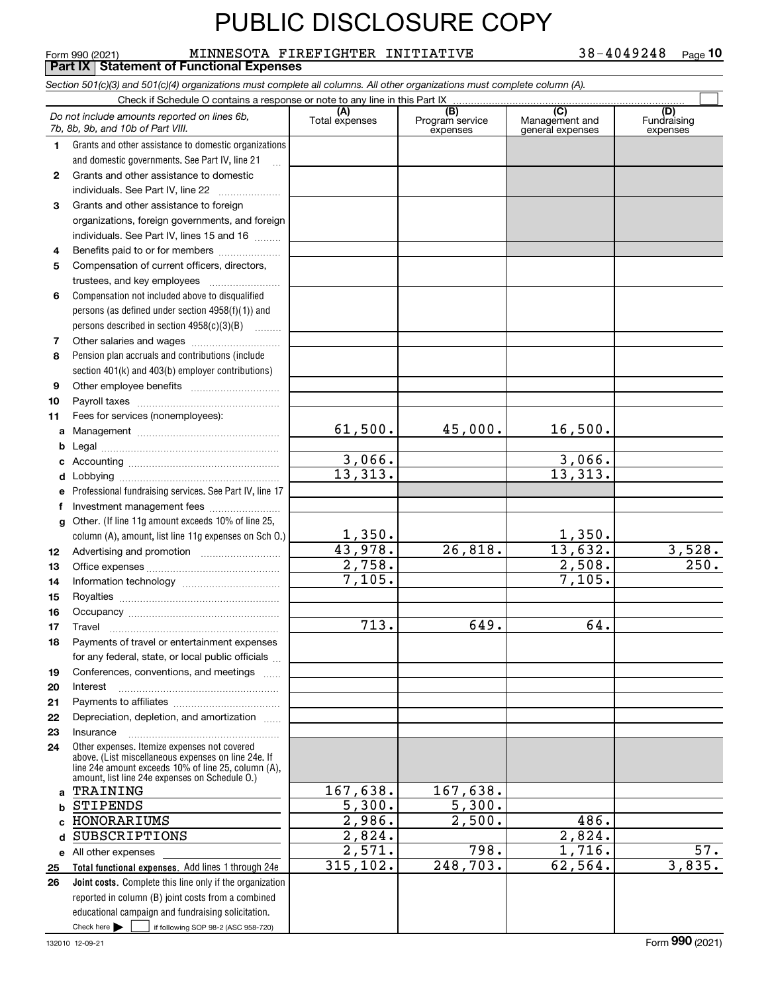#### **Total functional expenses.**  Add lines 1 through 24e **Joint costs.** Complete this line only if the organization **(A)**<br>Total expenses **(C)** (C) (C)<br>
penses Program service Management and Fundrai<br>
expenses general expenses expen **1234567891011abcdefg12131415161718192021222324abc**HONORARIUMS **d** SUBSCRIPTIONS **e** All other expenses **2526***Section 501(c)(3) and 501(c)(4) organizations must complete all columns. All other organizations must complete column (A).* Grants and other assistance to domestic organizations and domestic governments. See Part IV, line 21 Compensation not included above to disqualified persons (as defined under section 4958(f)(1)) and persons described in section 4958(c)(3)(B)  $\quad \ldots \ldots \ldots$ Pension plan accruals and contributions (include section 401(k) and 403(b) employer contributions) Professional fundraising services. See Part IV, line 17 Other. (If line 11g amount exceeds 10% of line 25, column (A), amount, list line 11g expenses on Sch O.) Other expenses. Itemize expenses not covered above. (List miscellaneous expenses on line 24e. If line 24e amount exceeds 10% of line 25, column (A), amount, list line 24e expenses on Schedule O.) reported in column (B) joint costs from a combined educational campaign and fundraising solicitation. Form 990 (2021) MINNESOTA FIREFIGHTER INITIATIVE 38-4049248  $\,$  Page Check if Schedule O contains a response or note to any line in this Part IX (C) (C) (C) (C) (C) (C) Program service expensesFundraising expenses Grants and other assistance to domestic  $individuals. See Part IV, line 22  $_________1$$ Grants and other assistance to foreign organizations, foreign governments, and foreign individuals. See Part IV, lines 15 and 16  $\ldots$ Benefits paid to or for members .................... Compensation of current officers, directors, trustees, and key employees  $\ldots$   $\ldots$   $\ldots$   $\ldots$ Other salaries and wages ~~~~~~~~~~ Other employee benefits ~~~~~~~~~~ Payroll taxes ~~~~~~~~~~~~~~~~ Fees for services (nonemployees): Management ~~~~~~~~~~~~~~~~ Legal ~~~~~~~~~~~~~~~~~~~~Accounting ~~~~~~~~~~~~~~~~~ Lobbying ~~~~~~~~~~~~~~~~~~lnvestment management fees ....................... Advertising and promotion www.communication Office expenses ~~~~~~~~~~~~~~~Information technology ~~~~~~~~~~~ Royalties ~~~~~~~~~~~~~~~~~~ Occupancy ~~~~~~~~~~~~~~~~~ Travel ……………………………………………… Payments of travel or entertainment expenses for any federal, state, or local public officials ... Conferences, conventions, and meetings InterestPayments to affiliates ~~~~~~~~~~~~ Depreciation, depletion, and amortization  $\,\,\ldots\,\,$ Insurance~~~~~~~~~~~~~~~~~*Do not include amounts reported on lines 6b, 7b, 8b, 9b, and 10b of Part VIII.* **Part IX Statement of Functional Expenses**  $\mathcal{L}^{\text{max}}$ 61,500. 3,066. 13,313. 1,350. 43,978. 2,758. 7,105. 713. 167,638. 5,300. 2,986. 2,824. 2,571. 315,102. 45,000. 16,500. 3,066. 13,313. 1,350. 26,818. 13,632. 3,528.<br>2,508. 250.  $2,508.$ 7,105. 649. 64. 167,638. 5,300.  $2,500.$  486. 2,824. 798. 1,716. 57.<br>703. 62,564. 3,835.  $\overline{248,703}$ . TRAINING STIPENDS

Check here  $\begin{array}{|c|c|c|c|c|}\hline \text{ } & \text{ if following SOP 98-2 (ASC 958-720)} \hline \end{array}$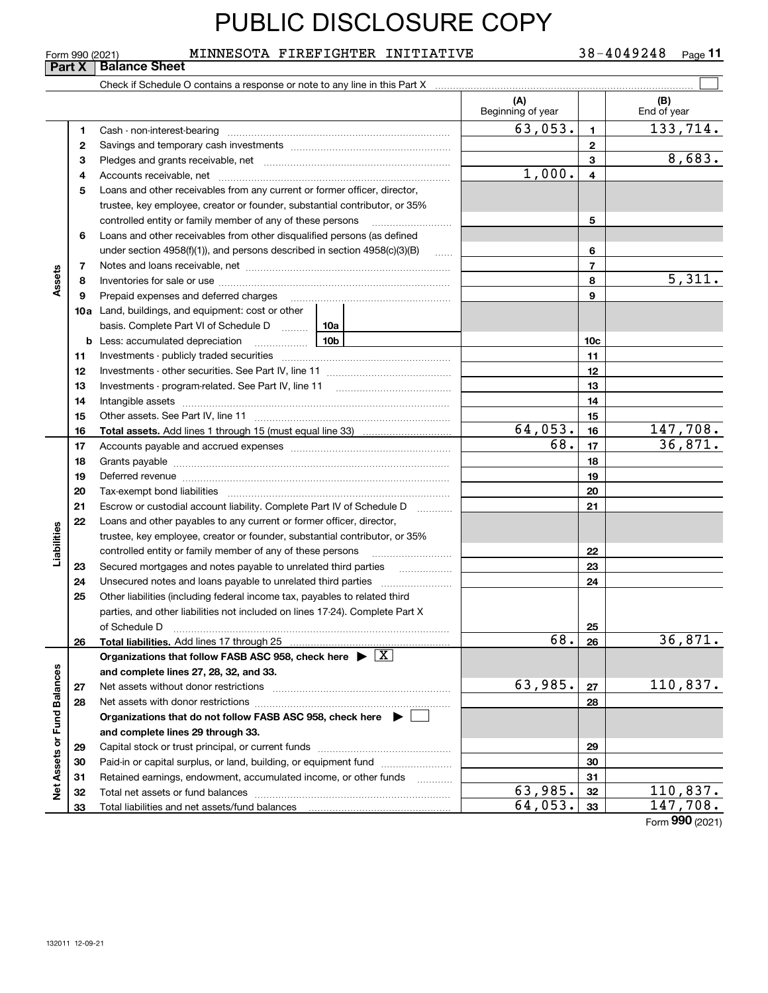Form 990 (2021) MINNESOTA FIREFIGHTER INITIATIVE 38-4049248  $\,$  Page 38-4049248 Page 11

#### **Part X** Balance Sheet  $\mathcal{L}^{\text{max}}$ Check if Schedule O contains a response or note to any line in this Part X **(A) (B)** Beginning of year | | End of year  $63,053.$  1 133,714. **11**Cash - non-interest-bearing ~~~~~~~~~~~~~~~~~~~~~~~~~ **22**Savings and temporary cash investments ~~~~~~~~~~~~~~~~~~8,683. **33**Pledges and grants receivable, net ~~~~~~~~~~~~~~~~~~~~~1,000. Accounts receivable, net ~~~~~~~~~~~~~~~~~~~~~~~~~~ **445**Loans and other receivables from any current or former officer, director, trustee, key employee, creator or founder, substantial contributor, or 35% controlled entity or family member of any of these persons ~~~~~~~~~ **56**Loans and other receivables from other disqualified persons (as defined under section  $4958(f)(1)$ , and persons described in section  $4958(c)(3)(B)$ **677**Notes and loans receivable, net ~~~~~~~~~~~~~~~~~~~~~~~ **Assets** 5,311. **88**Inventories for sale or use ~~~~~~~~~~~~~~~~~~~~~~~~~~Prepaid expenses and deferred charges **9910a**Land, buildings, and equipment: cost or other basis. Complete Part VI of Schedule D will aller **10cb** Less: accumulated depreciation  $\ldots$  **10b 1111**Investments - publicly traded securities ~~~~~~~~~~~~~~~~~~~ **1212**Investments - other securities. See Part IV, line 11 ~~~~~~~~~~~~~~ **1313**Investments - program-related. See Part IV, line 11 ~~~~~~~~~~~~~**1414**Intangible assets …………………………………………………………………………………… Other assets. See Part IV, line 11 ~~~~~~~~~~~~~~~~~~~~~~ **1515** $64,053.$  16 147,708. **Total assets. 1616**Add lines 1 through 15 (must equal line 33) Accounts payable and accrued expenses ~~~~~~~~~~~~~~~~~~ 68. 36,871. **17171818**Grants payable ~~~~~~~~~~~~~~~~~~~~~~~~~~~~~~~ **1919**Deferred revenue ~~~~~~~~~~~~~~~~~~~~~~~~~~~~~~ **2020**Tax-exempt bond liabilities …………………………………………………………… Escrow or custodial account liability. Complete Part IV of Schedule D **212122**Loans and other payables to any current or former officer, director, iabilities **Liabilities** trustee, key employee, creator or founder, substantial contributor, or 35% controlled entity or family member of any of these persons ~~~~~~~~~**22**Secured mortgages and notes payable to unrelated third parties **Fig. 1.1.1.1.1.1.1.1.1.1. 2323**Unsecured notes and loans payable to unrelated third parties  $\ldots$ **242425**Other liabilities (including federal income tax, payables to related third parties, and other liabilities not included on lines 17-24). Complete Part X of Schedule D ~~~~~~~~~~~~~~~~~~~~~~~~~~~~~~~ **25**68. 36,871. **26Total liabilities. 26Organizations that follow FASB ASC 958, check here** Add lines 17 through 25 | X Assets or Fund Balances **Net Assets or Fund Balances and complete lines 27, 28, 32, and 33.** 63,985.  $|z_7|$  110,837. **2727**Net assets without donor restrictions ~~~~~~~~~~~~~~~~~~~~ **2828**Net assets with donor restrictions ~~~~~~~~~~~~~~~~~~~~~~ **Organizations that do not follow FASB ASC 958, check here** | **and complete lines 29 through 33. 2929**Capital stock or trust principal, or current funds ~~~~~~~~~~~~~~~**3030**Paid-in or capital surplus, or land, building, or equipment fund www.commun.com **3131**Retained earnings, endowment, accumulated income, or other funds www.com Total net assets or fund balances ~~~~~~~~~~~~~~~~~~~~~~  $63,985.$   $32$  | 110,837. **3232** $64,053.$  33 147,708. Total liabilities and net assets/fund balances ... **3333**

Form (2021) **990**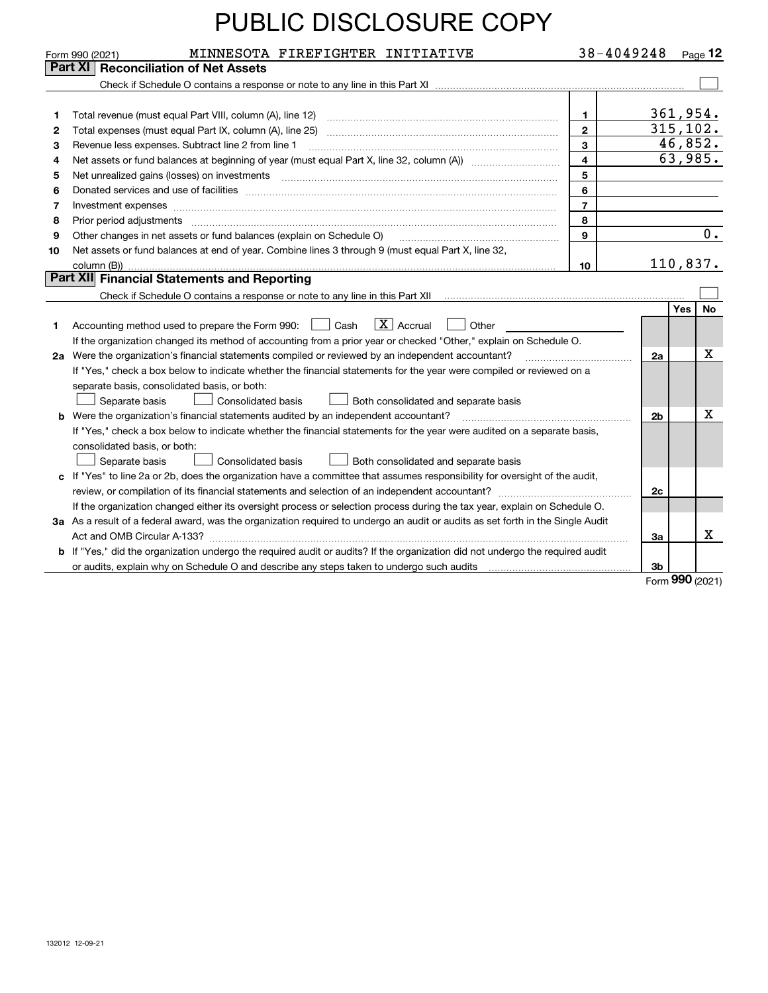|    | MINNESOTA FIREFIGHTER INITIATIVE<br>Form 990 (2021)                                                                                                                                                                                                                                                                                                                                                                                                                          | 38-4049248              |                | $P_{\text{aqe}}$ 12 |           |
|----|------------------------------------------------------------------------------------------------------------------------------------------------------------------------------------------------------------------------------------------------------------------------------------------------------------------------------------------------------------------------------------------------------------------------------------------------------------------------------|-------------------------|----------------|---------------------|-----------|
|    | Part XI<br><b>Reconciliation of Net Assets</b>                                                                                                                                                                                                                                                                                                                                                                                                                               |                         |                |                     |           |
|    |                                                                                                                                                                                                                                                                                                                                                                                                                                                                              |                         |                |                     |           |
|    |                                                                                                                                                                                                                                                                                                                                                                                                                                                                              |                         |                |                     |           |
| 1  | Total revenue (must equal Part VIII, column (A), line 12)                                                                                                                                                                                                                                                                                                                                                                                                                    | $\mathbf 1$             | 361,954.       |                     |           |
| 2  |                                                                                                                                                                                                                                                                                                                                                                                                                                                                              | $\overline{2}$          | 315, 102.      |                     |           |
| з  | Revenue less expenses. Subtract line 2 from line 1                                                                                                                                                                                                                                                                                                                                                                                                                           | $\mathbf{3}$            |                | 46,852.             |           |
| 4  |                                                                                                                                                                                                                                                                                                                                                                                                                                                                              | $\overline{\mathbf{4}}$ |                | 63,985.             |           |
| 5  |                                                                                                                                                                                                                                                                                                                                                                                                                                                                              | 5                       |                |                     |           |
| 6  |                                                                                                                                                                                                                                                                                                                                                                                                                                                                              | 6                       |                |                     |           |
| 7  | Investment expenses www.communication.communication.com/www.communication.com/www.communication.com                                                                                                                                                                                                                                                                                                                                                                          | $\overline{7}$          |                |                     |           |
| 8  | Prior period adjustments<br>$\begin{minipage}{0.5\textwidth} \begin{tabular}{ l l l } \hline \multicolumn{1}{ l l l } \hline \multicolumn{1}{ l l } \hline \multicolumn{1}{ l } \multicolumn{1}{ l } \hline \multicolumn{1}{ l } \multicolumn{1}{ l } \multicolumn{1}{ l } \hline \multicolumn{1}{ l } \multicolumn{1}{ l } \multicolumn{1}{ l } \hline \multicolumn{1}{ l } \multicolumn{1}{ l } \hline \multicolumn{1}{ l } \multicolumn{1}{ l } \hline \multicolumn{1}{ $ | 8                       |                |                     |           |
| 9  | Other changes in net assets or fund balances (explain on Schedule O)                                                                                                                                                                                                                                                                                                                                                                                                         | 9                       |                |                     | 0.        |
| 10 | Net assets or fund balances at end of year. Combine lines 3 through 9 (must equal Part X, line 32,                                                                                                                                                                                                                                                                                                                                                                           |                         |                |                     |           |
|    |                                                                                                                                                                                                                                                                                                                                                                                                                                                                              | 10                      | 110,837.       |                     |           |
|    | Part XII Financial Statements and Reporting                                                                                                                                                                                                                                                                                                                                                                                                                                  |                         |                |                     |           |
|    |                                                                                                                                                                                                                                                                                                                                                                                                                                                                              |                         |                |                     |           |
|    |                                                                                                                                                                                                                                                                                                                                                                                                                                                                              |                         |                | Yes                 | <b>No</b> |
| 1  | $ X $ Accrual<br>Accounting method used to prepare the Form 990:     Cash<br>Other                                                                                                                                                                                                                                                                                                                                                                                           |                         |                |                     |           |
|    | If the organization changed its method of accounting from a prior year or checked "Other," explain on Schedule O.                                                                                                                                                                                                                                                                                                                                                            |                         |                |                     |           |
|    | 2a Were the organization's financial statements compiled or reviewed by an independent accountant?                                                                                                                                                                                                                                                                                                                                                                           |                         | 2a             |                     | X         |
|    | If "Yes," check a box below to indicate whether the financial statements for the year were compiled or reviewed on a                                                                                                                                                                                                                                                                                                                                                         |                         |                |                     |           |
|    | separate basis, consolidated basis, or both:                                                                                                                                                                                                                                                                                                                                                                                                                                 |                         |                |                     |           |
|    | Separate basis<br><b>Consolidated basis</b><br>Both consolidated and separate basis                                                                                                                                                                                                                                                                                                                                                                                          |                         |                |                     |           |
|    | <b>b</b> Were the organization's financial statements audited by an independent accountant?                                                                                                                                                                                                                                                                                                                                                                                  |                         | 2 <sub>b</sub> |                     | X         |
|    | If "Yes," check a box below to indicate whether the financial statements for the year were audited on a separate basis,                                                                                                                                                                                                                                                                                                                                                      |                         |                |                     |           |
|    | consolidated basis, or both:                                                                                                                                                                                                                                                                                                                                                                                                                                                 |                         |                |                     |           |
|    | Separate basis<br>Consolidated basis<br>Both consolidated and separate basis                                                                                                                                                                                                                                                                                                                                                                                                 |                         |                |                     |           |
|    | c If "Yes" to line 2a or 2b, does the organization have a committee that assumes responsibility for oversight of the audit,                                                                                                                                                                                                                                                                                                                                                  |                         |                |                     |           |
|    |                                                                                                                                                                                                                                                                                                                                                                                                                                                                              |                         | 2c             |                     |           |
|    | If the organization changed either its oversight process or selection process during the tax year, explain on Schedule O.                                                                                                                                                                                                                                                                                                                                                    |                         |                |                     |           |
|    | 3a As a result of a federal award, was the organization required to undergo an audit or audits as set forth in the Single Audit                                                                                                                                                                                                                                                                                                                                              |                         |                |                     |           |
|    |                                                                                                                                                                                                                                                                                                                                                                                                                                                                              |                         | 3a             |                     | x         |
|    | <b>b</b> If "Yes," did the organization undergo the required audit or audits? If the organization did not undergo the required audit                                                                                                                                                                                                                                                                                                                                         |                         |                |                     |           |
|    |                                                                                                                                                                                                                                                                                                                                                                                                                                                                              |                         | 3b             |                     |           |

Form (2021) **990**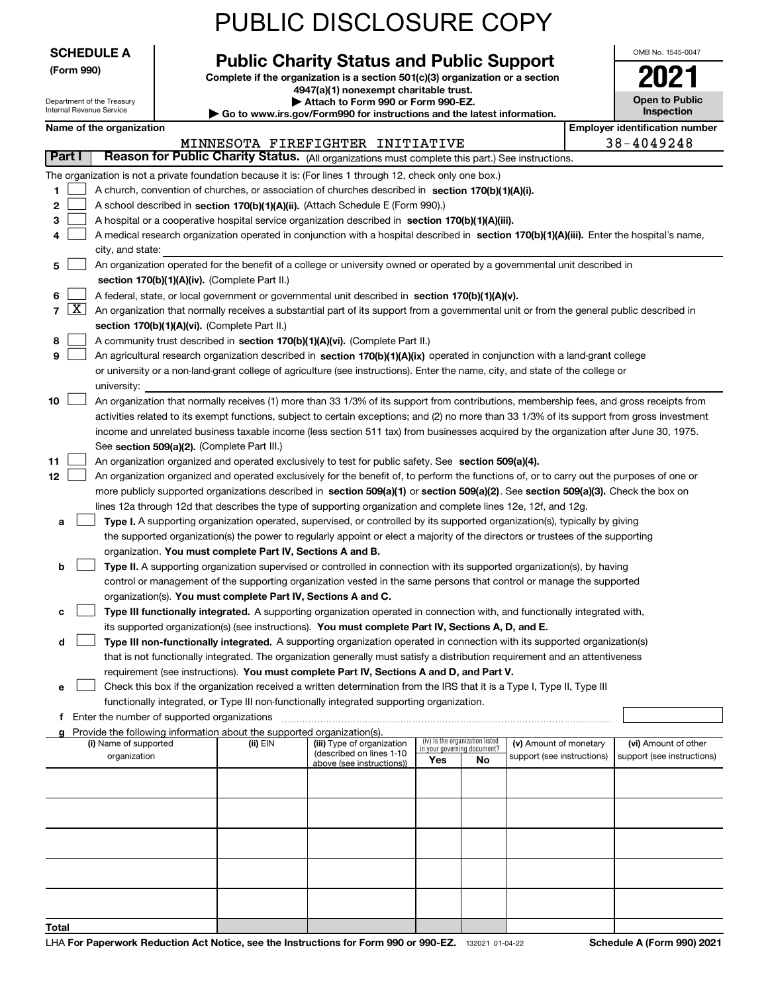|                                                                                                           |                                                                              |                                                                        | <b>PUBLIC DISCLOSURE COPY</b>                                                                                                                                                                                       |                                    |                                 |                                                      |                                                    |
|-----------------------------------------------------------------------------------------------------------|------------------------------------------------------------------------------|------------------------------------------------------------------------|---------------------------------------------------------------------------------------------------------------------------------------------------------------------------------------------------------------------|------------------------------------|---------------------------------|------------------------------------------------------|----------------------------------------------------|
| <b>SCHEDULE A</b>                                                                                         |                                                                              |                                                                        |                                                                                                                                                                                                                     |                                    |                                 |                                                      | OMB No. 1545-0047                                  |
| (Form 990)                                                                                                |                                                                              |                                                                        | <b>Public Charity Status and Public Support</b><br>Complete if the organization is a section 501(c)(3) organization or a section                                                                                    |                                    |                                 |                                                      |                                                    |
| Department of the Treasury                                                                                | 4947(a)(1) nonexempt charitable trust.<br>Attach to Form 990 or Form 990-EZ. |                                                                        |                                                                                                                                                                                                                     | <b>Open to Public</b>              |                                 |                                                      |                                                    |
| Internal Revenue Service                                                                                  |                                                                              |                                                                        | ► Go to www.irs.gov/Form990 for instructions and the latest information.                                                                                                                                            |                                    |                                 |                                                      | Inspection                                         |
| Name of the organization                                                                                  |                                                                              |                                                                        |                                                                                                                                                                                                                     |                                    |                                 |                                                      | <b>Employer identification number</b>              |
| Part I                                                                                                    |                                                                              |                                                                        | MINNESOTA FIREFIGHTER INITIATIVE<br>Reason for Public Charity Status. (All organizations must complete this part.) See instructions.                                                                                |                                    |                                 |                                                      | 38-4049248                                         |
| The organization is not a private foundation because it is: (For lines 1 through 12, check only one box.) |                                                                              |                                                                        |                                                                                                                                                                                                                     |                                    |                                 |                                                      |                                                    |
| 1                                                                                                         |                                                                              |                                                                        | A church, convention of churches, or association of churches described in section 170(b)(1)(A)(i).                                                                                                                  |                                    |                                 |                                                      |                                                    |
| 2                                                                                                         |                                                                              |                                                                        | A school described in section 170(b)(1)(A)(ii). (Attach Schedule E (Form 990).)                                                                                                                                     |                                    |                                 |                                                      |                                                    |
| 3                                                                                                         |                                                                              |                                                                        | A hospital or a cooperative hospital service organization described in section 170(b)(1)(A)(iii).                                                                                                                   |                                    |                                 |                                                      |                                                    |
| 4<br>city, and state:                                                                                     |                                                                              |                                                                        | A medical research organization operated in conjunction with a hospital described in section 170(b)(1)(A)(iii). Enter the hospital's name,                                                                          |                                    |                                 |                                                      |                                                    |
| 5                                                                                                         |                                                                              |                                                                        | An organization operated for the benefit of a college or university owned or operated by a governmental unit described in                                                                                           |                                    |                                 |                                                      |                                                    |
|                                                                                                           |                                                                              | section 170(b)(1)(A)(iv). (Complete Part II.)                          |                                                                                                                                                                                                                     |                                    |                                 |                                                      |                                                    |
| 6                                                                                                         |                                                                              |                                                                        | A federal, state, or local government or governmental unit described in section 170(b)(1)(A)(v).                                                                                                                    |                                    |                                 |                                                      |                                                    |
| $\lfloor x \rfloor$<br>$\overline{7}$                                                                     |                                                                              |                                                                        | An organization that normally receives a substantial part of its support from a governmental unit or from the general public described in                                                                           |                                    |                                 |                                                      |                                                    |
|                                                                                                           |                                                                              | section 170(b)(1)(A)(vi). (Complete Part II.)                          |                                                                                                                                                                                                                     |                                    |                                 |                                                      |                                                    |
| 8<br>9                                                                                                    |                                                                              |                                                                        | A community trust described in section 170(b)(1)(A)(vi). (Complete Part II.)<br>An agricultural research organization described in section 170(b)(1)(A)(ix) operated in conjunction with a land-grant college       |                                    |                                 |                                                      |                                                    |
|                                                                                                           |                                                                              |                                                                        | or university or a non-land-grant college of agriculture (see instructions). Enter the name, city, and state of the college or                                                                                      |                                    |                                 |                                                      |                                                    |
| university:                                                                                               |                                                                              |                                                                        |                                                                                                                                                                                                                     |                                    |                                 |                                                      |                                                    |
| 10                                                                                                        |                                                                              |                                                                        | An organization that normally receives (1) more than 33 1/3% of its support from contributions, membership fees, and gross receipts from                                                                            |                                    |                                 |                                                      |                                                    |
|                                                                                                           |                                                                              |                                                                        | activities related to its exempt functions, subject to certain exceptions; and (2) no more than 33 1/3% of its support from gross investment                                                                        |                                    |                                 |                                                      |                                                    |
|                                                                                                           |                                                                              | See section 509(a)(2). (Complete Part III.)                            | income and unrelated business taxable income (less section 511 tax) from businesses acquired by the organization after June 30, 1975.                                                                               |                                    |                                 |                                                      |                                                    |
| 11                                                                                                        |                                                                              |                                                                        | An organization organized and operated exclusively to test for public safety. See section 509(a)(4).                                                                                                                |                                    |                                 |                                                      |                                                    |
| 12                                                                                                        |                                                                              |                                                                        | An organization organized and operated exclusively for the benefit of, to perform the functions of, or to carry out the purposes of one or                                                                          |                                    |                                 |                                                      |                                                    |
|                                                                                                           |                                                                              |                                                                        | more publicly supported organizations described in section 509(a)(1) or section 509(a)(2). See section 509(a)(3). Check the box on                                                                                  |                                    |                                 |                                                      |                                                    |
|                                                                                                           |                                                                              |                                                                        | lines 12a through 12d that describes the type of supporting organization and complete lines 12e, 12f, and 12g.                                                                                                      |                                    |                                 |                                                      |                                                    |
| a                                                                                                         |                                                                              |                                                                        | Type I. A supporting organization operated, supervised, or controlled by its supported organization(s), typically by giving                                                                                         |                                    |                                 |                                                      |                                                    |
|                                                                                                           |                                                                              |                                                                        | the supported organization(s) the power to regularly appoint or elect a majority of the directors or trustees of the supporting                                                                                     |                                    |                                 |                                                      |                                                    |
| b                                                                                                         |                                                                              | organization. You must complete Part IV, Sections A and B.             | Type II. A supporting organization supervised or controlled in connection with its supported organization(s), by having                                                                                             |                                    |                                 |                                                      |                                                    |
|                                                                                                           |                                                                              |                                                                        | control or management of the supporting organization vested in the same persons that control or manage the supported                                                                                                |                                    |                                 |                                                      |                                                    |
|                                                                                                           |                                                                              | organization(s). You must complete Part IV, Sections A and C.          |                                                                                                                                                                                                                     |                                    |                                 |                                                      |                                                    |
| с                                                                                                         |                                                                              |                                                                        | Type III functionally integrated. A supporting organization operated in connection with, and functionally integrated with,                                                                                          |                                    |                                 |                                                      |                                                    |
|                                                                                                           |                                                                              |                                                                        | its supported organization(s) (see instructions). You must complete Part IV, Sections A, D, and E.                                                                                                                  |                                    |                                 |                                                      |                                                    |
| d                                                                                                         |                                                                              |                                                                        | Type III non-functionally integrated. A supporting organization operated in connection with its supported organization(s)                                                                                           |                                    |                                 |                                                      |                                                    |
|                                                                                                           |                                                                              |                                                                        | that is not functionally integrated. The organization generally must satisfy a distribution requirement and an attentiveness                                                                                        |                                    |                                 |                                                      |                                                    |
| е                                                                                                         |                                                                              |                                                                        | requirement (see instructions). You must complete Part IV, Sections A and D, and Part V.<br>Check this box if the organization received a written determination from the IRS that it is a Type I, Type II, Type III |                                    |                                 |                                                      |                                                    |
|                                                                                                           |                                                                              |                                                                        | functionally integrated, or Type III non-functionally integrated supporting organization.                                                                                                                           |                                    |                                 |                                                      |                                                    |
|                                                                                                           |                                                                              |                                                                        |                                                                                                                                                                                                                     |                                    |                                 |                                                      |                                                    |
|                                                                                                           |                                                                              | Provide the following information about the supported organization(s). |                                                                                                                                                                                                                     |                                    | (iv) Is the organization listed |                                                      |                                                    |
| (i) Name of supported<br>organization                                                                     |                                                                              | (ii) EIN                                                               | (iii) Type of organization<br>(described on lines 1-10<br>above (see instructions))                                                                                                                                 | in your governing document?<br>Yes | No                              | (v) Amount of monetary<br>support (see instructions) | (vi) Amount of other<br>support (see instructions) |
|                                                                                                           |                                                                              |                                                                        |                                                                                                                                                                                                                     |                                    |                                 |                                                      |                                                    |
|                                                                                                           |                                                                              |                                                                        |                                                                                                                                                                                                                     |                                    |                                 |                                                      |                                                    |
|                                                                                                           |                                                                              |                                                                        |                                                                                                                                                                                                                     |                                    |                                 |                                                      |                                                    |
|                                                                                                           |                                                                              |                                                                        |                                                                                                                                                                                                                     |                                    |                                 |                                                      |                                                    |
|                                                                                                           |                                                                              |                                                                        |                                                                                                                                                                                                                     |                                    |                                 |                                                      |                                                    |
| Total                                                                                                     |                                                                              |                                                                        |                                                                                                                                                                                                                     |                                    |                                 |                                                      |                                                    |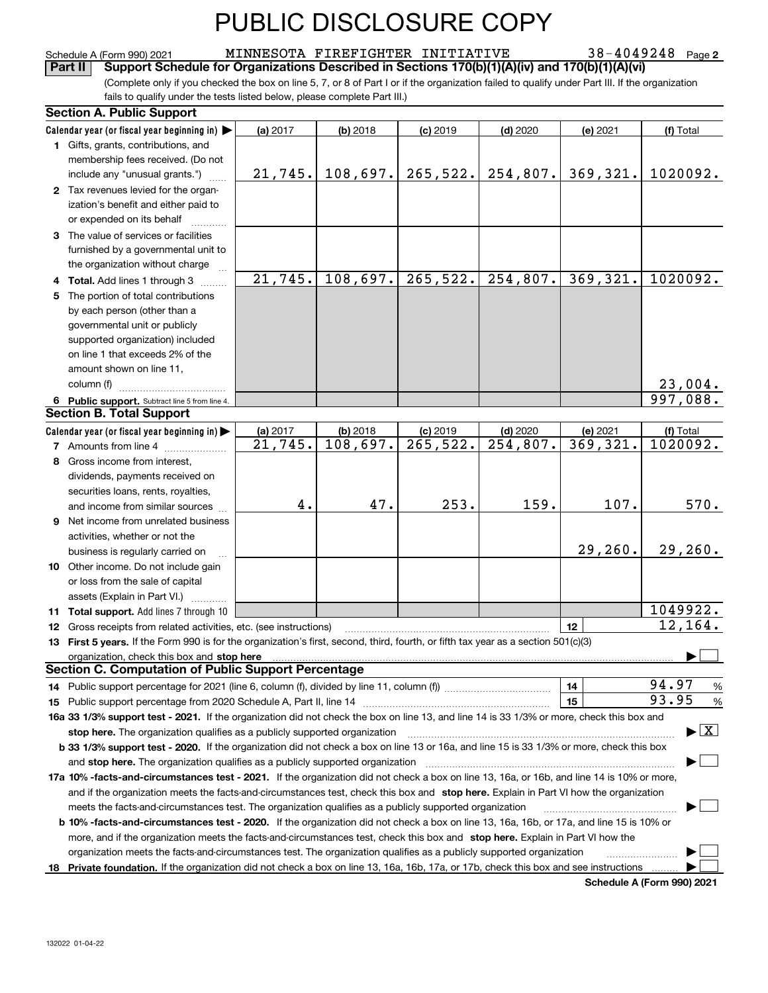**2** Schedule A (Form 990) 2021 MINNESOTA FIREFIGHTER INITIATIVE 38-4049248 Page

(Complete only if you checked the box on line 5, 7, or 8 of Part I or if the organization failed to qualify under Part III. If the organization fails to qualify under the tests listed below, please complete Part III.) **Part II Support Schedule for Organizations Described in Sections 170(b)(1)(A)(iv) and 170(b)(1)(A)(vi)** 

| <b>Section A. Public Support</b>                                                                                                                                                                                               |          |            |                     |                     |          |                                          |  |
|--------------------------------------------------------------------------------------------------------------------------------------------------------------------------------------------------------------------------------|----------|------------|---------------------|---------------------|----------|------------------------------------------|--|
| Calendar year (or fiscal year beginning in) $\blacktriangleright$                                                                                                                                                              | (a) 2017 | $(b)$ 2018 | $(c)$ 2019          | $(d)$ 2020          | (e) 2021 | (f) Total                                |  |
| 1 Gifts, grants, contributions, and                                                                                                                                                                                            |          |            |                     |                     |          |                                          |  |
| membership fees received. (Do not                                                                                                                                                                                              |          |            |                     |                     |          |                                          |  |
| include any "unusual grants.")                                                                                                                                                                                                 | 21,745.  |            | $108,697.$ 265,522. | 254,807.            | 369,321. | 1020092.                                 |  |
| 2 Tax revenues levied for the organ-                                                                                                                                                                                           |          |            |                     |                     |          |                                          |  |
| ization's benefit and either paid to                                                                                                                                                                                           |          |            |                     |                     |          |                                          |  |
| or expended on its behalf                                                                                                                                                                                                      |          |            |                     |                     |          |                                          |  |
| 3 The value of services or facilities                                                                                                                                                                                          |          |            |                     |                     |          |                                          |  |
| furnished by a governmental unit to                                                                                                                                                                                            |          |            |                     |                     |          |                                          |  |
| the organization without charge                                                                                                                                                                                                |          |            |                     |                     |          |                                          |  |
| 4 Total. Add lines 1 through 3                                                                                                                                                                                                 | 21,745.  | 108,697.   | 265,522.            | $\sqrt{254, 807}$ . | 369,321. | 1020092.                                 |  |
| 5 The portion of total contributions                                                                                                                                                                                           |          |            |                     |                     |          |                                          |  |
| by each person (other than a                                                                                                                                                                                                   |          |            |                     |                     |          |                                          |  |
| governmental unit or publicly                                                                                                                                                                                                  |          |            |                     |                     |          |                                          |  |
| supported organization) included                                                                                                                                                                                               |          |            |                     |                     |          |                                          |  |
| on line 1 that exceeds 2% of the                                                                                                                                                                                               |          |            |                     |                     |          |                                          |  |
| amount shown on line 11,                                                                                                                                                                                                       |          |            |                     |                     |          |                                          |  |
| column (f)                                                                                                                                                                                                                     |          |            |                     |                     |          | 23,004.                                  |  |
| 6 Public support. Subtract line 5 from line 4.                                                                                                                                                                                 |          |            |                     |                     |          | 997,088.                                 |  |
| <b>Section B. Total Support</b>                                                                                                                                                                                                |          |            |                     |                     |          |                                          |  |
| Calendar year (or fiscal year beginning in)                                                                                                                                                                                    | (a) 2017 | $(b)$ 2018 | $(c)$ 2019          | $(d)$ 2020          | (e) 2021 | (f) Total                                |  |
| 7 Amounts from line 4                                                                                                                                                                                                          | 21,745.  | 108,697.   | 265,522.            | 254,807.            | 369,321. | 1020092.                                 |  |
| 8 Gross income from interest,                                                                                                                                                                                                  |          |            |                     |                     |          |                                          |  |
| dividends, payments received on                                                                                                                                                                                                |          |            |                     |                     |          |                                          |  |
| securities loans, rents, royalties,                                                                                                                                                                                            |          |            |                     |                     |          |                                          |  |
| and income from similar sources                                                                                                                                                                                                | 4.       | 47.        | 253.                | 159.                | 107.     | 570.                                     |  |
| 9 Net income from unrelated business                                                                                                                                                                                           |          |            |                     |                     |          |                                          |  |
| activities, whether or not the                                                                                                                                                                                                 |          |            |                     |                     |          |                                          |  |
| business is regularly carried on                                                                                                                                                                                               |          |            |                     |                     | 29, 260. | 29,260.                                  |  |
| 10 Other income. Do not include gain                                                                                                                                                                                           |          |            |                     |                     |          |                                          |  |
| or loss from the sale of capital                                                                                                                                                                                               |          |            |                     |                     |          |                                          |  |
| assets (Explain in Part VI.) <b>Constant</b>                                                                                                                                                                                   |          |            |                     |                     |          |                                          |  |
| <b>11 Total support.</b> Add lines 7 through 10                                                                                                                                                                                |          |            |                     |                     |          | 1049922.                                 |  |
| <b>12</b> Gross receipts from related activities, etc. (see instructions)                                                                                                                                                      |          |            |                     |                     | 12       | 12,164.                                  |  |
| 13 First 5 years. If the Form 990 is for the organization's first, second, third, fourth, or fifth tax year as a section 501(c)(3)                                                                                             |          |            |                     |                     |          |                                          |  |
| organization, check this box and stop here manufactured and according to the state of the state of the state of the state of the state of the state of the state of the state of the state of the state of the state of the st |          |            |                     |                     |          |                                          |  |
| <b>Section C. Computation of Public Support Percentage</b>                                                                                                                                                                     |          |            |                     |                     |          |                                          |  |
|                                                                                                                                                                                                                                |          |            |                     |                     | 14       | 94.97<br>%                               |  |
|                                                                                                                                                                                                                                |          |            |                     |                     | 15       | 93.95<br>%                               |  |
| 16a 33 1/3% support test - 2021. If the organization did not check the box on line 13, and line 14 is 33 1/3% or more, check this box and                                                                                      |          |            |                     |                     |          |                                          |  |
| stop here. The organization qualifies as a publicly supported organization                                                                                                                                                     |          |            |                     |                     |          | $\blacktriangleright$ $\boxed{\text{X}}$ |  |
| b 33 1/3% support test - 2020. If the organization did not check a box on line 13 or 16a, and line 15 is 33 1/3% or more, check this box                                                                                       |          |            |                     |                     |          |                                          |  |
| and stop here. The organization qualifies as a publicly supported organization                                                                                                                                                 |          |            |                     |                     |          |                                          |  |
| 17a 10% -facts-and-circumstances test - 2021. If the organization did not check a box on line 13, 16a, or 16b, and line 14 is 10% or more,                                                                                     |          |            |                     |                     |          |                                          |  |
| and if the organization meets the facts-and-circumstances test, check this box and stop here. Explain in Part VI how the organization                                                                                          |          |            |                     |                     |          |                                          |  |
| meets the facts-and-circumstances test. The organization qualifies as a publicly supported organization                                                                                                                        |          |            |                     |                     |          |                                          |  |
| <b>b 10% -facts-and-circumstances test - 2020.</b> If the organization did not check a box on line 13, 16a, 16b, or 17a, and line 15 is 10% or                                                                                 |          |            |                     |                     |          |                                          |  |
| more, and if the organization meets the facts-and-circumstances test, check this box and stop here. Explain in Part VI how the                                                                                                 |          |            |                     |                     |          |                                          |  |
| organization meets the facts-and-circumstances test. The organization qualifies as a publicly supported organization                                                                                                           |          |            |                     |                     |          |                                          |  |
| 18 Private foundation. If the organization did not check a box on line 13, 16a, 16b, 17a, or 17b, check this box and see instructions                                                                                          |          |            |                     |                     |          |                                          |  |
|                                                                                                                                                                                                                                |          |            |                     |                     |          | Cohodulo A (Earm 000) 2024               |  |

**Schedule A (Form 990) 2021**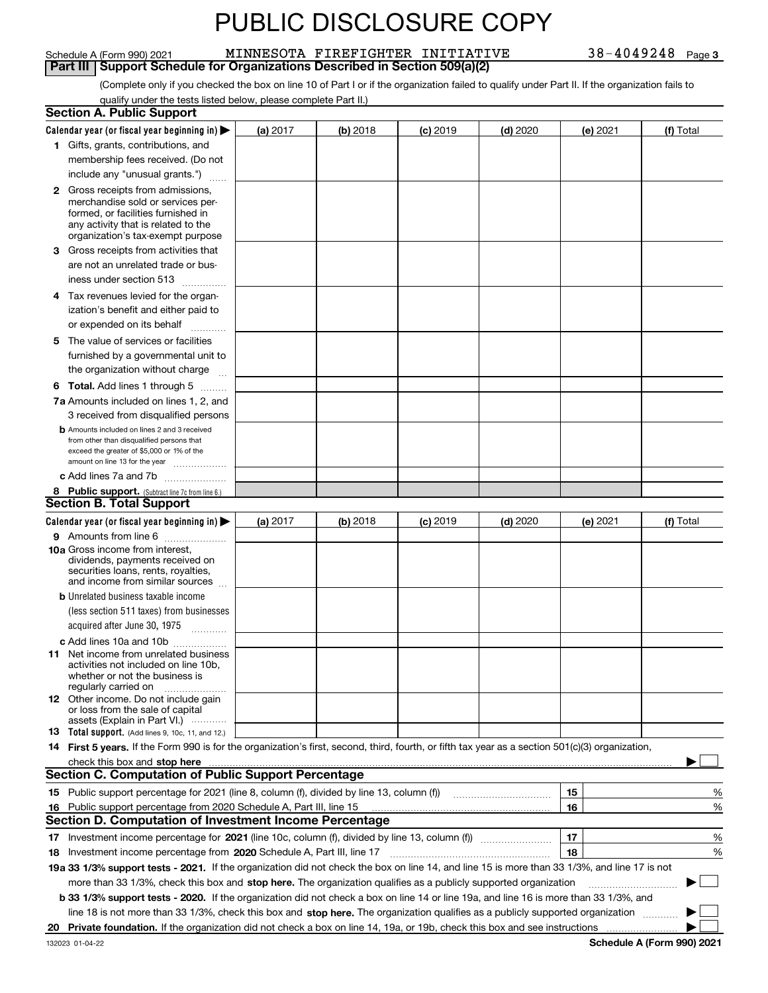#### 38-4049248 Page 3 Schedule A (Form 990) 2021 MINNESOTA FIREFIGHTER INITIATIVE 38-4049248 Page

|  | art III   Support Schedule for Organizations Described in Section 509(a |  |  |
|--|-------------------------------------------------------------------------|--|--|

Part III Support Schedule for Organizations Described in Section 509(a)(2)<br>Complete only if you checked the box on line 10 of Part I or if the organization failed to qualify under Part II. If the organization fails to qualify under the tests listed below, please complete Part II.)

|    | <b>Section A. Public Support</b>                                                                                                                                                                                                                                         |            |          |                 |            |          |                            |
|----|--------------------------------------------------------------------------------------------------------------------------------------------------------------------------------------------------------------------------------------------------------------------------|------------|----------|-----------------|------------|----------|----------------------------|
|    | Calendar year (or fiscal year beginning in) $\blacktriangleright$                                                                                                                                                                                                        | (a) 2017   | (b) 2018 | <b>(c)</b> 2019 | $(d)$ 2020 | (e) 2021 | (f) Total                  |
|    | 1 Gifts, grants, contributions, and                                                                                                                                                                                                                                      |            |          |                 |            |          |                            |
|    | membership fees received. (Do not                                                                                                                                                                                                                                        |            |          |                 |            |          |                            |
|    | include any "unusual grants.")                                                                                                                                                                                                                                           |            |          |                 |            |          |                            |
|    | <b>2</b> Gross receipts from admissions,<br>merchandise sold or services per-<br>formed, or facilities furnished in<br>any activity that is related to the<br>organization's tax-exempt purpose                                                                          |            |          |                 |            |          |                            |
|    | 3 Gross receipts from activities that<br>are not an unrelated trade or bus-                                                                                                                                                                                              |            |          |                 |            |          |                            |
|    | iness under section 513                                                                                                                                                                                                                                                  |            |          |                 |            |          |                            |
|    | 4 Tax revenues levied for the organ-<br>ization's benefit and either paid to<br>or expended on its behalf                                                                                                                                                                |            |          |                 |            |          |                            |
|    | .<br>5 The value of services or facilities                                                                                                                                                                                                                               |            |          |                 |            |          |                            |
|    | furnished by a governmental unit to<br>the organization without charge                                                                                                                                                                                                   |            |          |                 |            |          |                            |
|    | <b>6 Total.</b> Add lines 1 through 5 $\dots$                                                                                                                                                                                                                            |            |          |                 |            |          |                            |
|    | 7a Amounts included on lines 1, 2, and                                                                                                                                                                                                                                   |            |          |                 |            |          |                            |
|    | 3 received from disqualified persons                                                                                                                                                                                                                                     |            |          |                 |            |          |                            |
|    | <b>b</b> Amounts included on lines 2 and 3 received<br>from other than disqualified persons that<br>exceed the greater of \$5,000 or 1% of the<br>amount on line 13 for the year                                                                                         |            |          |                 |            |          |                            |
|    | c Add lines 7a and 7b                                                                                                                                                                                                                                                    |            |          |                 |            |          |                            |
|    | 8 Public support. (Subtract line 7c from line 6.)                                                                                                                                                                                                                        |            |          |                 |            |          |                            |
|    | <b>Section B. Total Support</b>                                                                                                                                                                                                                                          |            |          |                 |            |          |                            |
|    | Calendar year (or fiscal year beginning in)                                                                                                                                                                                                                              | (a) $2017$ | (b) 2018 | <b>(c)</b> 2019 | $(d)$ 2020 | (e) 2021 | (f) Total                  |
|    | 9 Amounts from line 6<br>10a Gross income from interest,<br>dividends, payments received on<br>securities loans, rents, royalties,<br>and income from similar sources                                                                                                    |            |          |                 |            |          |                            |
|    | <b>b</b> Unrelated business taxable income<br>(less section 511 taxes) from businesses                                                                                                                                                                                   |            |          |                 |            |          |                            |
|    | acquired after June 30, 1975 [10001]                                                                                                                                                                                                                                     |            |          |                 |            |          |                            |
|    | c Add lines 10a and 10b<br>11 Net income from unrelated business<br>activities not included on line 10b,<br>whether or not the business is<br>regularly carried on                                                                                                       |            |          |                 |            |          |                            |
|    | <b>12</b> Other income. Do not include gain<br>or loss from the sale of capital<br>assets (Explain in Part VI.)                                                                                                                                                          |            |          |                 |            |          |                            |
|    | 13 Total support. (Add lines 9, 10c, 11, and 12.)                                                                                                                                                                                                                        |            |          |                 |            |          |                            |
|    | 14 First 5 years. If the Form 990 is for the organization's first, second, third, fourth, or fifth tax year as a section 501(c)(3) organization,                                                                                                                         |            |          |                 |            |          |                            |
|    | <b>Section C. Computation of Public Support Percentage</b>                                                                                                                                                                                                               |            |          |                 |            |          |                            |
|    | 15 Public support percentage for 2021 (line 8, column (f), divided by line 13, column (f))                                                                                                                                                                               |            |          |                 |            | 15       | %                          |
| 16 | Public support percentage from 2020 Schedule A, Part III, line 15                                                                                                                                                                                                        |            |          |                 |            | 16       | %                          |
|    | <b>Section D. Computation of Investment Income Percentage</b>                                                                                                                                                                                                            |            |          |                 |            |          |                            |
|    | 17 Investment income percentage for 2021 (line 10c, column (f), divided by line 13, column (f))                                                                                                                                                                          |            |          |                 |            | 17       | %                          |
|    | 18 Investment income percentage from 2020 Schedule A, Part III, line 17                                                                                                                                                                                                  |            |          |                 |            | 18       | %                          |
|    | 19a 33 1/3% support tests - 2021. If the organization did not check the box on line 14, and line 15 is more than 33 1/3%, and line 17 is not                                                                                                                             |            |          |                 |            |          |                            |
|    | more than 33 1/3%, check this box and stop here. The organization qualifies as a publicly supported organization                                                                                                                                                         |            |          |                 |            |          |                            |
|    | b 33 1/3% support tests - 2020. If the organization did not check a box on line 14 or line 19a, and line 16 is more than 33 1/3%, and<br>line 18 is not more than 33 1/3%, check this box and stop here. The organization qualifies as a publicly supported organization |            |          |                 |            |          |                            |
|    | 20 Private foundation. If the organization did not check a box on line 14, 19a, or 19b, check this box and see instructions                                                                                                                                              |            |          |                 |            |          |                            |
|    |                                                                                                                                                                                                                                                                          |            |          |                 |            |          | Pohodulo A (Form 000) 2021 |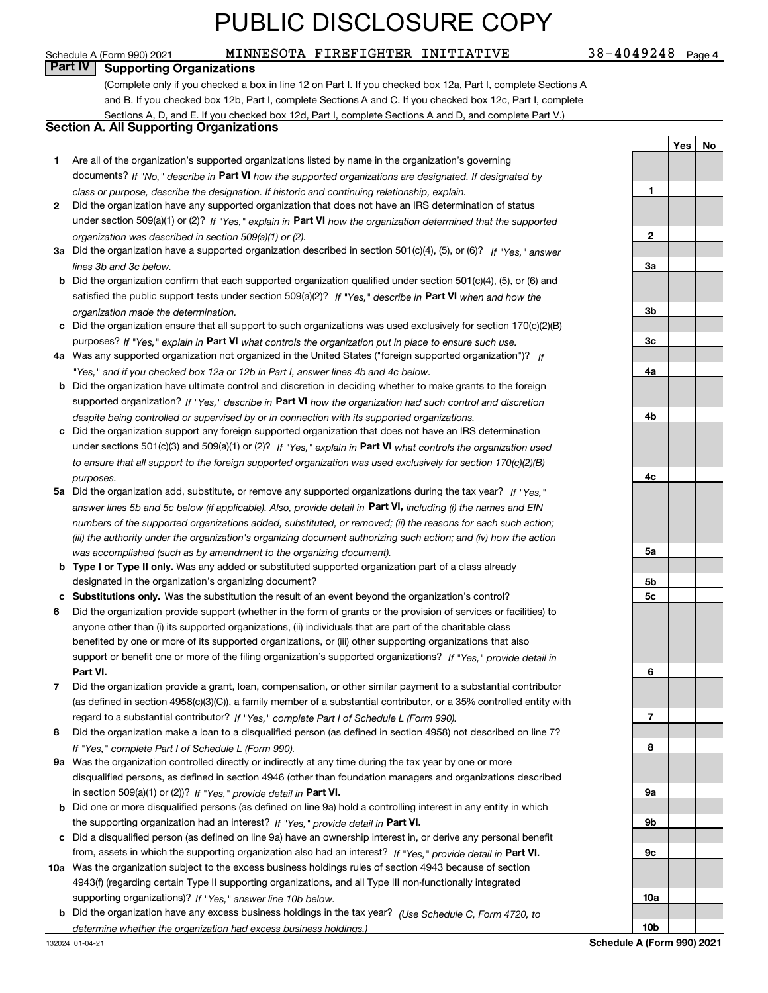#### Schedule A (Form 990) 2021 MINNESOTA FIREFIGHTER INITIATIVE 38-4049248 Page

 $38 - 4049248$  Page 4

#### **Part IV Supporting Organizations**

(Complete only if you checked a box in line 12 on Part I. If you checked box 12a, Part I, complete Sections A and B. If you checked box 12b, Part I, complete Sections A and C. If you checked box 12c, Part I, complete Sections A, D, and E. If you checked box 12d, Part I, complete Sections A and D, and complete Part V.)

#### **Section A. All Supporting Organizations**

|   | Section A. All Supporting Organizations                                                                                                                                             |                |         |    |
|---|-------------------------------------------------------------------------------------------------------------------------------------------------------------------------------------|----------------|---------|----|
|   |                                                                                                                                                                                     |                | Yes $ $ | No |
| 1 | Are all of the organization's supported organizations listed by name in the organization's governing                                                                                |                |         |    |
|   | documents? If "No," describe in Part VI how the supported organizations are designated. If designated by                                                                            |                |         |    |
|   | class or purpose, describe the designation. If historic and continuing relationship, explain.                                                                                       | 1              |         |    |
| 2 | Did the organization have any supported organization that does not have an IRS determination of status                                                                              |                |         |    |
|   | under section 509(a)(1) or (2)? If "Yes," explain in Part VI how the organization determined that the supported                                                                     |                |         |    |
|   | organization was described in section 509(a)(1) or (2).                                                                                                                             | $\mathbf{2}$   |         |    |
|   | 3a Did the organization have a supported organization described in section 501(c)(4), (5), or (6)? If "Yes," answer                                                                 |                |         |    |
|   | lines 3b and 3c below.                                                                                                                                                              | За             |         |    |
|   | <b>b</b> Did the organization confirm that each supported organization qualified under section $501(c)(4)$ , (5), or (6) and                                                        |                |         |    |
|   | satisfied the public support tests under section 509(a)(2)? If "Yes," describe in Part VI when and how the                                                                          |                |         |    |
|   | organization made the determination.                                                                                                                                                | 3b             |         |    |
|   | c Did the organization ensure that all support to such organizations was used exclusively for section 170(c)(2)(B)                                                                  |                |         |    |
|   | purposes? If "Yes," explain in Part VI what controls the organization put in place to ensure such use.                                                                              | 3c             |         |    |
|   | 4a Was any supported organization not organized in the United States ("foreign supported organization")? If                                                                         |                |         |    |
|   | "Yes," and if you checked box 12a or 12b in Part I, answer lines 4b and 4c below.                                                                                                   | 4a             |         |    |
|   | <b>b</b> Did the organization have ultimate control and discretion in deciding whether to make grants to the foreign                                                                |                |         |    |
|   | supported organization? If "Yes," describe in Part VI how the organization had such control and discretion                                                                          |                |         |    |
|   | despite being controlled or supervised by or in connection with its supported organizations.                                                                                        | 4b             |         |    |
|   | c Did the organization support any foreign supported organization that does not have an IRS determination                                                                           |                |         |    |
|   | under sections 501(c)(3) and 509(a)(1) or (2)? If "Yes," explain in Part VI what controls the organization used                                                                     |                |         |    |
|   | to ensure that all support to the foreign supported organization was used exclusively for section $170(c)(2)(B)$                                                                    |                |         |    |
|   | purposes.<br>5a Did the organization add, substitute, or remove any supported organizations during the tax year? If "Yes."                                                          | 4c             |         |    |
|   |                                                                                                                                                                                     |                |         |    |
|   | answer lines 5b and 5c below (if applicable). Also, provide detail in Part VI, including (i) the names and EIN                                                                      |                |         |    |
|   | numbers of the supported organizations added, substituted, or removed; (ii) the reasons for each such action;                                                                       |                |         |    |
|   | (iii) the authority under the organization's organizing document authorizing such action; and (iv) how the action                                                                   | 5a             |         |    |
|   | was accomplished (such as by amendment to the organizing document).<br><b>b</b> Type I or Type II only. Was any added or substituted supported organization part of a class already |                |         |    |
|   | designated in the organization's organizing document?                                                                                                                               | 5b             |         |    |
|   | c Substitutions only. Was the substitution the result of an event beyond the organization's control?                                                                                | 5 <sub>c</sub> |         |    |
| 6 | Did the organization provide support (whether in the form of grants or the provision of services or facilities) to                                                                  |                |         |    |
|   | anyone other than (i) its supported organizations, (ii) individuals that are part of the charitable class                                                                           |                |         |    |
|   | benefited by one or more of its supported organizations, or (iii) other supporting organizations that also                                                                          |                |         |    |
|   | support or benefit one or more of the filing organization's supported organizations? If "Yes," provide detail in                                                                    |                |         |    |
|   | Part VI.                                                                                                                                                                            | 6              |         |    |
|   | Did the organization provide a grant, loan, compensation, or other similar payment to a substantial contributor                                                                     |                |         |    |
|   | (as defined in section 4958(c)(3)(C)), a family member of a substantial contributor, or a 35% controlled entity with                                                                |                |         |    |
|   | regard to a substantial contributor? If "Yes," complete Part I of Schedule L (Form 990).                                                                                            | 7              |         |    |
| 8 | Did the organization make a loan to a disqualified person (as defined in section 4958) not described on line 7?                                                                     |                |         |    |
|   | If "Yes," complete Part I of Schedule L (Form 990).                                                                                                                                 | 8              |         |    |
|   | 9a Was the organization controlled directly or indirectly at any time during the tax year by one or more                                                                            |                |         |    |
|   | disqualified persons, as defined in section 4946 (other than foundation managers and organizations described                                                                        |                |         |    |
|   | in section 509(a)(1) or (2))? If "Yes," provide detail in Part VI.                                                                                                                  | 9а             |         |    |
|   | <b>b</b> Did one or more disqualified persons (as defined on line 9a) hold a controlling interest in any entity in which                                                            |                |         |    |
|   | the supporting organization had an interest? If "Yes," provide detail in Part VI.                                                                                                   | 9b             |         |    |
|   |                                                                                                                                                                                     |                |         |    |

- **c**Did a disqualified person (as defined on line 9a) have an ownership interest in, or derive any personal benefit from, assets in which the supporting organization also had an interest? If "Yes," provide detail in P**art VI.**
- **10a** Was the organization subject to the excess business holdings rules of section 4943 because of section supporting organizations)? If "Yes," answer line 10b below. 4943(f) (regarding certain Type II supporting organizations, and all Type III non-functionally integrated
- **b** Did the organization have any excess business holdings in the tax year? (Use Schedule C, Form 4720, to *determine whether the organization had excess business holdings.)*

**9c**

**10a**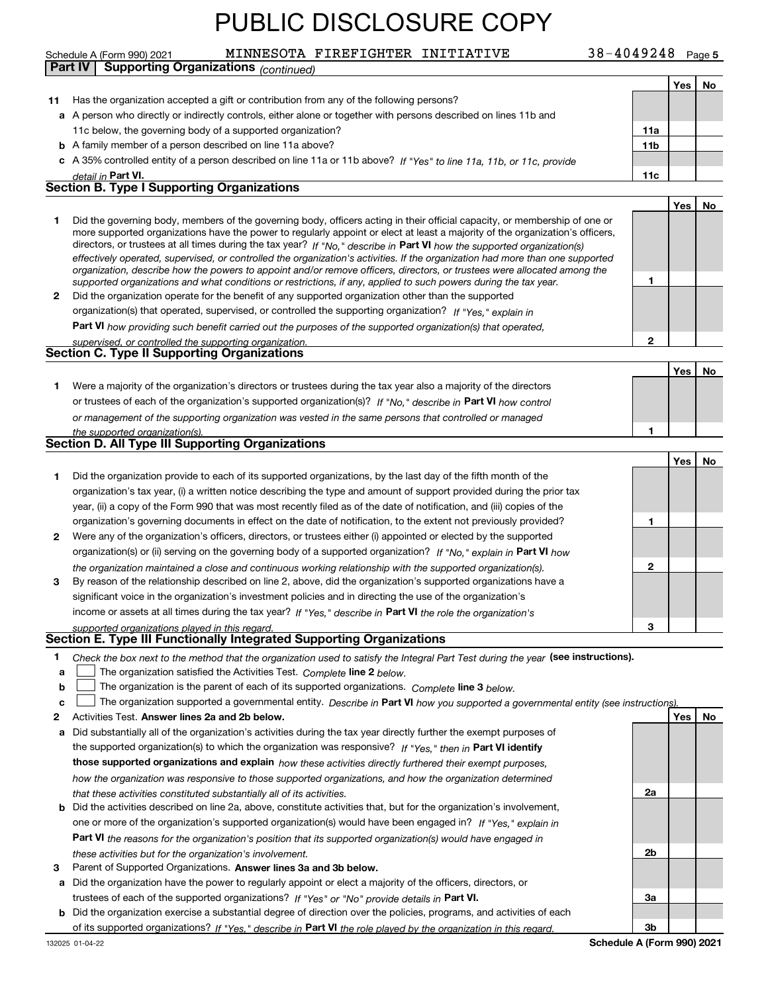|    | MINNESOTA FIREFIGHTER INITIATIVE<br>Schedule A (Form 990) 2021                                                                                                                                                                                                                                                                                                                                                                                                                                                                                                                                                                                       | 38-4049248 Page 5 |            |    |
|----|------------------------------------------------------------------------------------------------------------------------------------------------------------------------------------------------------------------------------------------------------------------------------------------------------------------------------------------------------------------------------------------------------------------------------------------------------------------------------------------------------------------------------------------------------------------------------------------------------------------------------------------------------|-------------------|------------|----|
|    | <b>Supporting Organizations (continued)</b><br><b>Part IV</b>                                                                                                                                                                                                                                                                                                                                                                                                                                                                                                                                                                                        |                   |            |    |
|    |                                                                                                                                                                                                                                                                                                                                                                                                                                                                                                                                                                                                                                                      |                   | Yes        | No |
| 11 | Has the organization accepted a gift or contribution from any of the following persons?                                                                                                                                                                                                                                                                                                                                                                                                                                                                                                                                                              |                   |            |    |
|    | a A person who directly or indirectly controls, either alone or together with persons described on lines 11b and                                                                                                                                                                                                                                                                                                                                                                                                                                                                                                                                     |                   |            |    |
|    | 11c below, the governing body of a supported organization?                                                                                                                                                                                                                                                                                                                                                                                                                                                                                                                                                                                           | 11a               |            |    |
|    | <b>b</b> A family member of a person described on line 11a above?                                                                                                                                                                                                                                                                                                                                                                                                                                                                                                                                                                                    | 11 <sub>b</sub>   |            |    |
|    | c A 35% controlled entity of a person described on line 11a or 11b above? If "Yes" to line 11a, 11b, or 11c, provide                                                                                                                                                                                                                                                                                                                                                                                                                                                                                                                                 |                   |            |    |
|    | detail in Part VI.                                                                                                                                                                                                                                                                                                                                                                                                                                                                                                                                                                                                                                   | 11c               |            |    |
|    | <b>Section B. Type I Supporting Organizations</b>                                                                                                                                                                                                                                                                                                                                                                                                                                                                                                                                                                                                    |                   |            |    |
|    |                                                                                                                                                                                                                                                                                                                                                                                                                                                                                                                                                                                                                                                      |                   | <b>Yes</b> | No |
| 1  | Did the governing body, members of the governing body, officers acting in their official capacity, or membership of one or<br>more supported organizations have the power to regularly appoint or elect at least a majority of the organization's officers,<br>directors, or trustees at all times during the tax year? If "No," describe in Part VI how the supported organization(s)<br>effectively operated, supervised, or controlled the organization's activities. If the organization had more than one supported<br>organization, describe how the powers to appoint and/or remove officers, directors, or trustees were allocated among the |                   |            |    |
|    | supported organizations and what conditions or restrictions, if any, applied to such powers during the tax year.                                                                                                                                                                                                                                                                                                                                                                                                                                                                                                                                     | 1                 |            |    |
| 2  | Did the organization operate for the benefit of any supported organization other than the supported                                                                                                                                                                                                                                                                                                                                                                                                                                                                                                                                                  |                   |            |    |
|    | organization(s) that operated, supervised, or controlled the supporting organization? If "Yes," explain in                                                                                                                                                                                                                                                                                                                                                                                                                                                                                                                                           |                   |            |    |
|    | Part VI how providing such benefit carried out the purposes of the supported organization(s) that operated,                                                                                                                                                                                                                                                                                                                                                                                                                                                                                                                                          |                   |            |    |
|    | supervised, or controlled the supporting organization.<br><b>Section C. Type II Supporting Organizations</b>                                                                                                                                                                                                                                                                                                                                                                                                                                                                                                                                         | $\mathbf{2}$      |            |    |
|    |                                                                                                                                                                                                                                                                                                                                                                                                                                                                                                                                                                                                                                                      |                   |            |    |
|    |                                                                                                                                                                                                                                                                                                                                                                                                                                                                                                                                                                                                                                                      |                   | Yes        | No |
| 1  | Were a majority of the organization's directors or trustees during the tax year also a majority of the directors                                                                                                                                                                                                                                                                                                                                                                                                                                                                                                                                     |                   |            |    |
|    | or trustees of each of the organization's supported organization(s)? If "No," describe in Part VI how control                                                                                                                                                                                                                                                                                                                                                                                                                                                                                                                                        |                   |            |    |
|    | or management of the supporting organization was vested in the same persons that controlled or managed                                                                                                                                                                                                                                                                                                                                                                                                                                                                                                                                               |                   |            |    |
|    | the supported organization(s).<br>Section D. All Type III Supporting Organizations                                                                                                                                                                                                                                                                                                                                                                                                                                                                                                                                                                   | 1                 |            |    |
|    |                                                                                                                                                                                                                                                                                                                                                                                                                                                                                                                                                                                                                                                      |                   |            |    |
|    |                                                                                                                                                                                                                                                                                                                                                                                                                                                                                                                                                                                                                                                      |                   | Yes        | No |
| 1  | Did the organization provide to each of its supported organizations, by the last day of the fifth month of the                                                                                                                                                                                                                                                                                                                                                                                                                                                                                                                                       |                   |            |    |
|    | organization's tax year, (i) a written notice describing the type and amount of support provided during the prior tax                                                                                                                                                                                                                                                                                                                                                                                                                                                                                                                                |                   |            |    |
|    | year, (ii) a copy of the Form 990 that was most recently filed as of the date of notification, and (iii) copies of the                                                                                                                                                                                                                                                                                                                                                                                                                                                                                                                               |                   |            |    |
|    | organization's governing documents in effect on the date of notification, to the extent not previously provided?                                                                                                                                                                                                                                                                                                                                                                                                                                                                                                                                     | 1                 |            |    |
| 2  | Were any of the organization's officers, directors, or trustees either (i) appointed or elected by the supported                                                                                                                                                                                                                                                                                                                                                                                                                                                                                                                                     |                   |            |    |
|    | organization(s) or (ii) serving on the governing body of a supported organization? If "No, " explain in Part VI how                                                                                                                                                                                                                                                                                                                                                                                                                                                                                                                                  |                   |            |    |
|    | the organization maintained a close and continuous working relationship with the supported organization(s).                                                                                                                                                                                                                                                                                                                                                                                                                                                                                                                                          | $\mathbf{2}$      |            |    |
| 3  | By reason of the relationship described on line 2, above, did the organization's supported organizations have a                                                                                                                                                                                                                                                                                                                                                                                                                                                                                                                                      |                   |            |    |
|    | significant voice in the organization's investment policies and in directing the use of the organization's                                                                                                                                                                                                                                                                                                                                                                                                                                                                                                                                           |                   |            |    |
|    | income or assets at all times during the tax year? If "Yes," describe in Part VI the role the organization's                                                                                                                                                                                                                                                                                                                                                                                                                                                                                                                                         |                   |            |    |
|    | supported organizations played in this regard.                                                                                                                                                                                                                                                                                                                                                                                                                                                                                                                                                                                                       | 3                 |            |    |
|    | Section E. Type III Functionally Integrated Supporting Organizations                                                                                                                                                                                                                                                                                                                                                                                                                                                                                                                                                                                 |                   |            |    |
| 1  | Check the box next to the method that the organization used to satisfy the Integral Part Test during the year (see instructions).                                                                                                                                                                                                                                                                                                                                                                                                                                                                                                                    |                   |            |    |

- **alinupy** The organization satisfied the Activities Test. Complete line 2 below.
- **b**The organization is the parent of each of its supported organizations. Complete **line 3** below.

|  | c $\Box$ The organization supported a governmental entity. Describe in Part VI how you supported a governmental entity (see instructions) |  |  |  |  |  |
|--|-------------------------------------------------------------------------------------------------------------------------------------------|--|--|--|--|--|
|--|-------------------------------------------------------------------------------------------------------------------------------------------|--|--|--|--|--|

- **2**Activities Test.
- **Activities Test. Answer lines 2a and 2b below.**<br>**a** Did substantially all of the organization's activities during the tax year directly further the exempt purposes of the supported organization(s) to which the organization was responsive? If "Yes," then in **Part VI identify those supported organizations and explain**  *how these activities directly furthered their exempt purposes, how the organization was responsive to those supported organizations, and how the organization determined that these activities constituted substantially all of its activities.*
- **b** Did the activities described on line 2a, above, constitute activities that, but for the organization's involvement, **Part VI**  *the reasons for the organization's position that its supported organization(s) would have engaged in* one or more of the organization's supported organization(s) would have been engaged in? If "Yes," e*xplain in these activities but for the organization's involvement.*
- **3** Parent of Supported Organizations. Answer lines 3a and 3b below.
- **a** Did the organization have the power to regularly appoint or elect a majority of the officers, directors, or trustees of each of the supported organizations? If "Yes" or "No" provide details in **Part VI.**
- **b** Did the organization exercise a substantial degree of direction over the policies, programs, and activities of each of its supported organizations? If "Yes," describe in **Part VI** the role played by the organization in this regard.<br>.

**3bSchedule A (Form 990) 2021**

**2a**

**2b**

**3a**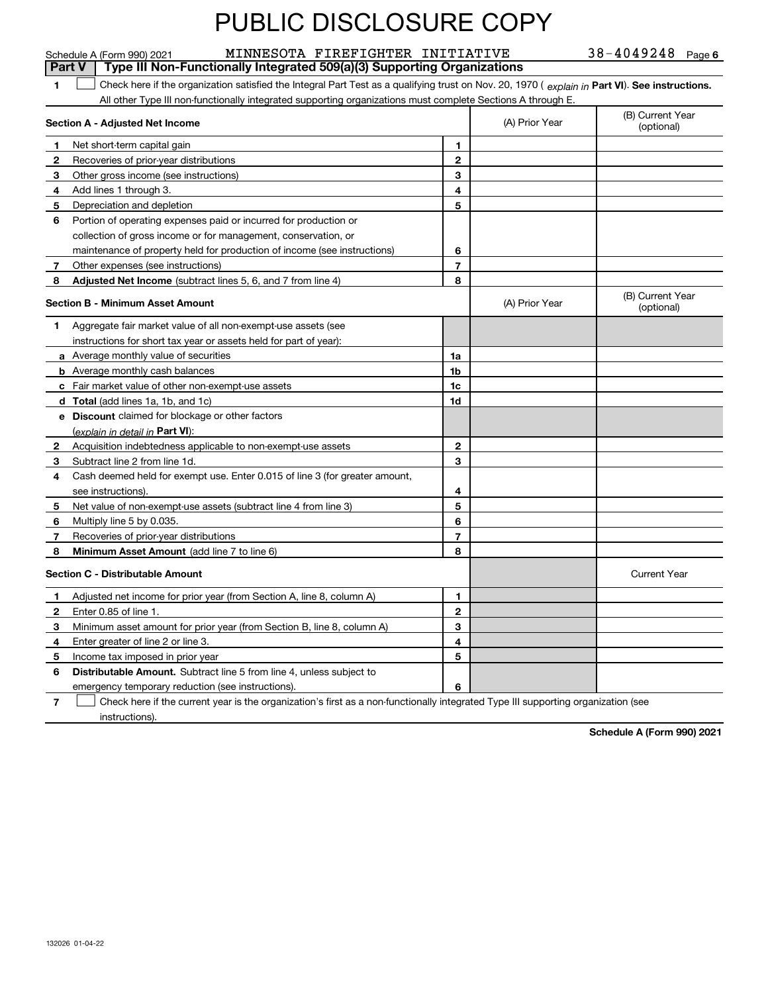|              | MINNESOTA FIREFIGHTER INITIATIVE<br>Schedule A (Form 990) 2021                                                                                 |                |                | $38 - 4049248$ Page 6          |
|--------------|------------------------------------------------------------------------------------------------------------------------------------------------|----------------|----------------|--------------------------------|
|              | Type III Non-Functionally Integrated 509(a)(3) Supporting Organizations<br>Part V                                                              |                |                |                                |
| 1            | Check here if the organization satisfied the Integral Part Test as a qualifying trust on Nov. 20, 1970 (explain in Part VI). See instructions. |                |                |                                |
|              | All other Type III non-functionally integrated supporting organizations must complete Sections A through E.                                    |                |                |                                |
|              | Section A - Adjusted Net Income                                                                                                                |                | (A) Prior Year | (B) Current Year<br>(optional) |
| -1           | Net short-term capital gain                                                                                                                    | 1              |                |                                |
| $\mathbf{2}$ | Recoveries of prior-year distributions                                                                                                         | $\overline{2}$ |                |                                |
| 3            | Other gross income (see instructions)                                                                                                          | 3              |                |                                |
| 4            | Add lines 1 through 3.                                                                                                                         | 4              |                |                                |
| 5            | Depreciation and depletion                                                                                                                     | 5              |                |                                |
| 6            | Portion of operating expenses paid or incurred for production or                                                                               |                |                |                                |
|              | collection of gross income or for management, conservation, or                                                                                 |                |                |                                |
|              | maintenance of property held for production of income (see instructions)                                                                       | 6              |                |                                |
| 7            | Other expenses (see instructions)                                                                                                              | $\overline{7}$ |                |                                |
| 8            | Adjusted Net Income (subtract lines 5, 6, and 7 from line 4)                                                                                   | 8              |                |                                |
|              | <b>Section B - Minimum Asset Amount</b>                                                                                                        |                | (A) Prior Year | (B) Current Year<br>(optional) |
| 1            | Aggregate fair market value of all non-exempt-use assets (see                                                                                  |                |                |                                |
|              | instructions for short tax year or assets held for part of year):                                                                              |                |                |                                |
|              | <b>a</b> Average monthly value of securities                                                                                                   | 1a             |                |                                |
|              | <b>b</b> Average monthly cash balances                                                                                                         | 1b             |                |                                |
|              | <b>c</b> Fair market value of other non-exempt-use assets                                                                                      | 1c             |                |                                |
|              | <b>d</b> Total (add lines 1a, 1b, and 1c)                                                                                                      | 1d             |                |                                |
|              | e Discount claimed for blockage or other factors                                                                                               |                |                |                                |
|              | (explain in detail in Part VI):                                                                                                                |                |                |                                |
| 2            | Acquisition indebtedness applicable to non-exempt-use assets                                                                                   | $\mathbf{2}$   |                |                                |
| 3            | Subtract line 2 from line 1d.                                                                                                                  | 3              |                |                                |
| 4            | Cash deemed held for exempt use. Enter 0.015 of line 3 (for greater amount,                                                                    |                |                |                                |
|              | see instructions).                                                                                                                             | 4              |                |                                |
| 5            | Net value of non-exempt-use assets (subtract line 4 from line 3)                                                                               | 5              |                |                                |
| 6            | Multiply line 5 by 0.035.                                                                                                                      | 6              |                |                                |
| 7            | Recoveries of prior-year distributions                                                                                                         | $\overline{7}$ |                |                                |
| 8            | Minimum Asset Amount (add line 7 to line 6)                                                                                                    | 8              |                |                                |
|              | <b>Section C - Distributable Amount</b>                                                                                                        |                |                | <b>Current Year</b>            |
| 1.           | Adjusted net income for prior year (from Section A, line 8, column A)                                                                          | 1              |                |                                |
| 2            | Enter 0.85 of line 1.                                                                                                                          | 2              |                |                                |
| 3            | Minimum asset amount for prior year (from Section B, line 8, column A)                                                                         | 3              |                |                                |
| 4            | Enter greater of line 2 or line 3.                                                                                                             | 4              |                |                                |
| 5            | Income tax imposed in prior year                                                                                                               | 5              |                |                                |
| 6            | <b>Distributable Amount.</b> Subtract line 5 from line 4, unless subject to                                                                    |                |                |                                |
|              | emergency temporary reduction (see instructions).                                                                                              | 6              |                |                                |

**7** Check here if the current year is the organization's first as a non-functionally integrated Type III supporting organization (see instructions).

**Schedule A (Form 990) 2021**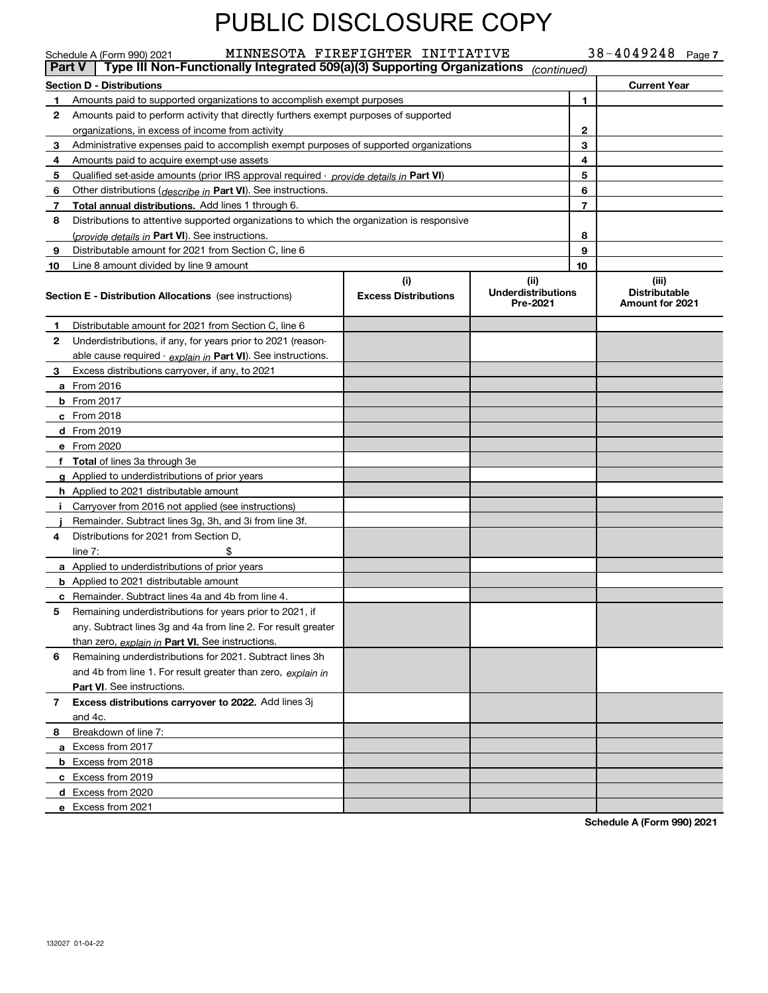|    | $38 - 4049248$ Page 7<br>MINNESOTA FIREFIGHTER INITIATIVE<br>Schedule A (Form 990) 2021<br>Type III Non-Functionally Integrated 509(a)(3) Supporting Organizations<br><b>Part V</b><br>(continued) |                                    |                                               |                |                                                  |  |  |  |
|----|----------------------------------------------------------------------------------------------------------------------------------------------------------------------------------------------------|------------------------------------|-----------------------------------------------|----------------|--------------------------------------------------|--|--|--|
|    | <b>Section D - Distributions</b>                                                                                                                                                                   |                                    |                                               |                | <b>Current Year</b>                              |  |  |  |
| 1  | Amounts paid to supported organizations to accomplish exempt purposes                                                                                                                              |                                    |                                               | 1              |                                                  |  |  |  |
| 2  | Amounts paid to perform activity that directly furthers exempt purposes of supported                                                                                                               |                                    |                                               |                |                                                  |  |  |  |
|    | organizations, in excess of income from activity                                                                                                                                                   |                                    |                                               | 2              |                                                  |  |  |  |
| 3  | Administrative expenses paid to accomplish exempt purposes of supported organizations                                                                                                              |                                    |                                               | 3              |                                                  |  |  |  |
| 4  | Amounts paid to acquire exempt-use assets                                                                                                                                                          |                                    |                                               | 4              |                                                  |  |  |  |
| 5  | Qualified set-aside amounts (prior IRS approval required - <i>provide details in</i> Part VI)                                                                                                      |                                    |                                               | 5              |                                                  |  |  |  |
| 6  | Other distributions (describe in Part VI). See instructions.                                                                                                                                       |                                    |                                               | 6              |                                                  |  |  |  |
| 7  | <b>Total annual distributions.</b> Add lines 1 through 6.                                                                                                                                          |                                    |                                               | $\overline{7}$ |                                                  |  |  |  |
| 8  | Distributions to attentive supported organizations to which the organization is responsive                                                                                                         |                                    |                                               |                |                                                  |  |  |  |
|    | (provide details in Part VI). See instructions.                                                                                                                                                    |                                    |                                               | 8              |                                                  |  |  |  |
| 9  | Distributable amount for 2021 from Section C, line 6                                                                                                                                               |                                    |                                               | 9              |                                                  |  |  |  |
| 10 | Line 8 amount divided by line 9 amount                                                                                                                                                             |                                    |                                               | 10             |                                                  |  |  |  |
|    | <b>Section E - Distribution Allocations</b> (see instructions)                                                                                                                                     | (i)<br><b>Excess Distributions</b> | (ii)<br><b>Underdistributions</b><br>Pre-2021 |                | (iii)<br><b>Distributable</b><br>Amount for 2021 |  |  |  |
| 1  | Distributable amount for 2021 from Section C, line 6                                                                                                                                               |                                    |                                               |                |                                                  |  |  |  |
| 2  | Underdistributions, if any, for years prior to 2021 (reason-                                                                                                                                       |                                    |                                               |                |                                                  |  |  |  |
|    | able cause required - explain in Part VI). See instructions.                                                                                                                                       |                                    |                                               |                |                                                  |  |  |  |
| 3. | Excess distributions carryover, if any, to 2021                                                                                                                                                    |                                    |                                               |                |                                                  |  |  |  |
|    | a From 2016                                                                                                                                                                                        |                                    |                                               |                |                                                  |  |  |  |
|    | <b>b</b> From 2017                                                                                                                                                                                 |                                    |                                               |                |                                                  |  |  |  |
|    | c From 2018                                                                                                                                                                                        |                                    |                                               |                |                                                  |  |  |  |
|    | d From 2019                                                                                                                                                                                        |                                    |                                               |                |                                                  |  |  |  |
|    | e From 2020                                                                                                                                                                                        |                                    |                                               |                |                                                  |  |  |  |
|    | f Total of lines 3a through 3e                                                                                                                                                                     |                                    |                                               |                |                                                  |  |  |  |
|    | g Applied to underdistributions of prior years                                                                                                                                                     |                                    |                                               |                |                                                  |  |  |  |
|    | <b>h</b> Applied to 2021 distributable amount                                                                                                                                                      |                                    |                                               |                |                                                  |  |  |  |
|    | Carryover from 2016 not applied (see instructions)                                                                                                                                                 |                                    |                                               |                |                                                  |  |  |  |
|    | Remainder. Subtract lines 3g, 3h, and 3i from line 3f.                                                                                                                                             |                                    |                                               |                |                                                  |  |  |  |
| 4  | Distributions for 2021 from Section D,                                                                                                                                                             |                                    |                                               |                |                                                  |  |  |  |
|    | \$<br>line $7:$                                                                                                                                                                                    |                                    |                                               |                |                                                  |  |  |  |
|    | <b>a</b> Applied to underdistributions of prior years                                                                                                                                              |                                    |                                               |                |                                                  |  |  |  |
|    | <b>b</b> Applied to 2021 distributable amount                                                                                                                                                      |                                    |                                               |                |                                                  |  |  |  |
|    | <b>c</b> Remainder. Subtract lines 4a and 4b from line 4.                                                                                                                                          |                                    |                                               |                |                                                  |  |  |  |
| 5  | Remaining underdistributions for years prior to 2021, if                                                                                                                                           |                                    |                                               |                |                                                  |  |  |  |
|    | any. Subtract lines 3g and 4a from line 2. For result greater                                                                                                                                      |                                    |                                               |                |                                                  |  |  |  |
|    | than zero, explain in Part VI. See instructions.                                                                                                                                                   |                                    |                                               |                |                                                  |  |  |  |
| 6  | Remaining underdistributions for 2021. Subtract lines 3h                                                                                                                                           |                                    |                                               |                |                                                  |  |  |  |
|    | and 4b from line 1. For result greater than zero, explain in                                                                                                                                       |                                    |                                               |                |                                                  |  |  |  |
|    | Part VI. See instructions.                                                                                                                                                                         |                                    |                                               |                |                                                  |  |  |  |
| 7  | Excess distributions carryover to 2022. Add lines 3j                                                                                                                                               |                                    |                                               |                |                                                  |  |  |  |
|    | and 4c.                                                                                                                                                                                            |                                    |                                               |                |                                                  |  |  |  |
| 8  | Breakdown of line 7:                                                                                                                                                                               |                                    |                                               |                |                                                  |  |  |  |
|    | a Excess from 2017                                                                                                                                                                                 |                                    |                                               |                |                                                  |  |  |  |
|    | <b>b</b> Excess from 2018                                                                                                                                                                          |                                    |                                               |                |                                                  |  |  |  |
|    | c Excess from 2019                                                                                                                                                                                 |                                    |                                               |                |                                                  |  |  |  |
|    | d Excess from 2020                                                                                                                                                                                 |                                    |                                               |                |                                                  |  |  |  |
|    | e Excess from 2021                                                                                                                                                                                 |                                    |                                               |                |                                                  |  |  |  |

**Schedule A (Form 990) 2021**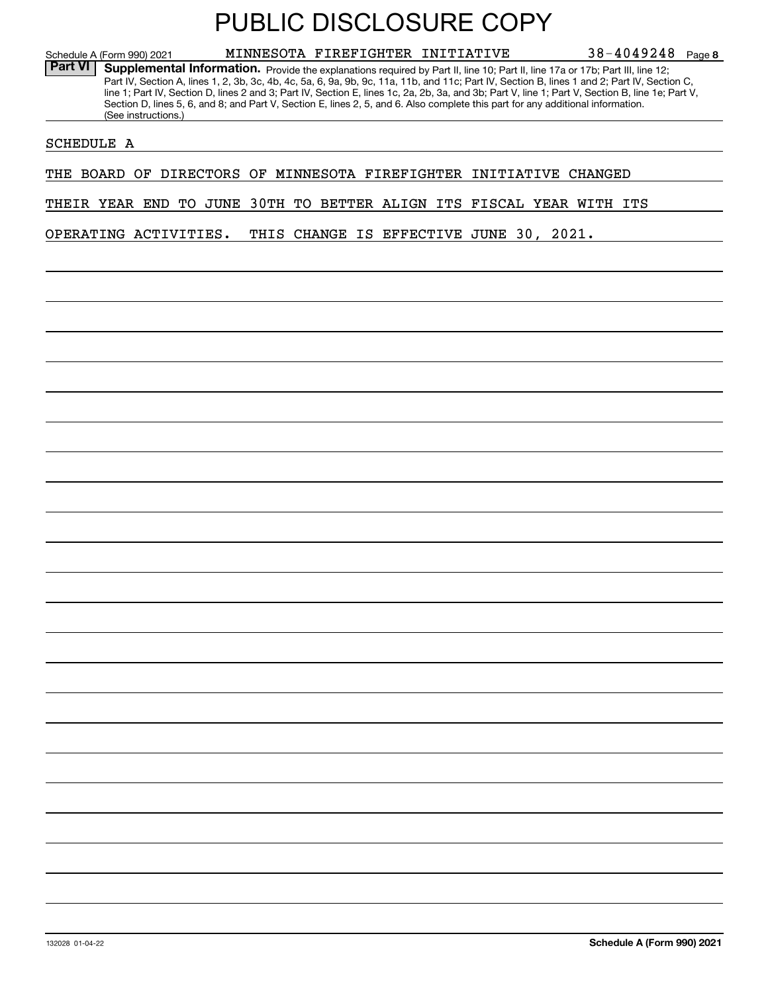**8**38-4049248 Schedule A (Form 990) 2021 **MINNESOTA FIREFIGHTER INITIATIVE** 38-4049248 Page Part VI | Supplemental Information. Provide the explanations required by Part II, line 10; Part II, line 17a or 17b; Part III, line 12; Part IV, Section A, lines 1, 2, 3b, 3c, 4b, 4c, 5a, 6, 9a, 9b, 9c, 11a, 11b, and 11c; Part IV, Section B, lines 1 and 2; Part IV, Section C, line 1; Part IV, Section D, lines 2 and 3; Part IV, Section E, lines 1c, 2a, 2b, 3a, and 3b; Part V, line 1; Part V, Section B, line 1e; Part V, Section D, lines 5, 6, and 8; and Part V, Section E, lines 2, 5, and 6. Also complete this part for any additional information. (See instructions.)

SCHEDULE A

THE BOARD OF DIRECTORS OF MINNESOTA FIREFIGHTER INITIATIVE CHANGED

THEIR YEAR END TO JUNE 30TH TO BETTER ALIGN ITS FISCAL YEAR WITH ITS

OPERATING ACTIVITIES. THIS CHANGE IS EFFECTIVE JUNE 30, 2021.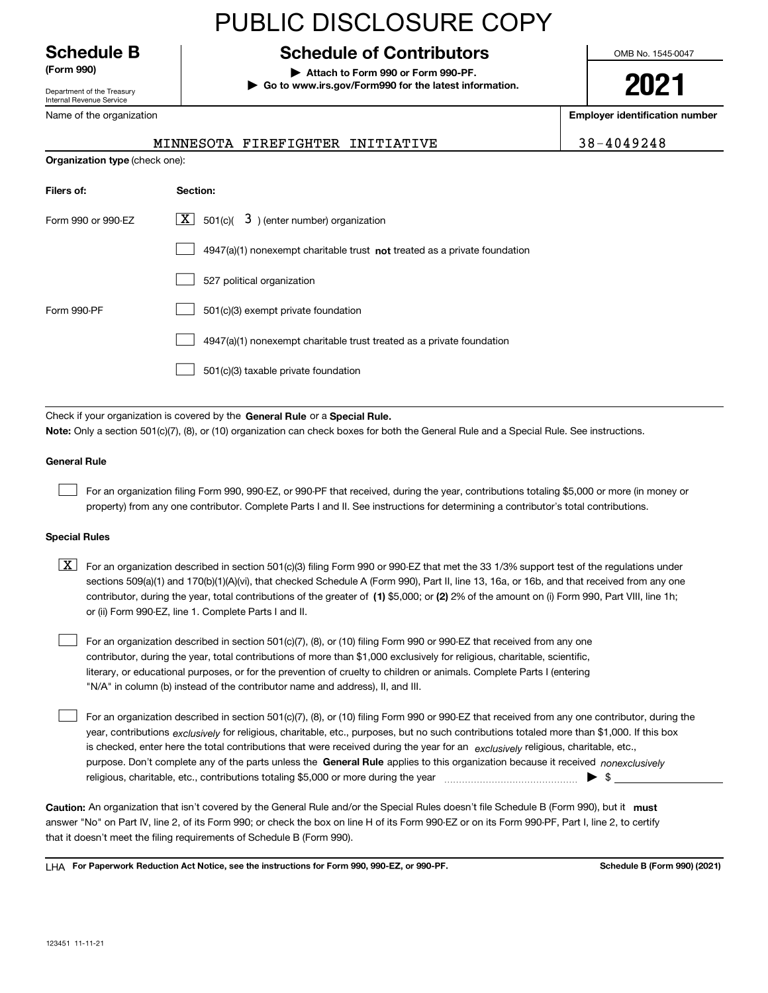For an organization described in section 501(c)(7), (8), or (10) filing Form 990 or 990-EZ that received from any one contributor, during the year, total contributions of more than \$1,000 exclusively for religious, charitable, scientific, literary, or educational purposes, or for the prevention of cruelty to children or animals. Complete Parts I (entering "N/A" in column (b) instead of the contributor name and address), II, and III.  $\mathcal{L}^{\text{max}}$ 

**(Form 990) | Attach to Form 990 or Form 990-PF.**

PUBLIC DISCLOSURE COPY

**| Go to www.irs.gov/Form990 for the latest information.**

MINNESOTA FIREFIGHTER INITIATIVE 38-4049248

OMB No. 1545-0047

### **2021**

**Employer identification number**

| Filers of:           | Section:                                                                                                                                                                                                                                                                         |
|----------------------|----------------------------------------------------------------------------------------------------------------------------------------------------------------------------------------------------------------------------------------------------------------------------------|
| Form 990 or 990-EZ   | 3) (enter number) organization<br>$X$ 501(c)(                                                                                                                                                                                                                                    |
|                      | $4947(a)(1)$ nonexempt charitable trust not treated as a private foundation                                                                                                                                                                                                      |
|                      | 527 political organization                                                                                                                                                                                                                                                       |
| Form 990-PF          | 501(c)(3) exempt private foundation                                                                                                                                                                                                                                              |
|                      | 4947(a)(1) nonexempt charitable trust treated as a private foundation                                                                                                                                                                                                            |
|                      | 501(c)(3) taxable private foundation                                                                                                                                                                                                                                             |
|                      |                                                                                                                                                                                                                                                                                  |
|                      | Check if your organization is covered by the General Rule or a Special Rule.<br>Note: Only a section 501(c)(7), (8), or (10) organization can check boxes for both the General Rule and a Special Rule. See instructions.                                                        |
| <b>General Rule</b>  |                                                                                                                                                                                                                                                                                  |
|                      | For an organization filing Form 990, 990-EZ, or 990-PF that received, during the year, contributions totaling \$5,000 or more (in money or<br>property) from any one contributor. Complete Parts I and II. See instructions for determining a contributor's total contributions. |
| <b>Special Rules</b> |                                                                                                                                                                                                                                                                                  |

#### contributor, during the year, total contributions of the greater of (1**)** \$5,000; or (2) 2% of the amount on (i) Form 990, Part VIII, line 1h;  $\boxed{\textbf{X}}$  For an organization described in section 501(c)(3) filing Form 990 or 990-EZ that met the 33 1/3% support test of the regulations under sections 509(a)(1) and 170(b)(1)(A)(vi), that checked Schedule A (Form 990), Part II, line 13, 16a, or 16b, and that received from any one or (ii) Form 990-EZ, line 1. Complete Parts I and II.

purpose. Don't complete any of the parts unless the **General Rule** applies to this organization because it received *nonexclusively* year, contributions <sub>exclusively</sub> for religious, charitable, etc., purposes, but no such contributions totaled more than \$1,000. If this box is checked, enter here the total contributions that were received during the year for an  $\;$ exclusively religious, charitable, etc., For an organization described in section 501(c)(7), (8), or (10) filing Form 990 or 990-EZ that received from any one contributor, during the religious, charitable, etc., contributions totaling \$5,000 or more during the year  $\Box$ — $\Box$   $\Box$ 

Caution: An organization that isn't covered by the General Rule and/or the Special Rules doesn't file Schedule B (Form 990), but it **must** answer "No" on Part IV, line 2, of its Form 990; or check the box on line H of its Form 990-EZ or on its Form 990-PF, Part I, line 2, to certify that it doesn't meet the filing requirements of Schedule B (Form 990).

LHA For Paperwork Reduction Act Notice, see the instructions for Form 990, 990-EZ, or 990-PF. **In the act and Schedule B** (Form 990) (2021)

## **Schedule B Schedule of Contributors**

Department of the Treasury Internal Revenue Service

Name of the organization

**Organization type** (check one):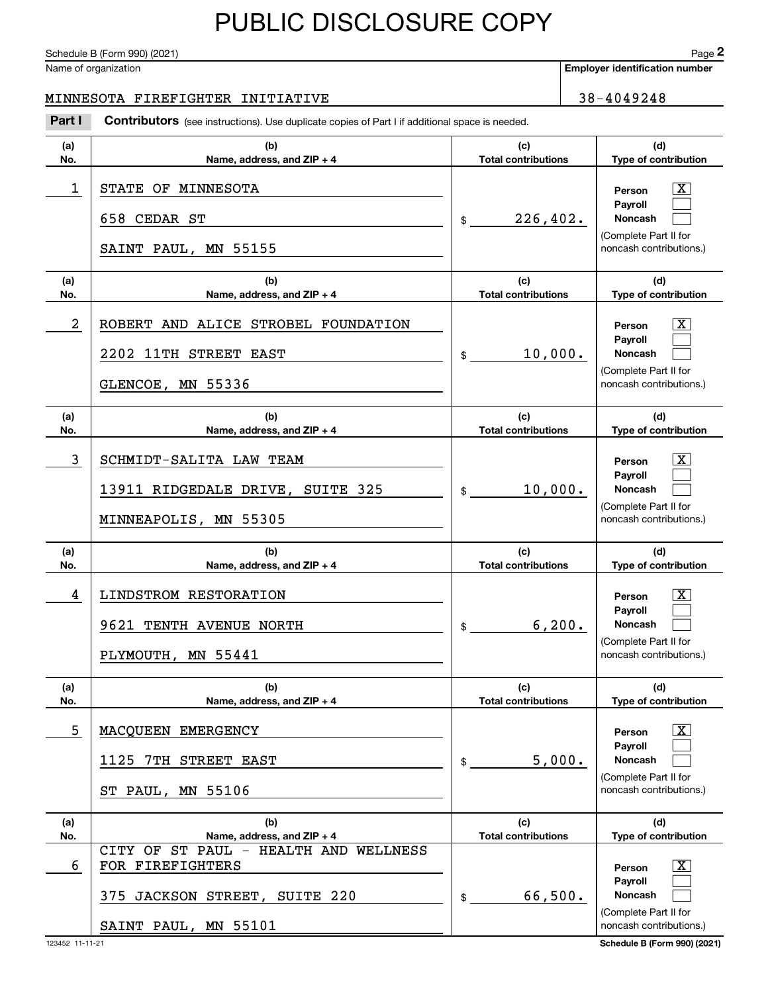Schedule B (Form 990) (2021) Page 2

#### MINNESOTA FIREFIGHTER INITIATIVE | 38-4049248

|            | Schedule B (Form 990) (2021)                                                                   |                                   |         | Page 2                                           |
|------------|------------------------------------------------------------------------------------------------|-----------------------------------|---------|--------------------------------------------------|
|            | Name of organization                                                                           |                                   |         | <b>Employer identification number</b>            |
|            | MINNESOTA FIREFIGHTER INITIATIVE                                                               |                                   |         | 38-4049248                                       |
| Part I     | Contributors (see instructions). Use duplicate copies of Part I if additional space is needed. |                                   |         |                                                  |
| (a)<br>No. | (b)<br>Name, address, and ZIP + 4                                                              | (c)<br><b>Total contributions</b> |         | (d)<br>Type of contribution                      |
| 1          | STATE OF MINNESOTA                                                                             |                                   |         | $\mathbf{X}$<br>Person                           |
|            | 658 CEDAR ST                                                                                   | 226, 402.<br>\$                   |         | Payroll<br>Noncash                               |
|            | SAINT PAUL, MN 55155                                                                           |                                   |         | (Complete Part II for<br>noncash contributions.) |
| (a)<br>No. | (b)<br>Name, address, and ZIP + 4                                                              | (c)<br><b>Total contributions</b> |         | (d)<br>Type of contribution                      |
| 2          | ROBERT AND ALICE STROBEL FOUNDATION                                                            |                                   |         | $\overline{\mathbf{X}}$<br>Person                |
|            | 2202 11TH STREET EAST                                                                          | 10,000.<br>\$                     |         | Payroll<br>Noncash                               |
|            | GLENCOE, MN 55336                                                                              |                                   |         | (Complete Part II for<br>noncash contributions.) |
| (a)<br>No. | (b)<br>Name, address, and ZIP + 4                                                              | (c)<br><b>Total contributions</b> |         | (d)<br>Type of contribution                      |
| 3          | SCHMIDT-SALITA LAW TEAM                                                                        |                                   |         | $\overline{\mathbf{X}}$<br>Person                |
|            | 13911 RIDGEDALE DRIVE, SUITE 325                                                               | 10,000.<br>\$                     |         | Payroll<br>Noncash                               |
|            | MINNEAPOLIS, MN 55305                                                                          |                                   |         | (Complete Part II for<br>noncash contributions.) |
| (a)<br>No. | (b)<br>Name, address, and ZIP + 4                                                              | (c)<br><b>Total contributions</b> |         | (d)<br>Type of contribution                      |
| 4          | LINDSTROM RESTORATION                                                                          |                                   |         | $\overline{\mathbf{X}}$<br>Person                |
|            | 9621 TENTH AVENUE NORTH                                                                        | $\frac{1}{2}$                     | 6, 200. | <b>Payroll</b><br>Noncash                        |
|            | PLYMOUTH, MN 55441                                                                             |                                   |         | (Complete Part II for<br>noncash contributions.) |
| (a)<br>No. | (b)<br>Name, address, and $ZIP + 4$                                                            | (c)<br><b>Total contributions</b> |         | (d)<br>Type of contribution                      |
| 5          | MACQUEEN EMERGENCY                                                                             |                                   |         | $\boxed{\text{X}}$<br>Person                     |
|            | 1125 7TH STREET EAST                                                                           | \$                                | 5,000.  | Payroll<br><b>Noncash</b>                        |
|            | ST PAUL, MN 55106                                                                              |                                   |         | (Complete Part II for<br>noncash contributions.) |
| (a)<br>No. | (b)<br>Name, address, and ZIP + 4                                                              | (c)<br><b>Total contributions</b> |         | (d)<br>Type of contribution                      |
| 6          | CITY OF ST PAUL - HEALTH AND WELLNESS<br>FOR FIREFIGHTERS                                      |                                   |         | $\overline{\mathbf{X}}$<br>Person                |
|            | 375 JACKSON STREET, SUITE 220                                                                  | 66,500.<br>\$                     |         | Payroll<br><b>Noncash</b>                        |
|            | SAINT PAUL, MN 55101                                                                           |                                   |         | (Complete Part II for<br>noncash contributions.) |

123452 11-11-21 **Schedule B (Form 990) (2021)**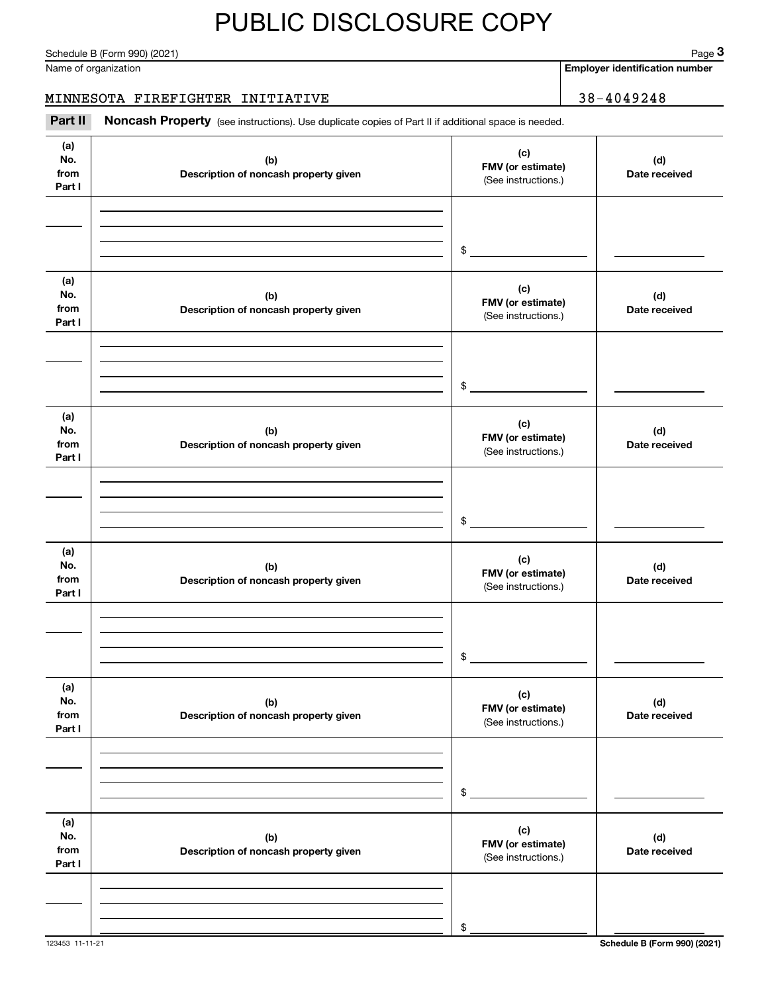Schedule B (Form 990) (2021) Page 3

#### MINNESOTA FIREFIGHTER INITIATIVE | 38-4049248

|                              | Schedule B (Form 990) (2021)                                                                        |                                                 | $Page$ 3                              |
|------------------------------|-----------------------------------------------------------------------------------------------------|-------------------------------------------------|---------------------------------------|
|                              | Name of organization                                                                                |                                                 | <b>Employer identification number</b> |
|                              | MINNESOTA FIREFIGHTER INITIATIVE                                                                    |                                                 | $38 - 4049248$                        |
| Part II                      | Noncash Property (see instructions). Use duplicate copies of Part II if additional space is needed. |                                                 |                                       |
| (a)<br>No.<br>from<br>Part I | (b)<br>Description of noncash property given                                                        | (c)<br>FMV (or estimate)<br>(See instructions.) | (d)<br>Date received                  |
|                              |                                                                                                     | \$                                              |                                       |
| (a)<br>No.<br>from<br>Part I | (b)<br>Description of noncash property given                                                        | (c)<br>FMV (or estimate)<br>(See instructions.) | (d)<br>Date received                  |
|                              |                                                                                                     | \$                                              |                                       |
| (a)<br>No.<br>from<br>Part I | (b)<br>Description of noncash property given                                                        | (c)<br>FMV (or estimate)<br>(See instructions.) | (d)<br>Date received                  |
|                              |                                                                                                     | \$                                              |                                       |
| (a)<br>No.<br>from<br>Part I | (b)<br>Description of noncash property given                                                        | (c)<br>FMV (or estimate)<br>(See instructions.) | (d)<br>Date received                  |
|                              |                                                                                                     | \$                                              |                                       |
| (a)<br>No.<br>from<br>Part I | (b)<br>Description of noncash property given                                                        | (c)<br>FMV (or estimate)<br>(See instructions.) | (d)<br>Date received                  |
|                              |                                                                                                     | \$                                              |                                       |
| (a)<br>No.<br>from<br>Part I | (b)<br>Description of noncash property given                                                        | (c)<br>FMV (or estimate)<br>(See instructions.) | (d)<br>Date received                  |
|                              |                                                                                                     | \$                                              |                                       |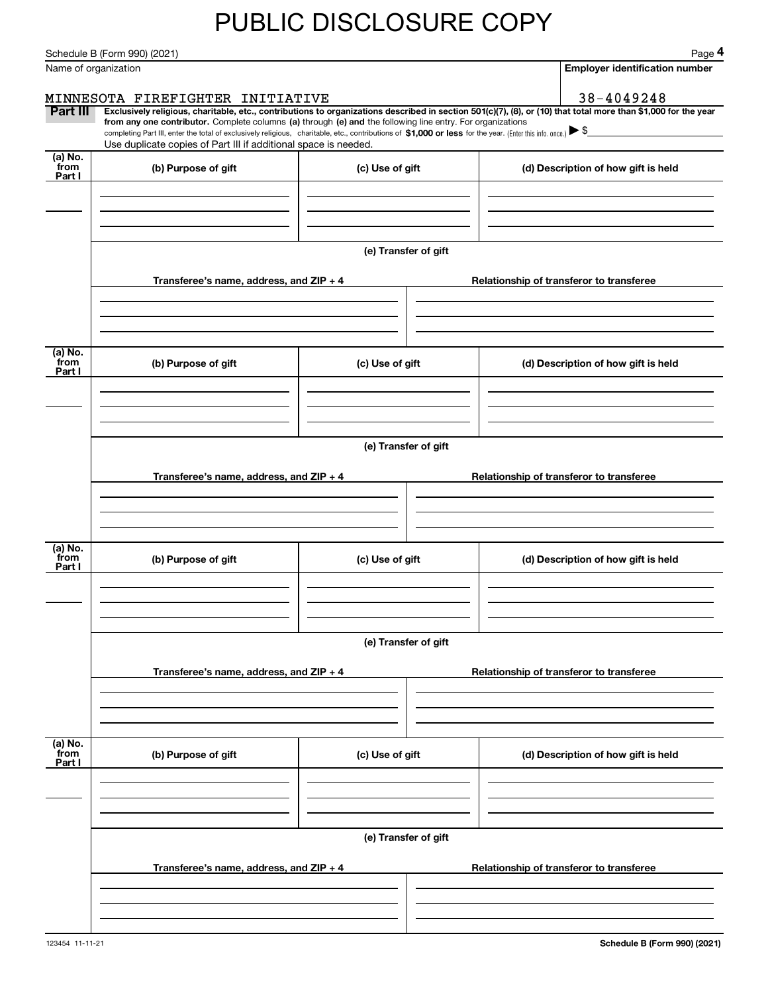Schedule B (Form 990) (2021) Page 4

|                      | Schedule B (Form 990) (2021)                                                                                                                                                      |                      | Page 4                                                                                                                                                         |
|----------------------|-----------------------------------------------------------------------------------------------------------------------------------------------------------------------------------|----------------------|----------------------------------------------------------------------------------------------------------------------------------------------------------------|
| Name of organization |                                                                                                                                                                                   |                      | <b>Employer identification number</b>                                                                                                                          |
|                      | MINNESOTA FIREFIGHTER INITIATIVE                                                                                                                                                  |                      | 38-4049248                                                                                                                                                     |
| Part III             | from any one contributor. Complete columns (a) through (e) and the following line entry. For organizations                                                                        |                      | Exclusively religious, charitable, etc., contributions to organizations described in section 501(c)(7), (8), or (10) that total more than \$1,000 for the year |
|                      | completing Part III, enter the total of exclusively religious, charitable, etc., contributions of \$1,000 or less for the year. (Enter this info. once.) $\blacktriangleright$ \$ |                      |                                                                                                                                                                |
| $(a)$ No.            | Use duplicate copies of Part III if additional space is needed.                                                                                                                   |                      |                                                                                                                                                                |
| from<br>Part I       | (b) Purpose of gift                                                                                                                                                               | (c) Use of gift      | (d) Description of how gift is held                                                                                                                            |
|                      |                                                                                                                                                                                   |                      |                                                                                                                                                                |
|                      |                                                                                                                                                                                   |                      |                                                                                                                                                                |
|                      |                                                                                                                                                                                   |                      |                                                                                                                                                                |
|                      |                                                                                                                                                                                   | (e) Transfer of gift |                                                                                                                                                                |
|                      | Transferee's name, address, and ZIP + 4                                                                                                                                           |                      | Relationship of transferor to transferee                                                                                                                       |
|                      |                                                                                                                                                                                   |                      |                                                                                                                                                                |
|                      |                                                                                                                                                                                   |                      |                                                                                                                                                                |
|                      |                                                                                                                                                                                   |                      |                                                                                                                                                                |
| (a) No.<br>from      | (b) Purpose of gift                                                                                                                                                               | (c) Use of gift      | (d) Description of how gift is held                                                                                                                            |
| Part I               |                                                                                                                                                                                   |                      |                                                                                                                                                                |
|                      |                                                                                                                                                                                   |                      |                                                                                                                                                                |
|                      |                                                                                                                                                                                   |                      |                                                                                                                                                                |
|                      |                                                                                                                                                                                   | (e) Transfer of gift |                                                                                                                                                                |
|                      |                                                                                                                                                                                   |                      |                                                                                                                                                                |
|                      | Transferee's name, address, and ZIP + 4                                                                                                                                           |                      | Relationship of transferor to transferee                                                                                                                       |
|                      |                                                                                                                                                                                   |                      |                                                                                                                                                                |
|                      |                                                                                                                                                                                   |                      |                                                                                                                                                                |
| (a) No.              |                                                                                                                                                                                   |                      |                                                                                                                                                                |
| from<br>Part I       | (b) Purpose of gift                                                                                                                                                               | (c) Use of gift      | (d) Description of how gift is held                                                                                                                            |
|                      |                                                                                                                                                                                   |                      |                                                                                                                                                                |
|                      |                                                                                                                                                                                   |                      |                                                                                                                                                                |
|                      |                                                                                                                                                                                   |                      |                                                                                                                                                                |
|                      |                                                                                                                                                                                   | (e) Transfer of gift |                                                                                                                                                                |
|                      | Transferee's name, address, and ZIP + 4                                                                                                                                           |                      | Relationship of transferor to transferee                                                                                                                       |
|                      |                                                                                                                                                                                   |                      |                                                                                                                                                                |
|                      |                                                                                                                                                                                   |                      |                                                                                                                                                                |
|                      |                                                                                                                                                                                   |                      |                                                                                                                                                                |
| (a) No.<br>from      | (b) Purpose of gift                                                                                                                                                               | (c) Use of gift      | (d) Description of how gift is held                                                                                                                            |
| Part I               |                                                                                                                                                                                   |                      |                                                                                                                                                                |
|                      |                                                                                                                                                                                   |                      |                                                                                                                                                                |
|                      |                                                                                                                                                                                   |                      |                                                                                                                                                                |
|                      |                                                                                                                                                                                   | (e) Transfer of gift |                                                                                                                                                                |
|                      |                                                                                                                                                                                   |                      |                                                                                                                                                                |
|                      | Transferee's name, address, and $ZIP + 4$                                                                                                                                         |                      | Relationship of transferor to transferee                                                                                                                       |
|                      |                                                                                                                                                                                   |                      |                                                                                                                                                                |
|                      |                                                                                                                                                                                   |                      |                                                                                                                                                                |
|                      |                                                                                                                                                                                   |                      |                                                                                                                                                                |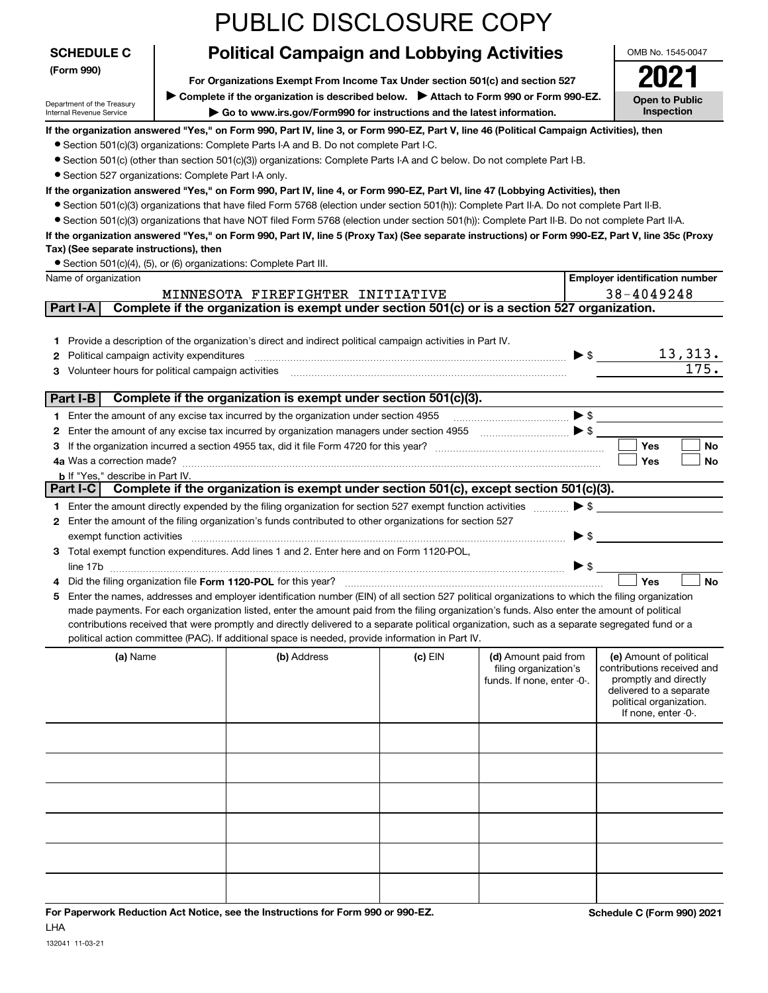|                                                      |                                                                                         | <b>PUBLIC DISCLOSURE COPY</b>                                                                                                                                                                                                                                                                  |           |                                   |                          |                                                  |
|------------------------------------------------------|-----------------------------------------------------------------------------------------|------------------------------------------------------------------------------------------------------------------------------------------------------------------------------------------------------------------------------------------------------------------------------------------------|-----------|-----------------------------------|--------------------------|--------------------------------------------------|
| <b>SCHEDULE C</b>                                    |                                                                                         | <b>Political Campaign and Lobbying Activities</b>                                                                                                                                                                                                                                              |           |                                   |                          | OMB No. 1545-0047                                |
| (Form 990)                                           |                                                                                         | For Organizations Exempt From Income Tax Under section 501(c) and section 527                                                                                                                                                                                                                  |           |                                   |                          | 2021                                             |
| Department of the Treasury                           | ▶ Complete if the organization is described below. ▶ Attach to Form 990 or Form 990-EZ. |                                                                                                                                                                                                                                                                                                |           |                                   | <b>Open to Public</b>    |                                                  |
| Internal Revenue Service                             |                                                                                         | ► Go to www.irs.gov/Form990 for instructions and the latest information.                                                                                                                                                                                                                       |           |                                   |                          | Inspection                                       |
|                                                      |                                                                                         | If the organization answered "Yes," on Form 990, Part IV, line 3, or Form 990-EZ, Part V, line 46 (Political Campaign Activities), then<br>• Section 501(c)(3) organizations: Complete Parts I-A and B. Do not complete Part I-C.                                                              |           |                                   |                          |                                                  |
|                                                      |                                                                                         | • Section 501(c) (other than section 501(c)(3)) organizations: Complete Parts I-A and C below. Do not complete Part I-B.                                                                                                                                                                       |           |                                   |                          |                                                  |
| • Section 527 organizations: Complete Part I-A only. |                                                                                         |                                                                                                                                                                                                                                                                                                |           |                                   |                          |                                                  |
|                                                      |                                                                                         | If the organization answered "Yes," on Form 990, Part IV, line 4, or Form 990-EZ, Part VI, line 47 (Lobbying Activities), then                                                                                                                                                                 |           |                                   |                          |                                                  |
|                                                      |                                                                                         | • Section 501(c)(3) organizations that have filed Form 5768 (election under section 501(h)): Complete Part II-A. Do not complete Part II-B.<br>• Section 501(c)(3) organizations that have NOT filed Form 5768 (election under section 501(h)): Complete Part II-B. Do not complete Part II-A. |           |                                   |                          |                                                  |
|                                                      |                                                                                         | If the organization answered "Yes," on Form 990, Part IV, line 5 (Proxy Tax) (See separate instructions) or Form 990-EZ, Part V, line 35c (Proxy                                                                                                                                               |           |                                   |                          |                                                  |
| Tax) (See separate instructions), then               |                                                                                         |                                                                                                                                                                                                                                                                                                |           |                                   |                          |                                                  |
| Name of organization                                 |                                                                                         | • Section 501(c)(4), (5), or (6) organizations: Complete Part III.                                                                                                                                                                                                                             |           |                                   |                          | <b>Employer identification number</b>            |
|                                                      |                                                                                         | MINNESOTA FIREFIGHTER INITIATIVE                                                                                                                                                                                                                                                               |           |                                   |                          | 38-4049248                                       |
| Part I-A                                             |                                                                                         | Complete if the organization is exempt under section 501(c) or is a section 527 organization.                                                                                                                                                                                                  |           |                                   |                          |                                                  |
|                                                      |                                                                                         |                                                                                                                                                                                                                                                                                                |           |                                   |                          |                                                  |
| Political campaign activity expenditures<br>2        |                                                                                         | 1 Provide a description of the organization's direct and indirect political campaign activities in Part IV.                                                                                                                                                                                    |           |                                   |                          | <u>13,313.</u><br>$\blacktriangleright$ \$       |
| 3                                                    |                                                                                         | Volunteer hours for political campaign activities [11] matter content to the state of political campaign activities [11] matter content to the state of the state of the state of the state of the state of the state of the s                                                                 |           |                                   |                          | 175.                                             |
|                                                      |                                                                                         |                                                                                                                                                                                                                                                                                                |           |                                   |                          |                                                  |
| Part I-B                                             |                                                                                         | Complete if the organization is exempt under section 501(c)(3).                                                                                                                                                                                                                                |           |                                   |                          |                                                  |
| 2                                                    |                                                                                         | 1 Enter the amount of any excise tax incurred by the organization under section 4955<br>Enter the amount of any excise tax incurred by organization managers under section 4955                                                                                                                |           | $\ldots$ $\blacktriangleright$ \$ |                          | $\blacktriangleright$ \$                         |
| 3                                                    |                                                                                         |                                                                                                                                                                                                                                                                                                |           |                                   |                          | <b>Yes</b><br>No                                 |
|                                                      |                                                                                         |                                                                                                                                                                                                                                                                                                |           |                                   |                          | Yes<br>No                                        |
| <b>b</b> If "Yes," describe in Part IV.<br>Part I-C  |                                                                                         | Complete if the organization is exempt under section 501(c), except section 501(c)(3).                                                                                                                                                                                                         |           |                                   |                          |                                                  |
|                                                      |                                                                                         | 1 Enter the amount directly expended by the filing organization for section 527 exempt function activities                                                                                                                                                                                     |           |                                   | $\blacktriangleright$ \$ |                                                  |
|                                                      |                                                                                         | 2 Enter the amount of the filing organization's funds contributed to other organizations for section 527                                                                                                                                                                                       |           |                                   |                          |                                                  |
| exempt function activities                           |                                                                                         |                                                                                                                                                                                                                                                                                                |           |                                   | $\blacktriangleright$ \$ |                                                  |
|                                                      |                                                                                         | 3 Total exempt function expenditures. Add lines 1 and 2. Enter here and on Form 1120-POL                                                                                                                                                                                                       |           |                                   |                          |                                                  |
| 4                                                    |                                                                                         |                                                                                                                                                                                                                                                                                                |           |                                   | $\triangleright$ \$      | No<br>Yes                                        |
| 5                                                    |                                                                                         | Enter the names, addresses and employer identification number (EIN) of all section 527 political organizations to which the filing organization                                                                                                                                                |           |                                   |                          |                                                  |
|                                                      |                                                                                         | made payments. For each organization listed, enter the amount paid from the filing organization's funds. Also enter the amount of political                                                                                                                                                    |           |                                   |                          |                                                  |
|                                                      |                                                                                         | contributions received that were promptly and directly delivered to a separate political organization, such as a separate segregated fund or a<br>political action committee (PAC). If additional space is needed, provide information in Part IV.                                             |           |                                   |                          |                                                  |
| (a) Name                                             |                                                                                         | (b) Address                                                                                                                                                                                                                                                                                    | $(c)$ EIN | (d) Amount paid from              |                          | (e) Amount of political                          |
|                                                      |                                                                                         |                                                                                                                                                                                                                                                                                                |           | filing organization's             |                          | contributions received and                       |
|                                                      |                                                                                         |                                                                                                                                                                                                                                                                                                |           | funds. If none, enter -0-.        |                          | promptly and directly<br>delivered to a separate |
|                                                      |                                                                                         |                                                                                                                                                                                                                                                                                                |           |                                   |                          | political organization.                          |
|                                                      |                                                                                         |                                                                                                                                                                                                                                                                                                |           |                                   |                          | If none, enter -0-.                              |
|                                                      |                                                                                         |                                                                                                                                                                                                                                                                                                |           |                                   |                          |                                                  |
|                                                      |                                                                                         |                                                                                                                                                                                                                                                                                                |           |                                   |                          |                                                  |
|                                                      |                                                                                         |                                                                                                                                                                                                                                                                                                |           |                                   |                          |                                                  |
|                                                      |                                                                                         |                                                                                                                                                                                                                                                                                                |           |                                   |                          |                                                  |
|                                                      |                                                                                         |                                                                                                                                                                                                                                                                                                |           |                                   |                          |                                                  |
|                                                      |                                                                                         |                                                                                                                                                                                                                                                                                                |           |                                   |                          |                                                  |
|                                                      |                                                                                         |                                                                                                                                                                                                                                                                                                |           |                                   |                          |                                                  |
|                                                      |                                                                                         |                                                                                                                                                                                                                                                                                                |           |                                   |                          |                                                  |
|                                                      |                                                                                         |                                                                                                                                                                                                                                                                                                |           |                                   |                          |                                                  |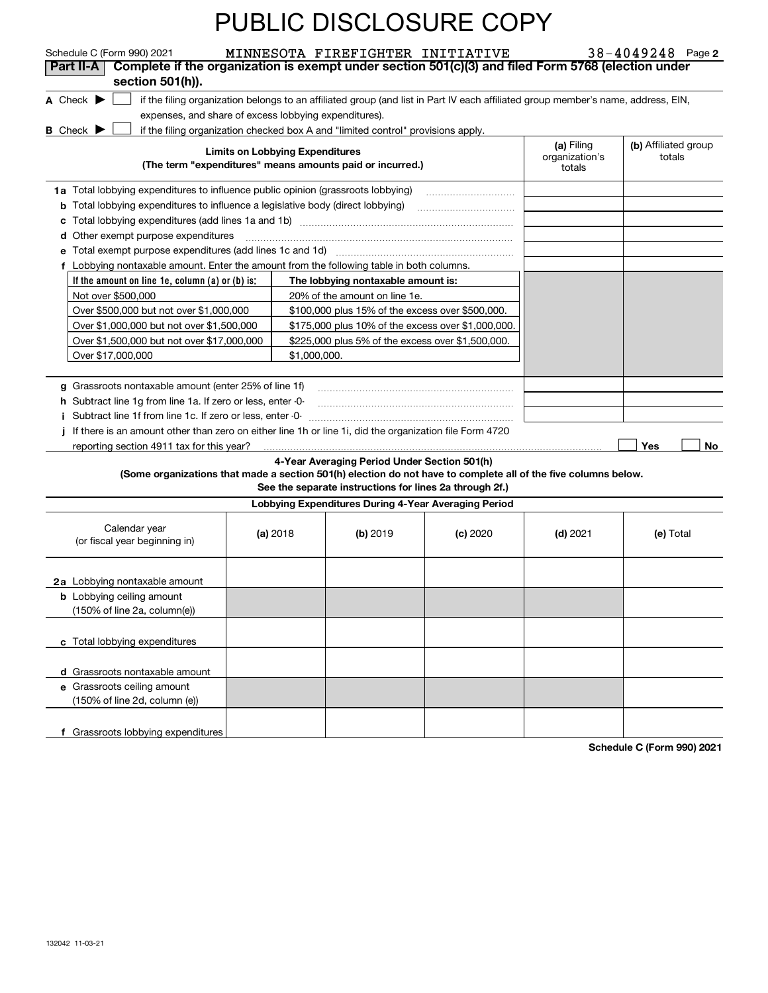| Schedule C (Form 990) 2021                                                                                      |                                        | MINNESOTA FIREFIGHTER INITIATIVE                                                                        |                                                                                                                                   |                                        | $38 - 4049248$ Page 2          |
|-----------------------------------------------------------------------------------------------------------------|----------------------------------------|---------------------------------------------------------------------------------------------------------|-----------------------------------------------------------------------------------------------------------------------------------|----------------------------------------|--------------------------------|
| Complete if the organization is exempt under section 501(c)(3) and filed Form 5768 (election under<br>Part II-A |                                        |                                                                                                         |                                                                                                                                   |                                        |                                |
| section 501(h)).                                                                                                |                                        |                                                                                                         |                                                                                                                                   |                                        |                                |
| A Check $\blacktriangleright$                                                                                   |                                        |                                                                                                         | if the filing organization belongs to an affiliated group (and list in Part IV each affiliated group member's name, address, EIN, |                                        |                                |
| expenses, and share of excess lobbying expenditures).                                                           |                                        |                                                                                                         |                                                                                                                                   |                                        |                                |
| <b>B</b> Check $\blacktriangleright$                                                                            |                                        | if the filing organization checked box A and "limited control" provisions apply.                        |                                                                                                                                   |                                        |                                |
|                                                                                                                 | <b>Limits on Lobbying Expenditures</b> | (The term "expenditures" means amounts paid or incurred.)                                               |                                                                                                                                   | (a) Filing<br>organization's<br>totals | (b) Affiliated group<br>totals |
| 1a Total lobbying expenditures to influence public opinion (grassroots lobbying)                                |                                        |                                                                                                         |                                                                                                                                   |                                        |                                |
| Total lobbying expenditures to influence a legislative body (direct lobbying)<br>b                              |                                        |                                                                                                         |                                                                                                                                   |                                        |                                |
| с                                                                                                               |                                        |                                                                                                         |                                                                                                                                   |                                        |                                |
| Other exempt purpose expenditures<br>d                                                                          |                                        |                                                                                                         |                                                                                                                                   |                                        |                                |
| е                                                                                                               |                                        |                                                                                                         |                                                                                                                                   |                                        |                                |
| f Lobbying nontaxable amount. Enter the amount from the following table in both columns.                        |                                        |                                                                                                         |                                                                                                                                   |                                        |                                |
| If the amount on line 1e, column $(a)$ or $(b)$ is:                                                             |                                        | The lobbying nontaxable amount is:                                                                      |                                                                                                                                   |                                        |                                |
| Not over \$500,000                                                                                              |                                        | 20% of the amount on line 1e.                                                                           |                                                                                                                                   |                                        |                                |
| Over \$500,000 but not over \$1,000,000                                                                         |                                        | \$100,000 plus 15% of the excess over \$500,000.                                                        |                                                                                                                                   |                                        |                                |
| Over \$1,000,000 but not over \$1,500,000                                                                       |                                        | \$175,000 plus 10% of the excess over \$1,000,000.                                                      |                                                                                                                                   |                                        |                                |
| Over \$1,500,000 but not over \$17,000,000                                                                      |                                        | \$225,000 plus 5% of the excess over \$1,500,000.                                                       |                                                                                                                                   |                                        |                                |
| Over \$17,000,000                                                                                               | \$1,000,000.                           |                                                                                                         |                                                                                                                                   |                                        |                                |
|                                                                                                                 |                                        |                                                                                                         |                                                                                                                                   |                                        |                                |
| g Grassroots nontaxable amount (enter 25% of line 1f)                                                           |                                        |                                                                                                         |                                                                                                                                   |                                        |                                |
| h Subtract line 1g from line 1a. If zero or less, enter -0-                                                     |                                        |                                                                                                         |                                                                                                                                   |                                        |                                |
| Subtract line 1f from line 1c. If zero or less, enter -0-<br>Ť.                                                 |                                        |                                                                                                         |                                                                                                                                   |                                        |                                |
| If there is an amount other than zero on either line 1h or line 1i, did the organization file Form 4720         |                                        |                                                                                                         |                                                                                                                                   |                                        |                                |
| reporting section 4911 tax for this year?                                                                       |                                        |                                                                                                         |                                                                                                                                   |                                        | Yes<br>No.                     |
| (Some organizations that made a section 501(h) election do not have to complete all of the five columns below.  |                                        | 4-Year Averaging Period Under Section 501(h)<br>See the separate instructions for lines 2a through 2f.) |                                                                                                                                   |                                        |                                |
|                                                                                                                 |                                        | Lobbying Expenditures During 4-Year Averaging Period                                                    |                                                                                                                                   |                                        |                                |
| Calendar year<br>(or fiscal year beginning in)                                                                  | (a) $2018$                             | $(b)$ 2019                                                                                              | $(c)$ 2020                                                                                                                        | $(d)$ 2021                             | (e) Total                      |
| 2a Lobbying nontaxable amount                                                                                   |                                        |                                                                                                         |                                                                                                                                   |                                        |                                |
| <b>b</b> Lobbying ceiling amount                                                                                |                                        |                                                                                                         |                                                                                                                                   |                                        |                                |
| (150% of line 2a, column(e))                                                                                    |                                        |                                                                                                         |                                                                                                                                   |                                        |                                |
| c Total lobbying expenditures                                                                                   |                                        |                                                                                                         |                                                                                                                                   |                                        |                                |
|                                                                                                                 |                                        |                                                                                                         |                                                                                                                                   |                                        |                                |
| d Grassroots nontaxable amount                                                                                  |                                        |                                                                                                         |                                                                                                                                   |                                        |                                |
| e Grassroots ceiling amount                                                                                     |                                        |                                                                                                         |                                                                                                                                   |                                        |                                |
| (150% of line 2d, column (e))                                                                                   |                                        |                                                                                                         |                                                                                                                                   |                                        |                                |
| f Grassroots lobbying expenditures                                                                              |                                        |                                                                                                         |                                                                                                                                   |                                        |                                |
|                                                                                                                 |                                        |                                                                                                         |                                                                                                                                   |                                        |                                |

**Schedule C (Form 990) 2021**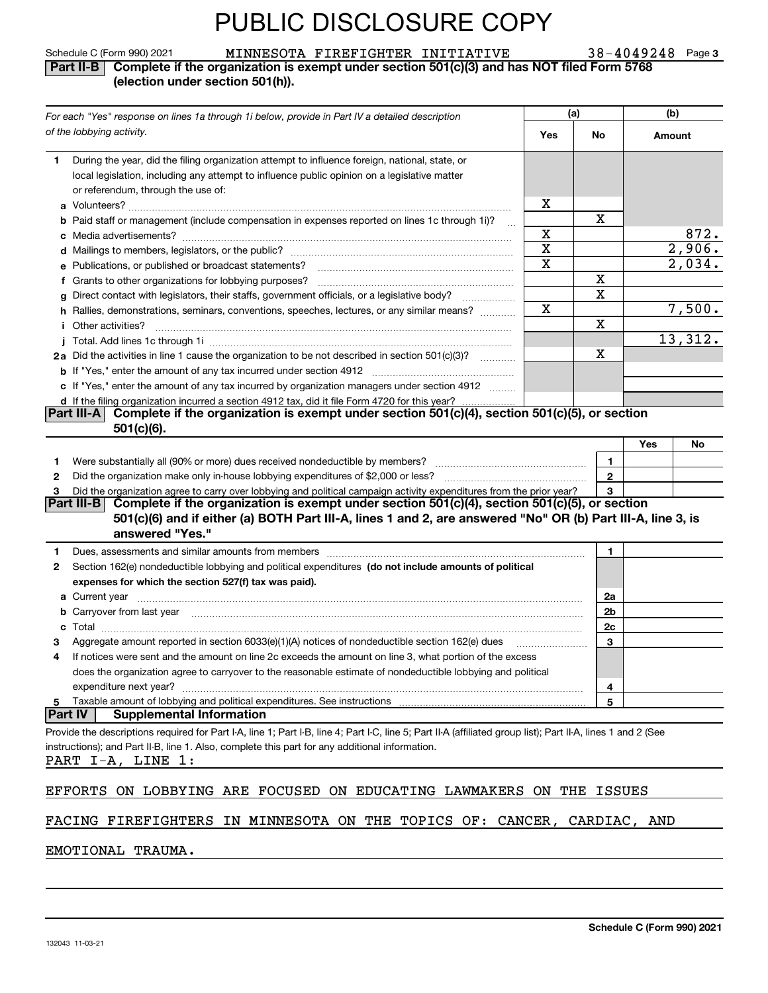| MINNESOTA FIREFIGHTER INITIATIVE |  | $38 - 4049248$ Page 3 |  |
|----------------------------------|--|-----------------------|--|
|----------------------------------|--|-----------------------|--|

#### Schedule C (Form 990) 2021 MINNESOTA FIREFIGHTER INITIATIVE 38-4049248 Page **Part II-B Complete if the organization is exempt under section 501(c)(3) and has NOT filed Form 5768 (election under section 501(h)).**

| For each "Yes" response on lines 1a through 1i below, provide in Part IV a detailed description                                                                                                                                                                                     | (a)         |                | (b)       |      |
|-------------------------------------------------------------------------------------------------------------------------------------------------------------------------------------------------------------------------------------------------------------------------------------|-------------|----------------|-----------|------|
| of the lobbying activity.                                                                                                                                                                                                                                                           | Yes         | No             | Amount    |      |
| During the year, did the filing organization attempt to influence foreign, national, state, or<br>1.                                                                                                                                                                                |             |                |           |      |
| local legislation, including any attempt to influence public opinion on a legislative matter                                                                                                                                                                                        |             |                |           |      |
| or referendum, through the use of:                                                                                                                                                                                                                                                  |             |                |           |      |
|                                                                                                                                                                                                                                                                                     | х           | X              |           |      |
| b Paid staff or management (include compensation in expenses reported on lines 1c through 1i)?                                                                                                                                                                                      | $\sim$<br>X |                |           | 872. |
|                                                                                                                                                                                                                                                                                     | X           |                | 2,906.    |      |
| e Publications, or published or broadcast statements?                                                                                                                                                                                                                               | X           |                | 2,034.    |      |
| f Grants to other organizations for lobbying purposes?                                                                                                                                                                                                                              |             | X              |           |      |
| g Direct contact with legislators, their staffs, government officials, or a legislative body?<br>.                                                                                                                                                                                  |             | $\mathbf X$    |           |      |
| h Rallies, demonstrations, seminars, conventions, speeches, lectures, or any similar means?                                                                                                                                                                                         | $\mathbf X$ |                | 7,500.    |      |
| <i>i</i> Other activities?                                                                                                                                                                                                                                                          |             | $\mathbf X$    |           |      |
|                                                                                                                                                                                                                                                                                     |             |                | 13,312.   |      |
| 2a Did the activities in line 1 cause the organization to be not described in section 501(c)(3)?                                                                                                                                                                                    |             | х              |           |      |
|                                                                                                                                                                                                                                                                                     |             |                |           |      |
| c If "Yes," enter the amount of any tax incurred by organization managers under section 4912                                                                                                                                                                                        |             |                |           |      |
| d If the filing organization incurred a section 4912 tax, did it file Form 4720 for this year?.                                                                                                                                                                                     |             |                |           |      |
| Complete if the organization is exempt under section 501(c)(4), section 501(c)(5), or section<br>Part III-A<br>$501(c)(6)$ .                                                                                                                                                        |             |                |           |      |
|                                                                                                                                                                                                                                                                                     |             |                | Yes<br>No |      |
| Were substantially all (90% or more) dues received nondeductible by members?<br>1.                                                                                                                                                                                                  |             | 1.             |           |      |
| 2                                                                                                                                                                                                                                                                                   |             | $\mathbf{2}$   |           |      |
| Did the organization agree to carry over lobbying and political campaign activity expenditures from the prior year?<br>з                                                                                                                                                            |             | 3              |           |      |
| Part III-B Complete if the organization is exempt under section 501(c)(4), section 501(c)(5), or section<br>501(c)(6) and if either (a) BOTH Part III-A, lines 1 and 2, are answered "No" OR (b) Part III-A, line 3, is<br>answered "Yes."                                          |             |                |           |      |
| Dues, assessments and similar amounts from members [11] matter contracts and similar amounts from members [11] matter and similar amounts from members [11] matter and similar amounts from members [11] matter and similar am<br>1.                                                |             | 1.             |           |      |
| Section 162(e) nondeductible lobbying and political expenditures (do not include amounts of political<br>2                                                                                                                                                                          |             |                |           |      |
| expenses for which the section 527(f) tax was paid).                                                                                                                                                                                                                                |             |                |           |      |
|                                                                                                                                                                                                                                                                                     |             | 2a             |           |      |
| <b>b</b> Carryover from last year manufactured contains and contained a contact the contact of the contact of the contains and contact the contact of contact of contact of contact of contact of contact of contact of contact of                                                  |             | 2 <sub>b</sub> |           |      |
| c                                                                                                                                                                                                                                                                                   |             | 2c             |           |      |
| Aggregate amount reported in section 6033(e)(1)(A) notices of nondeductible section 162(e) dues                                                                                                                                                                                     |             | 3              |           |      |
| If notices were sent and the amount on line 2c exceeds the amount on line 3, what portion of the excess<br>4                                                                                                                                                                        |             |                |           |      |
| does the organization agree to carryover to the reasonable estimate of nondeductible lobbying and political                                                                                                                                                                         |             |                |           |      |
| expenditure next year?                                                                                                                                                                                                                                                              |             | 4              |           |      |
| Taxable amount of lobbying and political expenditures. See instructions<br>5<br> Part IV<br><b>Supplemental Information</b>                                                                                                                                                         |             | 5              |           |      |
|                                                                                                                                                                                                                                                                                     |             |                |           |      |
| Provide the descriptions required for Part I-A, line 1; Part I-B, line 4; Part I-C, line 5; Part II-A (affiliated group list); Part II-A, lines 1 and 2 (See<br>instructions); and Part II-B, line 1. Also, complete this part for any additional information.<br>PART I-A, LINE 1: |             |                |           |      |
| EFFORTS ON LOBBYING ARE FOCUSED ON EDUCATING LAWMAKERS ON THE                                                                                                                                                                                                                       |             | ISSUES         |           |      |
| ,, <del>,</del> ,,,,,,,,,                                                                                                                                                                                                                                                           |             |                |           |      |

FACING FIREFIGHTERS IN MINNESOTA ON THE TOPICS OF: CANCER, CARDIAC, AND

#### EMOTIONAL TRAUMA.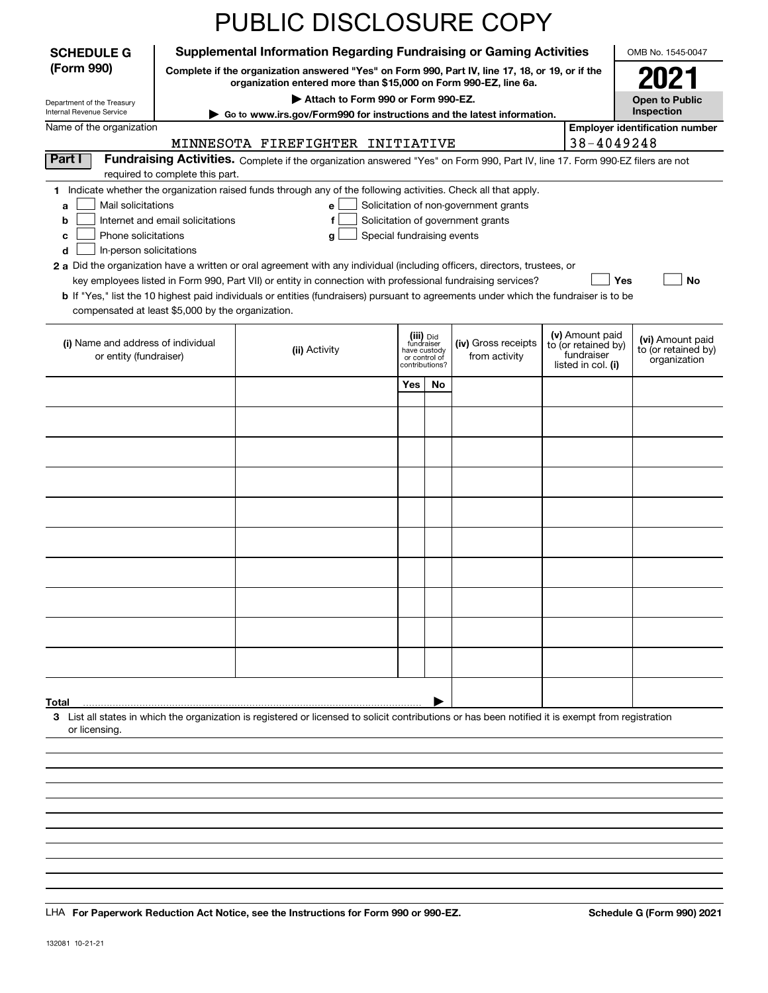|                                                   |                                                                        | PUBLIC DISCLOSURE COPY                                                                                                                                              |                                         |                                 |                                       |                                  |                                        |                                         |
|---------------------------------------------------|------------------------------------------------------------------------|---------------------------------------------------------------------------------------------------------------------------------------------------------------------|-----------------------------------------|---------------------------------|---------------------------------------|----------------------------------|----------------------------------------|-----------------------------------------|
| <b>SCHEDULE G</b>                                 |                                                                        | <b>Supplemental Information Regarding Fundraising or Gaming Activities</b>                                                                                          |                                         |                                 |                                       |                                  |                                        | OMB No. 1545-0047                       |
| (Form 990)                                        |                                                                        | Complete if the organization answered "Yes" on Form 990, Part IV, line 17, 18, or 19, or if the<br>organization entered more than \$15,000 on Form 990-EZ, line 6a. |                                         |                                 |                                       |                                  |                                        | 2021                                    |
| Department of the Treasury                        |                                                                        |                                                                                                                                                                     | <b>Open to Public</b>                   |                                 |                                       |                                  |                                        |                                         |
| Internal Revenue Service                          | Go to www.irs.gov/Form990 for instructions and the latest information. |                                                                                                                                                                     | Inspection                              |                                 |                                       |                                  |                                        |                                         |
| Name of the organization                          |                                                                        | MINNESOTA FIREFIGHTER INITIATIVE                                                                                                                                    |                                         |                                 |                                       |                                  | 38-4049248                             | <b>Employer identification number</b>   |
| Part I                                            |                                                                        | Fundraising Activities. Complete if the organization answered "Yes" on Form 990, Part IV, line 17. Form 990-EZ filers are not                                       |                                         |                                 |                                       |                                  |                                        |                                         |
|                                                   | required to complete this part.                                        |                                                                                                                                                                     |                                         |                                 |                                       |                                  |                                        |                                         |
| Mail solicitations<br>a                           |                                                                        | 1 Indicate whether the organization raised funds through any of the following activities. Check all that apply.<br>е                                                |                                         |                                 | Solicitation of non-government grants |                                  |                                        |                                         |
| b                                                 | Internet and email solicitations                                       | f                                                                                                                                                                   |                                         |                                 | Solicitation of government grants     |                                  |                                        |                                         |
| Phone solicitations<br>c                          |                                                                        | Special fundraising events<br>g                                                                                                                                     |                                         |                                 |                                       |                                  |                                        |                                         |
| In-person solicitations<br>d                      |                                                                        | 2 a Did the organization have a written or oral agreement with any individual (including officers, directors, trustees, or                                          |                                         |                                 |                                       |                                  |                                        |                                         |
|                                                   |                                                                        | key employees listed in Form 990, Part VII) or entity in connection with professional fundraising services?                                                         |                                         |                                 |                                       |                                  | Yes                                    | No                                      |
| compensated at least \$5,000 by the organization. |                                                                        | <b>b</b> If "Yes," list the 10 highest paid individuals or entities (fundraisers) pursuant to agreements under which the fundraiser is to be                        |                                         |                                 |                                       |                                  |                                        |                                         |
|                                                   |                                                                        |                                                                                                                                                                     |                                         |                                 |                                       |                                  |                                        |                                         |
| (i) Name and address of individual                |                                                                        | (ii) Activity                                                                                                                                                       | (iii) Did<br>fundraiser<br>have custody |                                 | (iv) Gross receipts                   |                                  | (v) Amount paid<br>to (or retained by) | (vi) Amount paid<br>to (or retained by) |
| or entity (fundraiser)                            |                                                                        |                                                                                                                                                                     |                                         | or control of<br>contributions? | from activity                         | fundraiser<br>listed in col. (i) |                                        | organization                            |
|                                                   |                                                                        |                                                                                                                                                                     | Yes                                     | No                              |                                       |                                  |                                        |                                         |
|                                                   |                                                                        |                                                                                                                                                                     |                                         |                                 |                                       |                                  |                                        |                                         |
|                                                   |                                                                        |                                                                                                                                                                     |                                         |                                 |                                       |                                  |                                        |                                         |
|                                                   |                                                                        |                                                                                                                                                                     |                                         |                                 |                                       |                                  |                                        |                                         |
|                                                   |                                                                        |                                                                                                                                                                     |                                         |                                 |                                       |                                  |                                        |                                         |
|                                                   |                                                                        |                                                                                                                                                                     |                                         |                                 |                                       |                                  |                                        |                                         |
|                                                   |                                                                        |                                                                                                                                                                     |                                         |                                 |                                       |                                  |                                        |                                         |
|                                                   |                                                                        |                                                                                                                                                                     |                                         |                                 |                                       |                                  |                                        |                                         |
|                                                   |                                                                        |                                                                                                                                                                     |                                         |                                 |                                       |                                  |                                        |                                         |
|                                                   |                                                                        |                                                                                                                                                                     |                                         |                                 |                                       |                                  |                                        |                                         |
|                                                   |                                                                        |                                                                                                                                                                     |                                         |                                 |                                       |                                  |                                        |                                         |
|                                                   |                                                                        |                                                                                                                                                                     |                                         |                                 |                                       |                                  |                                        |                                         |
|                                                   |                                                                        |                                                                                                                                                                     |                                         |                                 |                                       |                                  |                                        |                                         |
|                                                   |                                                                        |                                                                                                                                                                     |                                         |                                 |                                       |                                  |                                        |                                         |
|                                                   |                                                                        |                                                                                                                                                                     |                                         |                                 |                                       |                                  |                                        |                                         |
| Total                                             |                                                                        | 3 List all states in which the organization is registered or licensed to solicit contributions or has been notified it is exempt from registration                  |                                         |                                 |                                       |                                  |                                        |                                         |
| or licensing.                                     |                                                                        |                                                                                                                                                                     |                                         |                                 |                                       |                                  |                                        |                                         |
|                                                   |                                                                        |                                                                                                                                                                     |                                         |                                 |                                       |                                  |                                        |                                         |
|                                                   |                                                                        |                                                                                                                                                                     |                                         |                                 |                                       |                                  |                                        |                                         |
|                                                   |                                                                        |                                                                                                                                                                     |                                         |                                 |                                       |                                  |                                        |                                         |
|                                                   |                                                                        |                                                                                                                                                                     |                                         |                                 |                                       |                                  |                                        |                                         |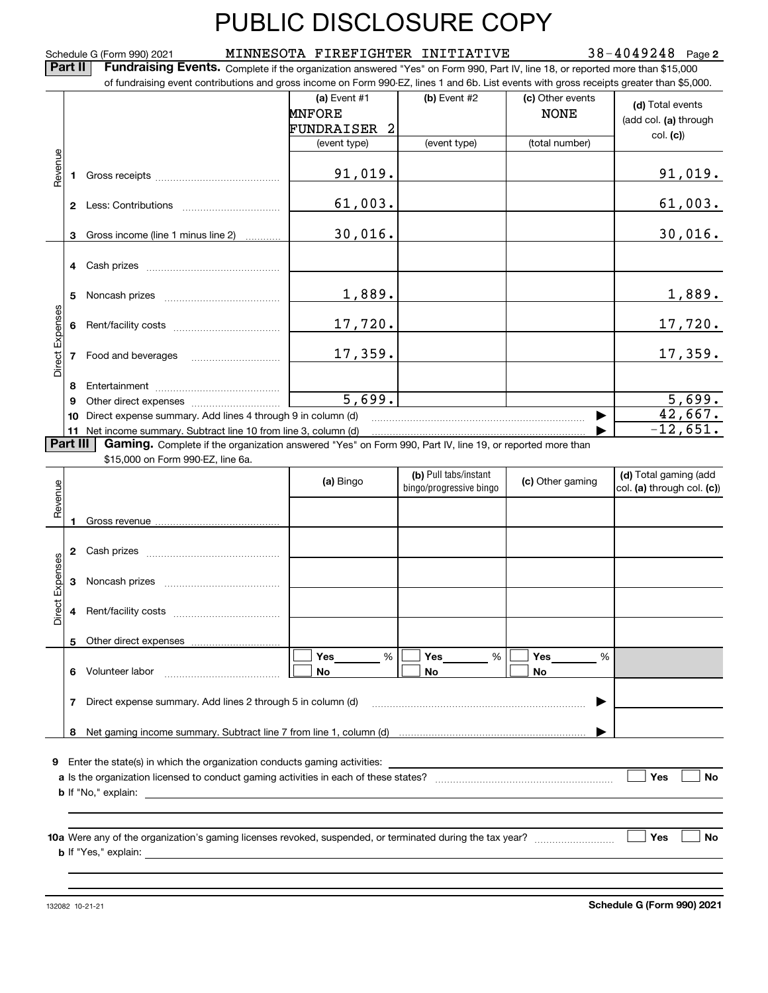**2** Schedule G (Form 990) 2021 MINNESOTA FIREFIGHTER INITIATIVE 38-4049248 Page

**Part II Fundraising Events.** Complete if the organization answered "Yes" on Form 990, Part IV, line 18, or reported more than \$15,000<br>15.000 of fundraising event contributions and gross income on Form 990-EZ. lines 1 an

|                 |          | of fundraising event contributions and gross income on Form 990-EZ, lines 1 and 6b. List events with gross receipts greater than \$5,000.                                                                                                                                                               |                                                        |                         |                                 |                                           |         |
|-----------------|----------|---------------------------------------------------------------------------------------------------------------------------------------------------------------------------------------------------------------------------------------------------------------------------------------------------------|--------------------------------------------------------|-------------------------|---------------------------------|-------------------------------------------|---------|
|                 |          |                                                                                                                                                                                                                                                                                                         | (a) Event $#1$<br><b>MNFORE</b><br><b>FUNDRAISER 2</b> | (b) Event #2            | (c) Other events<br><b>NONE</b> | (d) Total events<br>(add col. (a) through |         |
|                 |          |                                                                                                                                                                                                                                                                                                         | (event type)                                           | (event type)            | (total number)                  | col. (c)                                  |         |
| Revenue         |          |                                                                                                                                                                                                                                                                                                         |                                                        |                         |                                 |                                           |         |
|                 |          |                                                                                                                                                                                                                                                                                                         | 91,019.                                                |                         |                                 | <u>91,019.</u>                            |         |
|                 |          |                                                                                                                                                                                                                                                                                                         | 61,003.                                                |                         |                                 | 61,003.                                   |         |
|                 | 3        | Gross income (line 1 minus line 2)                                                                                                                                                                                                                                                                      | 30,016.                                                |                         |                                 | 30,016.                                   |         |
|                 |          |                                                                                                                                                                                                                                                                                                         |                                                        |                         |                                 |                                           |         |
|                 | 5        |                                                                                                                                                                                                                                                                                                         | 1,889.                                                 |                         |                                 | 1,889.                                    |         |
|                 |          |                                                                                                                                                                                                                                                                                                         | 17,720.                                                |                         |                                 | 17,720.                                   |         |
| Direct Expenses |          |                                                                                                                                                                                                                                                                                                         |                                                        | 17,359.                 |                                 |                                           | 17,359. |
|                 | 8        |                                                                                                                                                                                                                                                                                                         |                                                        |                         |                                 |                                           |         |
|                 | 9        |                                                                                                                                                                                                                                                                                                         | 5,699.                                                 |                         |                                 | 5,699.                                    |         |
|                 | 10       | Direct expense summary. Add lines 4 through 9 in column (d)                                                                                                                                                                                                                                             |                                                        |                         |                                 | 42,667.                                   |         |
|                 | Part III | 11 Net income summary. Subtract line 10 from line 3, column (d)                                                                                                                                                                                                                                         |                                                        |                         |                                 | $-12,651.$                                |         |
|                 |          | Gaming. Complete if the organization answered "Yes" on Form 990, Part IV, line 19, or reported more than<br>\$15,000 on Form 990-EZ, line 6a.                                                                                                                                                           |                                                        |                         |                                 |                                           |         |
|                 |          |                                                                                                                                                                                                                                                                                                         | (a) Bingo                                              | (b) Pull tabs/instant   |                                 | (d) Total gaming (add                     |         |
| Revenue         |          |                                                                                                                                                                                                                                                                                                         |                                                        | bingo/progressive bingo | (c) Other gaming                | col. (a) through col. (c))                |         |
|                 |          |                                                                                                                                                                                                                                                                                                         |                                                        |                         |                                 |                                           |         |
|                 | 1        |                                                                                                                                                                                                                                                                                                         |                                                        |                         |                                 |                                           |         |
|                 |          |                                                                                                                                                                                                                                                                                                         |                                                        |                         |                                 |                                           |         |
| Expenses        |          |                                                                                                                                                                                                                                                                                                         |                                                        |                         |                                 |                                           |         |
| Direct          |          |                                                                                                                                                                                                                                                                                                         |                                                        |                         |                                 |                                           |         |
|                 |          | 5 Other direct expenses                                                                                                                                                                                                                                                                                 |                                                        |                         |                                 |                                           |         |
|                 |          | 6 Volunteer labor                                                                                                                                                                                                                                                                                       | %<br>Yes<br>No                                         | %<br>Yes<br>No          | Yes<br>%<br>No                  |                                           |         |
|                 | 7        | Direct expense summary. Add lines 2 through 5 in column (d)                                                                                                                                                                                                                                             |                                                        |                         |                                 |                                           |         |
|                 |          |                                                                                                                                                                                                                                                                                                         |                                                        |                         |                                 |                                           |         |
|                 |          |                                                                                                                                                                                                                                                                                                         |                                                        |                         |                                 |                                           |         |
|                 |          | 9 Enter the state(s) in which the organization conducts gaming activities:                                                                                                                                                                                                                              |                                                        |                         |                                 | Yes<br>No                                 |         |
|                 |          | <b>b</b> If "No," explain: $\frac{1}{2}$ = $\frac{1}{2}$ = $\frac{1}{2}$ = $\frac{1}{2}$ = $\frac{1}{2}$ = $\frac{1}{2}$ = $\frac{1}{2}$ = $\frac{1}{2}$ = $\frac{1}{2}$ = $\frac{1}{2}$ = $\frac{1}{2}$ = $\frac{1}{2}$ = $\frac{1}{2}$ = $\frac{1}{2}$ = $\frac{1}{2}$ = $\frac{1}{2}$ = $\frac{1}{2$ |                                                        |                         |                                 |                                           |         |
|                 |          |                                                                                                                                                                                                                                                                                                         |                                                        |                         |                                 |                                           |         |
|                 |          |                                                                                                                                                                                                                                                                                                         |                                                        |                         |                                 |                                           |         |
|                 |          |                                                                                                                                                                                                                                                                                                         |                                                        |                         |                                 | Yes<br>No                                 |         |
|                 |          |                                                                                                                                                                                                                                                                                                         |                                                        |                         |                                 |                                           |         |
|                 |          |                                                                                                                                                                                                                                                                                                         |                                                        |                         |                                 |                                           |         |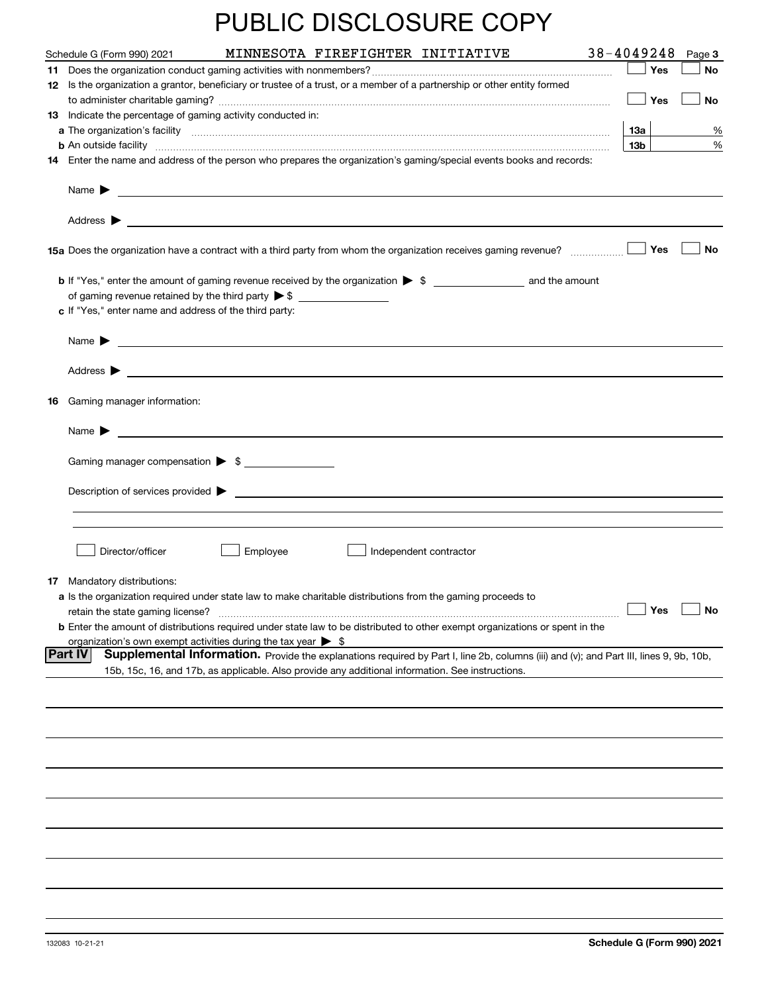| MINNESOTA FIREFIGHTER INITIATIVE<br>Schedule G (Form 990) 2021                                                                                                                                                                     | 38-4049248 |     | Page 3 |
|------------------------------------------------------------------------------------------------------------------------------------------------------------------------------------------------------------------------------------|------------|-----|--------|
|                                                                                                                                                                                                                                    |            | Yes | No     |
| 12 Is the organization a grantor, beneficiary or trustee of a trust, or a member of a partnership or other entity formed                                                                                                           |            |     |        |
|                                                                                                                                                                                                                                    |            | Yes | No     |
| 13 Indicate the percentage of gaming activity conducted in:                                                                                                                                                                        | 13а        |     |        |
|                                                                                                                                                                                                                                    | 13b        |     | %<br>% |
| 14 Enter the name and address of the person who prepares the organization's gaming/special events books and records:                                                                                                               |            |     |        |
| Name $\blacktriangleright$                                                                                                                                                                                                         |            |     |        |
| Address $\blacktriangleright$                                                                                                                                                                                                      |            |     |        |
| 15a Does the organization have a contract with a third party from whom the organization receives gaming revenue?                                                                                                                   |            | Yes | No     |
|                                                                                                                                                                                                                                    |            |     |        |
| c If "Yes," enter name and address of the third party:                                                                                                                                                                             |            |     |        |
| Name $\blacktriangleright$<br><u> 1989 - Johann John Stein, fransk politik (f. 1989)</u>                                                                                                                                           |            |     |        |
| Address $\blacktriangleright$                                                                                                                                                                                                      |            |     |        |
| 16 Gaming manager information:                                                                                                                                                                                                     |            |     |        |
| Name $\blacktriangleright$                                                                                                                                                                                                         |            |     |        |
|                                                                                                                                                                                                                                    |            |     |        |
| Gaming manager compensation > \$                                                                                                                                                                                                   |            |     |        |
| $Description of services provided$ $\triangleright$                                                                                                                                                                                |            |     |        |
|                                                                                                                                                                                                                                    |            |     |        |
|                                                                                                                                                                                                                                    |            |     |        |
| Director/officer<br>Employee<br>Independent contractor                                                                                                                                                                             |            |     |        |
| 17 Mandatory distributions:                                                                                                                                                                                                        |            |     |        |
| a Is the organization required under state law to make charitable distributions from the gaming proceeds to                                                                                                                        |            |     |        |
| retain the state gaming license?                                                                                                                                                                                                   |            | Yes | No     |
| <b>b</b> Enter the amount of distributions required under state law to be distributed to other exempt organizations or spent in the                                                                                                |            |     |        |
| organization's own exempt activities during the tax year $\triangleright$ \$<br>∣Part IV<br>Supplemental Information. Provide the explanations required by Part I, line 2b, columns (iii) and (v); and Part III, lines 9, 9b, 10b, |            |     |        |
| 15b, 15c, 16, and 17b, as applicable. Also provide any additional information. See instructions.                                                                                                                                   |            |     |        |
|                                                                                                                                                                                                                                    |            |     |        |
|                                                                                                                                                                                                                                    |            |     |        |
|                                                                                                                                                                                                                                    |            |     |        |
|                                                                                                                                                                                                                                    |            |     |        |
|                                                                                                                                                                                                                                    |            |     |        |
|                                                                                                                                                                                                                                    |            |     |        |
|                                                                                                                                                                                                                                    |            |     |        |
|                                                                                                                                                                                                                                    |            |     |        |
|                                                                                                                                                                                                                                    |            |     |        |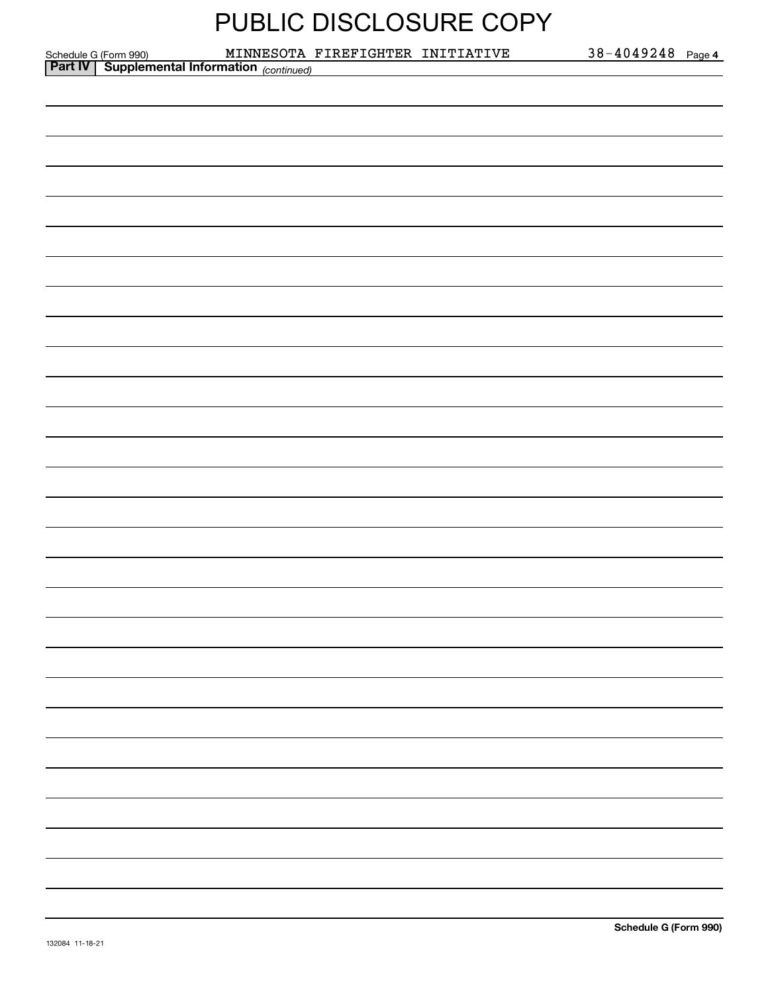| <b>PUBLIC DISCLOSURE COPY</b> |  |
|-------------------------------|--|
|-------------------------------|--|

**4**

|                                                                                        | MINNESOTA FIREFIGHTER INITIATIVE | $38 - 4049248$ Page 4 |  |
|----------------------------------------------------------------------------------------|----------------------------------|-----------------------|--|
| Schedule G (Form 990) MINNESOTA<br><b>Part IV</b> Supplemental Information (continued) |                                  |                       |  |
|                                                                                        |                                  |                       |  |
|                                                                                        |                                  |                       |  |
|                                                                                        |                                  |                       |  |
|                                                                                        |                                  |                       |  |
|                                                                                        |                                  |                       |  |
|                                                                                        |                                  |                       |  |
|                                                                                        |                                  |                       |  |
|                                                                                        |                                  |                       |  |
|                                                                                        |                                  |                       |  |
|                                                                                        |                                  |                       |  |
|                                                                                        |                                  |                       |  |
|                                                                                        |                                  |                       |  |
|                                                                                        |                                  |                       |  |
|                                                                                        |                                  |                       |  |
|                                                                                        |                                  |                       |  |
|                                                                                        |                                  |                       |  |
|                                                                                        |                                  |                       |  |
|                                                                                        |                                  |                       |  |
|                                                                                        |                                  |                       |  |
|                                                                                        |                                  |                       |  |
|                                                                                        |                                  |                       |  |
|                                                                                        |                                  |                       |  |
|                                                                                        |                                  |                       |  |
|                                                                                        |                                  |                       |  |
|                                                                                        |                                  |                       |  |
|                                                                                        |                                  |                       |  |
|                                                                                        |                                  |                       |  |
|                                                                                        |                                  |                       |  |
|                                                                                        |                                  |                       |  |
|                                                                                        |                                  |                       |  |
|                                                                                        |                                  |                       |  |
|                                                                                        |                                  |                       |  |
|                                                                                        |                                  |                       |  |
|                                                                                        |                                  |                       |  |
|                                                                                        |                                  |                       |  |
|                                                                                        |                                  |                       |  |
|                                                                                        |                                  |                       |  |
|                                                                                        |                                  |                       |  |
|                                                                                        |                                  |                       |  |
|                                                                                        |                                  |                       |  |
|                                                                                        |                                  |                       |  |
|                                                                                        |                                  |                       |  |
|                                                                                        |                                  |                       |  |
|                                                                                        |                                  |                       |  |
|                                                                                        |                                  |                       |  |
|                                                                                        |                                  |                       |  |
|                                                                                        |                                  |                       |  |
|                                                                                        |                                  |                       |  |
|                                                                                        |                                  |                       |  |
|                                                                                        |                                  |                       |  |
|                                                                                        |                                  |                       |  |
|                                                                                        |                                  |                       |  |
|                                                                                        |                                  |                       |  |
|                                                                                        |                                  |                       |  |
|                                                                                        |                                  |                       |  |
|                                                                                        |                                  |                       |  |
|                                                                                        |                                  |                       |  |
|                                                                                        |                                  |                       |  |
|                                                                                        |                                  |                       |  |
|                                                                                        |                                  |                       |  |
|                                                                                        |                                  |                       |  |
|                                                                                        |                                  |                       |  |
|                                                                                        |                                  |                       |  |
|                                                                                        |                                  |                       |  |
|                                                                                        |                                  |                       |  |